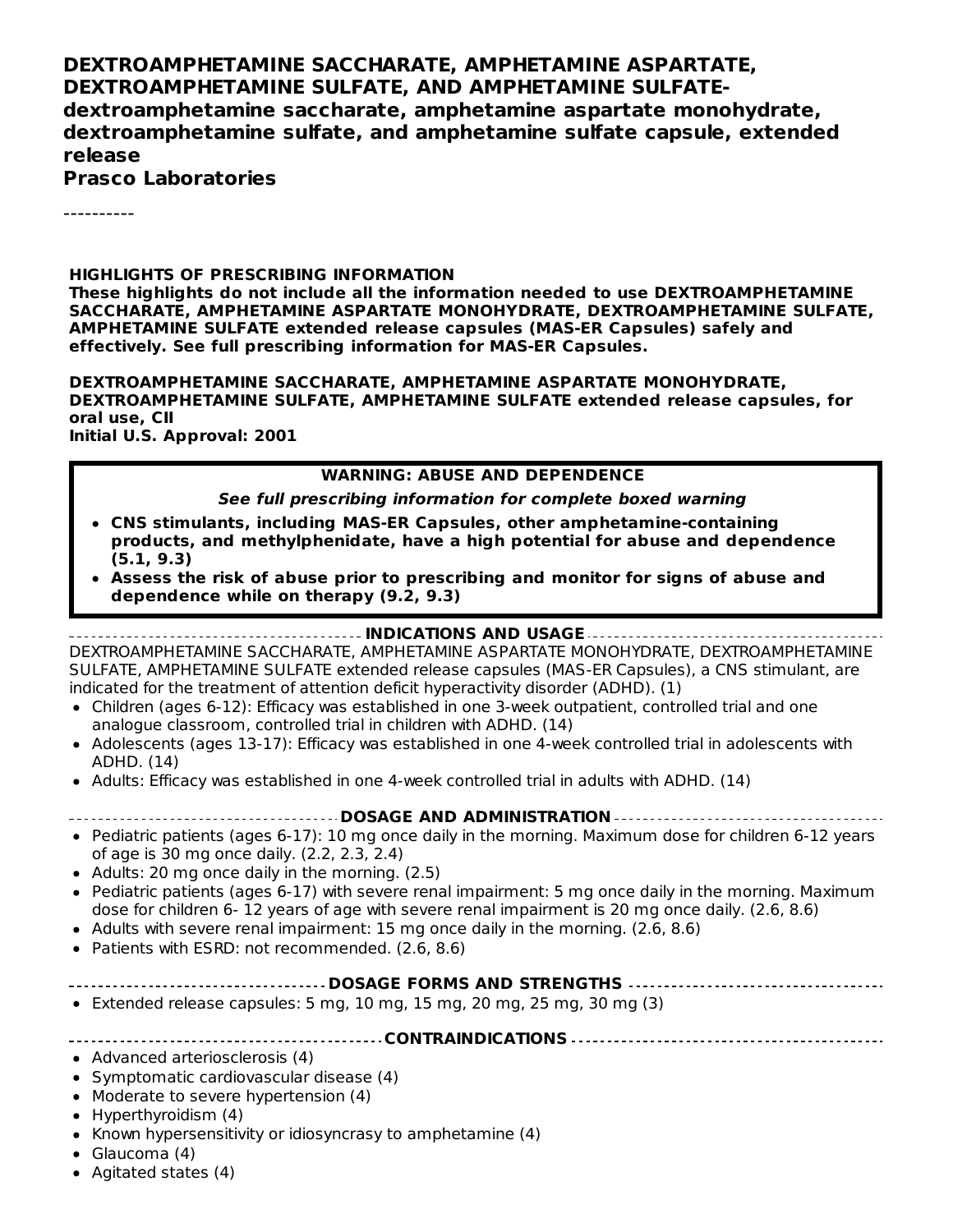#### **DEXTROAMPHETAMINE SACCHARATE, AMPHETAMINE ASPARTATE, DEXTROAMPHETAMINE SULFATE, AND AMPHETAMINE SULFATEdextroamphetamine saccharate, amphetamine aspartate monohydrate, dextroamphetamine sulfate, and amphetamine sulfate capsule, extended release**

**Prasco Laboratories**

----------

#### **HIGHLIGHTS OF PRESCRIBING INFORMATION**

**These highlights do not include all the information needed to use DEXTROAMPHETAMINE SACCHARATE, AMPHETAMINE ASPARTATE MONOHYDRATE, DEXTROAMPHETAMINE SULFATE, AMPHETAMINE SULFATE extended release capsules (MAS-ER Capsules) safely and effectively. See full prescribing information for MAS-ER Capsules.**

**DEXTROAMPHETAMINE SACCHARATE, AMPHETAMINE ASPARTATE MONOHYDRATE, DEXTROAMPHETAMINE SULFATE, AMPHETAMINE SULFATE extended release capsules, for oral use, CII**

**Initial U.S. Approval: 2001**

#### **WARNING: ABUSE AND DEPENDENCE**

#### **See full prescribing information for complete boxed warning**

- **CNS stimulants, including MAS-ER Capsules, other amphetamine-containing products, and methylphenidate, have a high potential for abuse and dependence (5.1, 9.3)**
- **Assess the risk of abuse prior to prescribing and monitor for signs of abuse and dependence while on therapy (9.2, 9.3)**
	- **INDICATIONS AND USAGE**

DEXTROAMPHETAMINE SACCHARATE, AMPHETAMINE ASPARTATE MONOHYDRATE, DEXTROAMPHETAMINE SULFATE, AMPHETAMINE SULFATE extended release capsules (MAS-ER Capsules), a CNS stimulant, are indicated for the treatment of attention deficit hyperactivity disorder (ADHD). (1)

- Children (ages 6-12): Efficacy was established in one 3-week outpatient, controlled trial and one analogue classroom, controlled trial in children with ADHD. (14)
- Adolescents (ages 13-17): Efficacy was established in one 4-week controlled trial in adolescents with ADHD. (14)
- Adults: Efficacy was established in one 4-week controlled trial in adults with ADHD. (14)
- **DOSAGE AND ADMINISTRATION**
- Pediatric patients (ages 6-17): 10 mg once daily in the morning. Maximum dose for children 6-12 years of age is 30 mg once daily. (2.2, 2.3, 2.4)
- Adults: 20 mg once daily in the morning. (2.5)
- Pediatric patients (ages 6-17) with severe renal impairment: 5 mg once daily in the morning. Maximum dose for children 6- 12 years of age with severe renal impairment is 20 mg once daily. (2.6, 8.6)
- Adults with severe renal impairment: 15 mg once daily in the morning. (2.6, 8.6)
- Patients with ESRD: not recommended. (2.6, 8.6)

#### **DOSAGE FORMS AND STRENGTHS**

Extended release capsules: 5 mg, 10 mg, 15 mg, 20 mg, 25 mg, 30 mg  $(3)$ 

#### **CONTRAINDICATIONS**

- Advanced arteriosclerosis (4)
- Symptomatic cardiovascular disease (4)
- Moderate to severe hypertension (4)
- Hyperthyroidism (4)
- Known hypersensitivity or idiosyncrasy to amphetamine  $(4)$
- Glaucoma (4)
- Agitated states (4)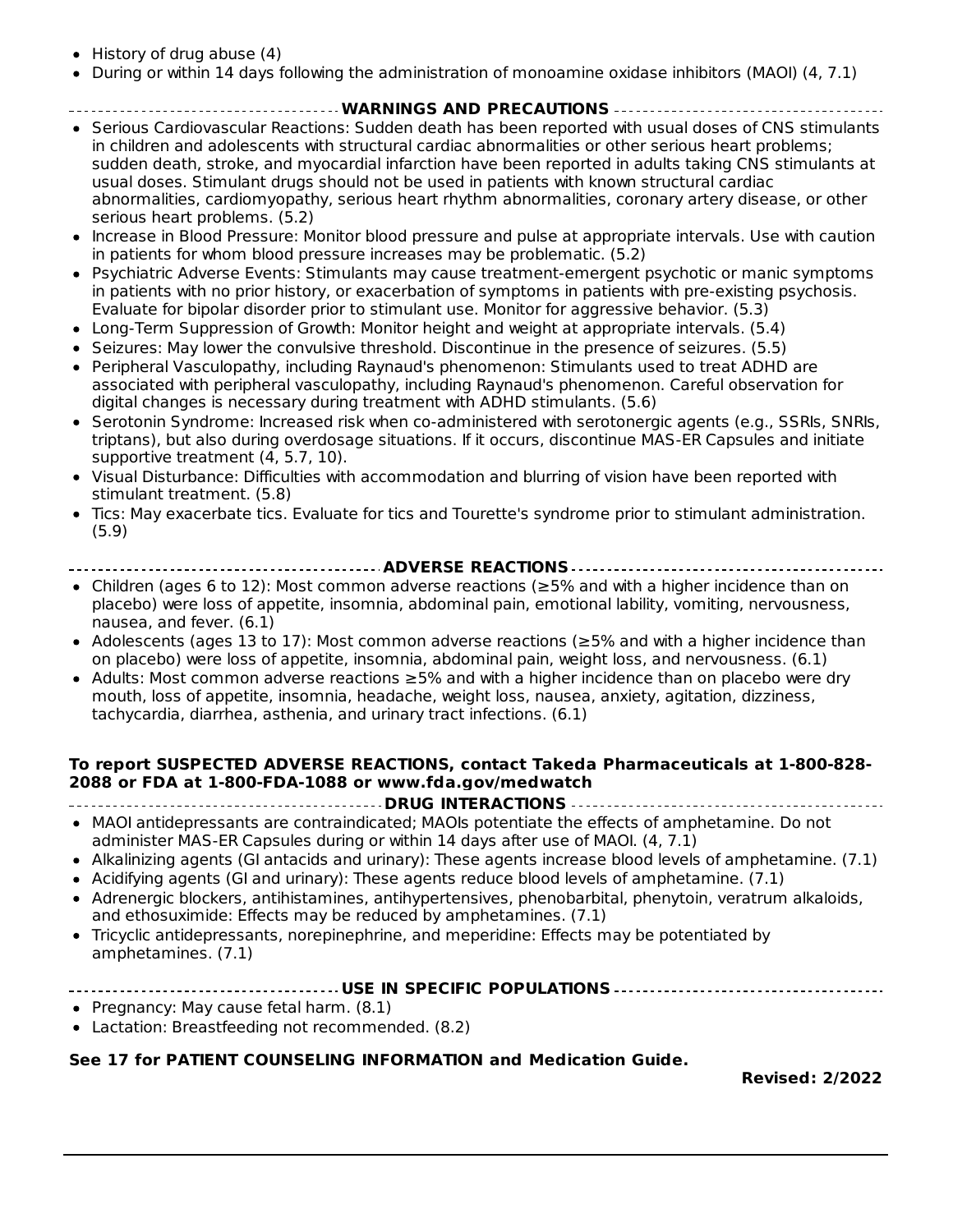- History of drug abuse (4)  $\bullet$
- During or within 14 days following the administration of monoamine oxidase inhibitors (MAOI) (4, 7.1)  $\bullet$
- **WARNINGS AND PRECAUTIONS** Serious Cardiovascular Reactions: Sudden death has been reported with usual doses of CNS stimulants in children and adolescents with structural cardiac abnormalities or other serious heart problems; sudden death, stroke, and myocardial infarction have been reported in adults taking CNS stimulants at usual doses. Stimulant drugs should not be used in patients with known structural cardiac abnormalities, cardiomyopathy, serious heart rhythm abnormalities, coronary artery disease, or other serious heart problems. (5.2)
- Increase in Blood Pressure: Monitor blood pressure and pulse at appropriate intervals. Use with caution in patients for whom blood pressure increases may be problematic. (5.2)
- Psychiatric Adverse Events: Stimulants may cause treatment-emergent psychotic or manic symptoms in patients with no prior history, or exacerbation of symptoms in patients with pre-existing psychosis. Evaluate for bipolar disorder prior to stimulant use. Monitor for aggressive behavior. (5.3)
- Long-Term Suppression of Growth: Monitor height and weight at appropriate intervals. (5.4)
- Seizures: May lower the convulsive threshold. Discontinue in the presence of seizures. (5.5)  $\bullet$
- Peripheral Vasculopathy, including Raynaud's phenomenon: Stimulants used to treat ADHD are associated with peripheral vasculopathy, including Raynaud's phenomenon. Careful observation for digital changes is necessary during treatment with ADHD stimulants. (5.6)
- Serotonin Syndrome: Increased risk when co-administered with serotonergic agents (e.g., SSRIs, SNRIs, triptans), but also during overdosage situations. If it occurs, discontinue MAS-ER Capsules and initiate supportive treatment (4, 5.7, 10).
- Visual Disturbance: Difficulties with accommodation and blurring of vision have been reported with stimulant treatment. (5.8)
- Tics: May exacerbate tics. Evaluate for tics and Tourette's syndrome prior to stimulant administration. (5.9)

#### **ADVERSE REACTIONS**

- Children (ages 6 to 12): Most common adverse reactions (≥5% and with a higher incidence than on placebo) were loss of appetite, insomnia, abdominal pain, emotional lability, vomiting, nervousness, nausea, and fever. (6.1)
- Adolescents (ages 13 to 17): Most common adverse reactions (≥5% and with a higher incidence than on placebo) were loss of appetite, insomnia, abdominal pain, weight loss, and nervousness. (6.1)
- Adults: Most common adverse reactions ≥5% and with a higher incidence than on placebo were dry mouth, loss of appetite, insomnia, headache, weight loss, nausea, anxiety, agitation, dizziness, tachycardia, diarrhea, asthenia, and urinary tract infections. (6.1)

#### **To report SUSPECTED ADVERSE REACTIONS, contact Takeda Pharmaceuticals at 1-800-828- 2088 or FDA at 1-800-FDA-1088 or www.fda.gov/medwatch**

- **DRUG INTERACTIONS** MAOI antidepressants are contraindicated; MAOIs potentiate the effects of amphetamine. Do not administer MAS-ER Capsules during or within 14 days after use of MAOI. (4, 7.1)
- Alkalinizing agents (GI antacids and urinary): These agents increase blood levels of amphetamine. (7.1)
- $\bullet$ Acidifying agents (GI and urinary): These agents reduce blood levels of amphetamine. (7.1)
- Adrenergic blockers, antihistamines, antihypertensives, phenobarbital, phenytoin, veratrum alkaloids,  $\bullet$ and ethosuximide: Effects may be reduced by amphetamines. (7.1)
- Tricyclic antidepressants, norepinephrine, and meperidine: Effects may be potentiated by amphetamines. (7.1)
	- **USE IN SPECIFIC POPULATIONS**
- Pregnancy: May cause fetal harm. (8.1)
- Lactation: Breastfeeding not recommended. (8.2)

#### **See 17 for PATIENT COUNSELING INFORMATION and Medication Guide.**

**Revised: 2/2022**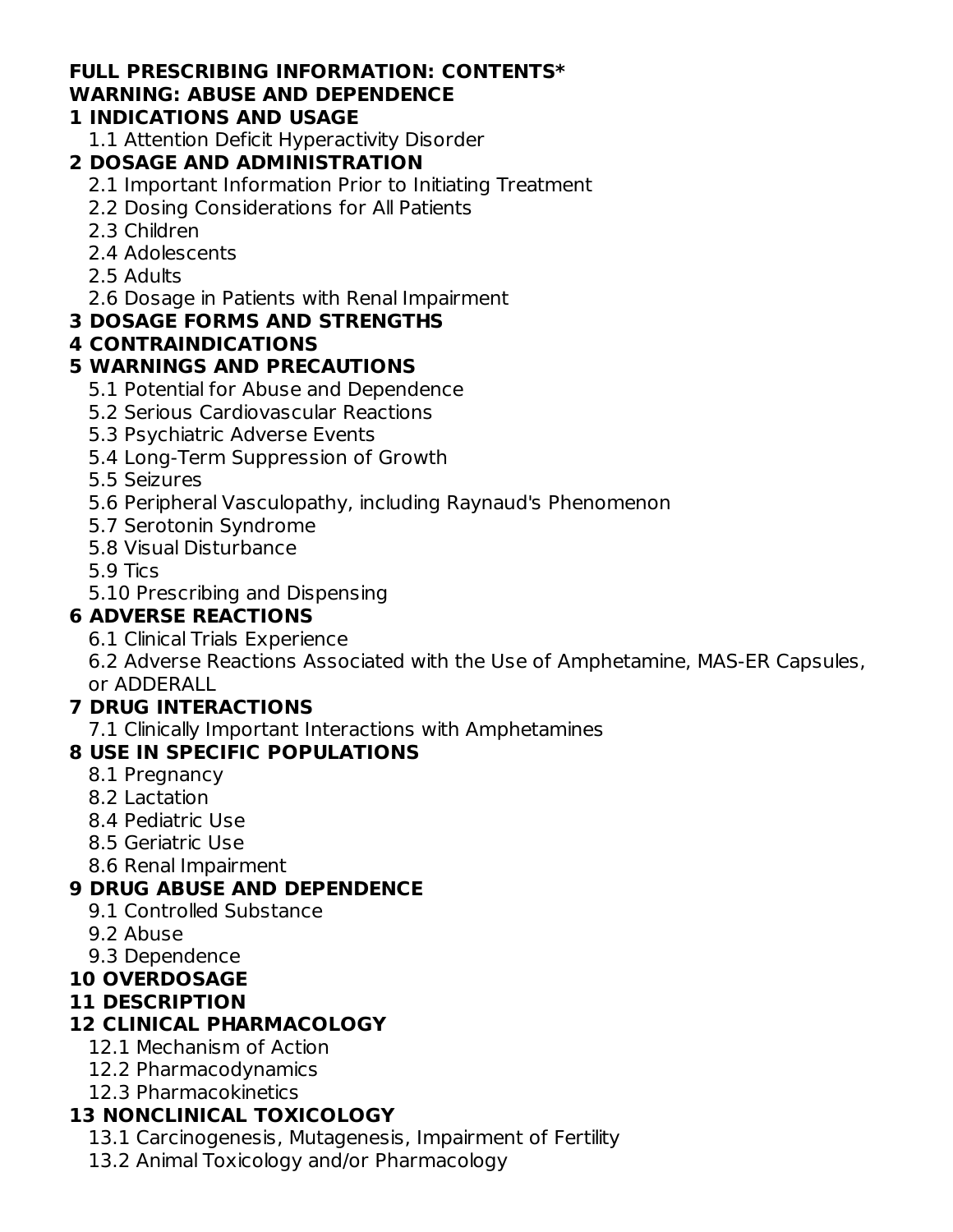## **FULL PRESCRIBING INFORMATION: CONTENTS\* WARNING: ABUSE AND DEPENDENCE**

### **1 INDICATIONS AND USAGE**

1.1 Attention Deficit Hyperactivity Disorder

## **2 DOSAGE AND ADMINISTRATION**

- 2.1 Important Information Prior to Initiating Treatment
- 2.2 Dosing Considerations for All Patients
- 2.3 Children
- 2.4 Adolescents
- 2.5 Adults
- 2.6 Dosage in Patients with Renal Impairment

## **3 DOSAGE FORMS AND STRENGTHS**

## **4 CONTRAINDICATIONS**

## **5 WARNINGS AND PRECAUTIONS**

- 5.1 Potential for Abuse and Dependence
- 5.2 Serious Cardiovascular Reactions
- 5.3 Psychiatric Adverse Events
- 5.4 Long-Term Suppression of Growth
- 5.5 Seizures
- 5.6 Peripheral Vasculopathy, including Raynaud's Phenomenon
- 5.7 Serotonin Syndrome
- 5.8 Visual Disturbance
- 5.9 Tics
- 5.10 Prescribing and Dispensing

## **6 ADVERSE REACTIONS**

6.1 Clinical Trials Experience

6.2 Adverse Reactions Associated with the Use of Amphetamine, MAS-ER Capsules, or ADDERALL

## **7 DRUG INTERACTIONS**

7.1 Clinically Important Interactions with Amphetamines

## **8 USE IN SPECIFIC POPULATIONS**

- 8.1 Pregnancy
- 8.2 Lactation
- 8.4 Pediatric Use
- 8.5 Geriatric Use
- 8.6 Renal Impairment

### **9 DRUG ABUSE AND DEPENDENCE**

- 9.1 Controlled Substance
- 9.2 Abuse
- 9.3 Dependence

#### **10 OVERDOSAGE**

### **11 DESCRIPTION**

## **12 CLINICAL PHARMACOLOGY**

- 12.1 Mechanism of Action
- 12.2 Pharmacodynamics
- 12.3 Pharmacokinetics

### **13 NONCLINICAL TOXICOLOGY**

- 13.1 Carcinogenesis, Mutagenesis, Impairment of Fertility
- 13.2 Animal Toxicology and/or Pharmacology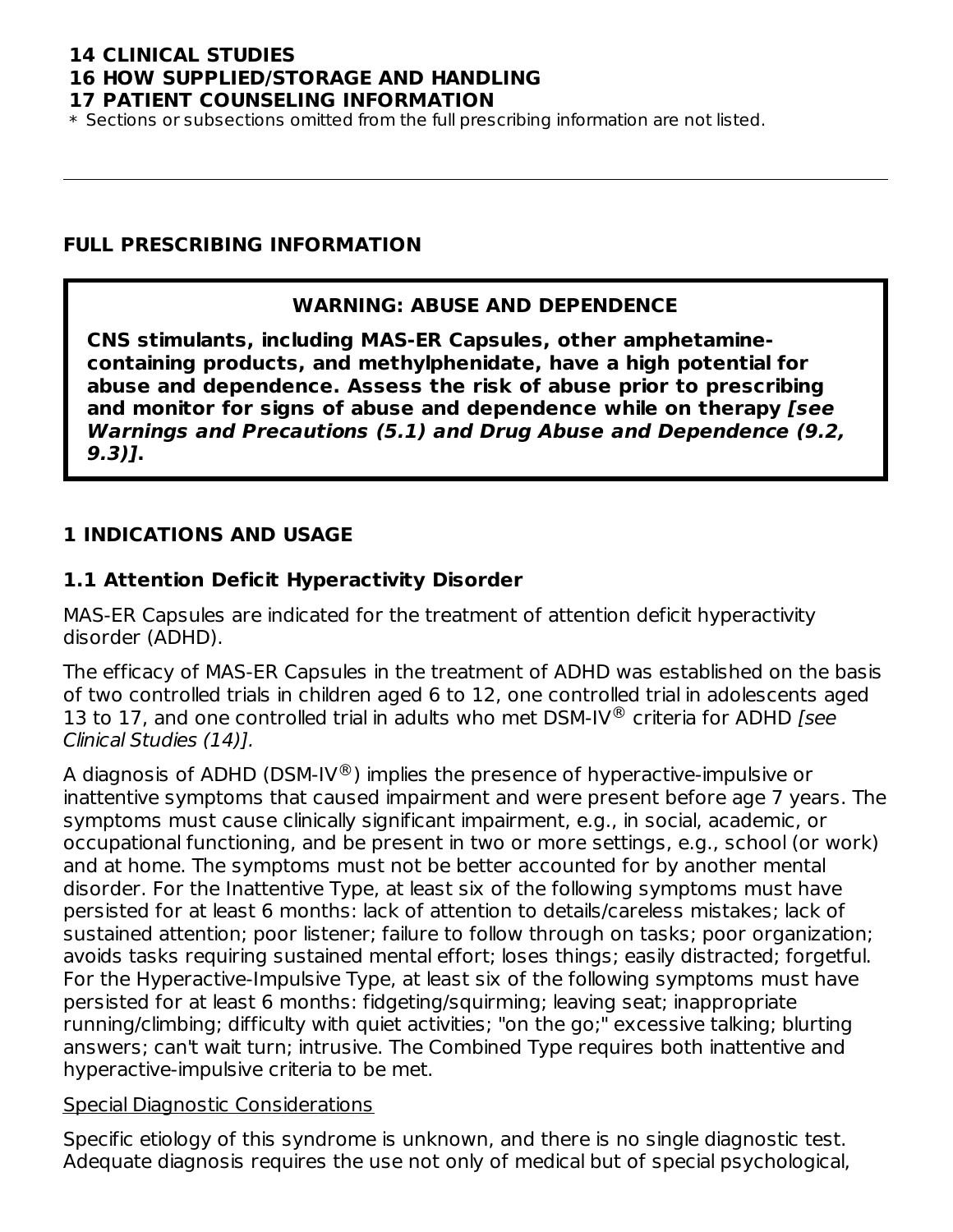#### **14 CLINICAL STUDIES 16 HOW SUPPLIED/STORAGE AND HANDLING 17 PATIENT COUNSELING INFORMATION**

\* Sections or subsections omitted from the full prescribing information are not listed.

#### **FULL PRESCRIBING INFORMATION**

#### **WARNING: ABUSE AND DEPENDENCE**

**CNS stimulants, including MAS-ER Capsules, other amphetaminecontaining products, and methylphenidate, have a high potential for abuse and dependence. Assess the risk of abuse prior to prescribing and monitor for signs of abuse and dependence while on therapy [see Warnings and Precautions (5.1) and Drug Abuse and Dependence (9.2, 9.3)].**

#### **1 INDICATIONS AND USAGE**

#### **1.1 Attention Deficit Hyperactivity Disorder**

MAS-ER Capsules are indicated for the treatment of attention deficit hyperactivity disorder (ADHD).

The efficacy of MAS-ER Capsules in the treatment of ADHD was established on the basis of two controlled trials in children aged 6 to 12, one controlled trial in adolescents aged 13 to 17, and one controlled trial in adults who met DSM-IV $^{\circledR}$  criteria for ADHD [see Clinical Studies (14)].

A diagnosis of ADHD (DSM-IV $^{\circledR}$ ) implies the presence of hyperactive-impulsive or inattentive symptoms that caused impairment and were present before age 7 years. The symptoms must cause clinically significant impairment, e.g., in social, academic, or occupational functioning, and be present in two or more settings, e.g., school (or work) and at home. The symptoms must not be better accounted for by another mental disorder. For the Inattentive Type, at least six of the following symptoms must have persisted for at least 6 months: lack of attention to details/careless mistakes; lack of sustained attention; poor listener; failure to follow through on tasks; poor organization; avoids tasks requiring sustained mental effort; loses things; easily distracted; forgetful. For the Hyperactive-Impulsive Type, at least six of the following symptoms must have persisted for at least 6 months: fidgeting/squirming; leaving seat; inappropriate running/climbing; difficulty with quiet activities; "on the go;" excessive talking; blurting answers; can't wait turn; intrusive. The Combined Type requires both inattentive and hyperactive-impulsive criteria to be met.

#### Special Diagnostic Considerations

Specific etiology of this syndrome is unknown, and there is no single diagnostic test. Adequate diagnosis requires the use not only of medical but of special psychological,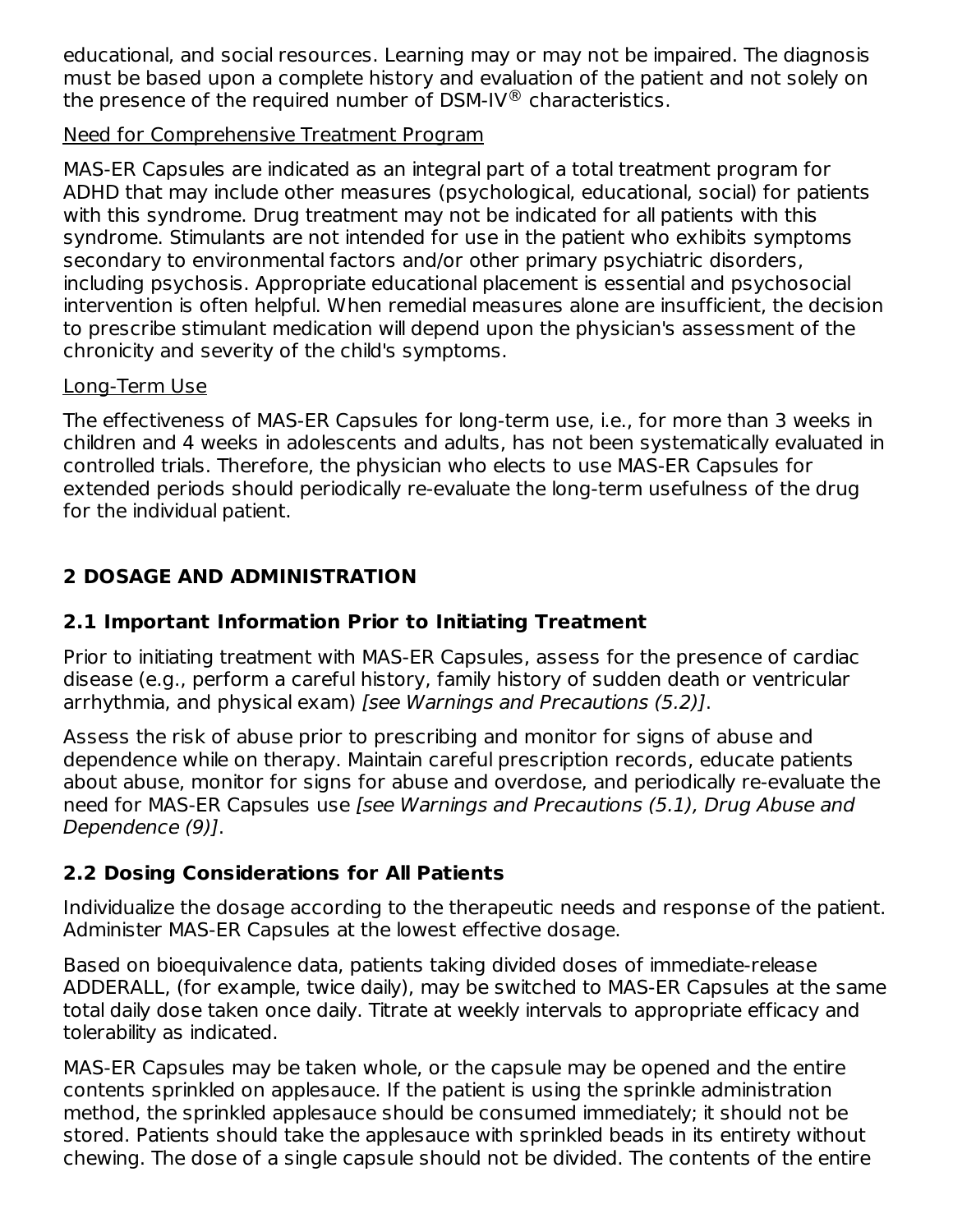educational, and social resources. Learning may or may not be impaired. The diagnosis must be based upon a complete history and evaluation of the patient and not solely on the presence of the required number of DSM-IV $^{\circledR}$  characteristics.

#### Need for Comprehensive Treatment Program

MAS-ER Capsules are indicated as an integral part of a total treatment program for ADHD that may include other measures (psychological, educational, social) for patients with this syndrome. Drug treatment may not be indicated for all patients with this syndrome. Stimulants are not intended for use in the patient who exhibits symptoms secondary to environmental factors and/or other primary psychiatric disorders, including psychosis. Appropriate educational placement is essential and psychosocial intervention is often helpful. When remedial measures alone are insufficient, the decision to prescribe stimulant medication will depend upon the physician's assessment of the chronicity and severity of the child's symptoms.

#### Long-Term Use

The effectiveness of MAS-ER Capsules for long-term use, i.e., for more than 3 weeks in children and 4 weeks in adolescents and adults, has not been systematically evaluated in controlled trials. Therefore, the physician who elects to use MAS-ER Capsules for extended periods should periodically re-evaluate the long-term usefulness of the drug for the individual patient.

## **2 DOSAGE AND ADMINISTRATION**

## **2.1 Important Information Prior to Initiating Treatment**

Prior to initiating treatment with MAS-ER Capsules, assess for the presence of cardiac disease (e.g., perform a careful history, family history of sudden death or ventricular arrhythmia, and physical exam) [see Warnings and Precautions (5.2)].

Assess the risk of abuse prior to prescribing and monitor for signs of abuse and dependence while on therapy. Maintain careful prescription records, educate patients about abuse, monitor for signs for abuse and overdose, and periodically re-evaluate the need for MAS-ER Capsules use [see Warnings and Precautions (5.1), Drug Abuse and Dependence (9)].

## **2.2 Dosing Considerations for All Patients**

Individualize the dosage according to the therapeutic needs and response of the patient. Administer MAS-ER Capsules at the lowest effective dosage.

Based on bioequivalence data, patients taking divided doses of immediate-release ADDERALL, (for example, twice daily), may be switched to MAS-ER Capsules at the same total daily dose taken once daily. Titrate at weekly intervals to appropriate efficacy and tolerability as indicated.

MAS-ER Capsules may be taken whole, or the capsule may be opened and the entire contents sprinkled on applesauce. If the patient is using the sprinkle administration method, the sprinkled applesauce should be consumed immediately; it should not be stored. Patients should take the applesauce with sprinkled beads in its entirety without chewing. The dose of a single capsule should not be divided. The contents of the entire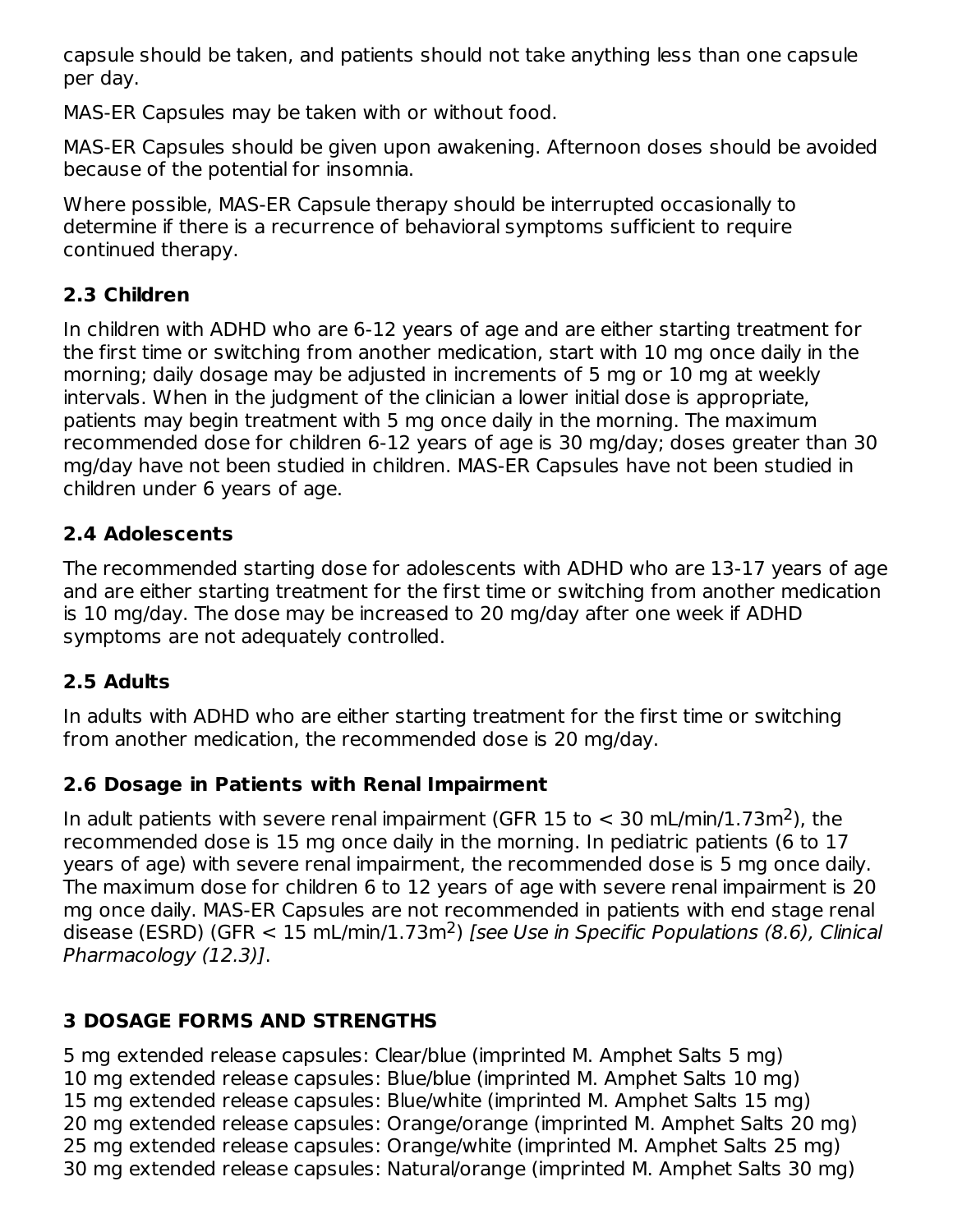capsule should be taken, and patients should not take anything less than one capsule per day.

MAS-ER Capsules may be taken with or without food.

MAS-ER Capsules should be given upon awakening. Afternoon doses should be avoided because of the potential for insomnia.

Where possible, MAS-ER Capsule therapy should be interrupted occasionally to determine if there is a recurrence of behavioral symptoms sufficient to require continued therapy.

## **2.3 Children**

In children with ADHD who are 6-12 years of age and are either starting treatment for the first time or switching from another medication, start with 10 mg once daily in the morning; daily dosage may be adjusted in increments of 5 mg or 10 mg at weekly intervals. When in the judgment of the clinician a lower initial dose is appropriate, patients may begin treatment with 5 mg once daily in the morning. The maximum recommended dose for children 6-12 years of age is 30 mg/day; doses greater than 30 mg/day have not been studied in children. MAS-ER Capsules have not been studied in children under 6 years of age.

## **2.4 Adolescents**

The recommended starting dose for adolescents with ADHD who are 13-17 years of age and are either starting treatment for the first time or switching from another medication is 10 mg/day. The dose may be increased to 20 mg/day after one week if ADHD symptoms are not adequately controlled.

### **2.5 Adults**

In adults with ADHD who are either starting treatment for the first time or switching from another medication, the recommended dose is 20 mg/day.

### **2.6 Dosage in Patients with Renal Impairment**

In adult patients with severe renal impairment (GFR 15 to  $<$  30 mL/min/1.73m<sup>2</sup>), the recommended dose is 15 mg once daily in the morning. In pediatric patients (6 to 17 years of age) with severe renal impairment, the recommended dose is 5 mg once daily. The maximum dose for children 6 to 12 years of age with severe renal impairment is 20 mg once daily. MAS-ER Capsules are not recommended in patients with end stage renal disease (ESRD) (GFR < 15 mL/min/1.73m<sup>2</sup>) [see Use in Specific Populations (8.6), Clinical Pharmacology (12.3)].

## **3 DOSAGE FORMS AND STRENGTHS**

 mg extended release capsules: Clear/blue (imprinted M. Amphet Salts 5 mg) mg extended release capsules: Blue/blue (imprinted M. Amphet Salts 10 mg) mg extended release capsules: Blue/white (imprinted M. Amphet Salts 15 mg) mg extended release capsules: Orange/orange (imprinted M. Amphet Salts 20 mg) mg extended release capsules: Orange/white (imprinted M. Amphet Salts 25 mg) mg extended release capsules: Natural/orange (imprinted M. Amphet Salts 30 mg)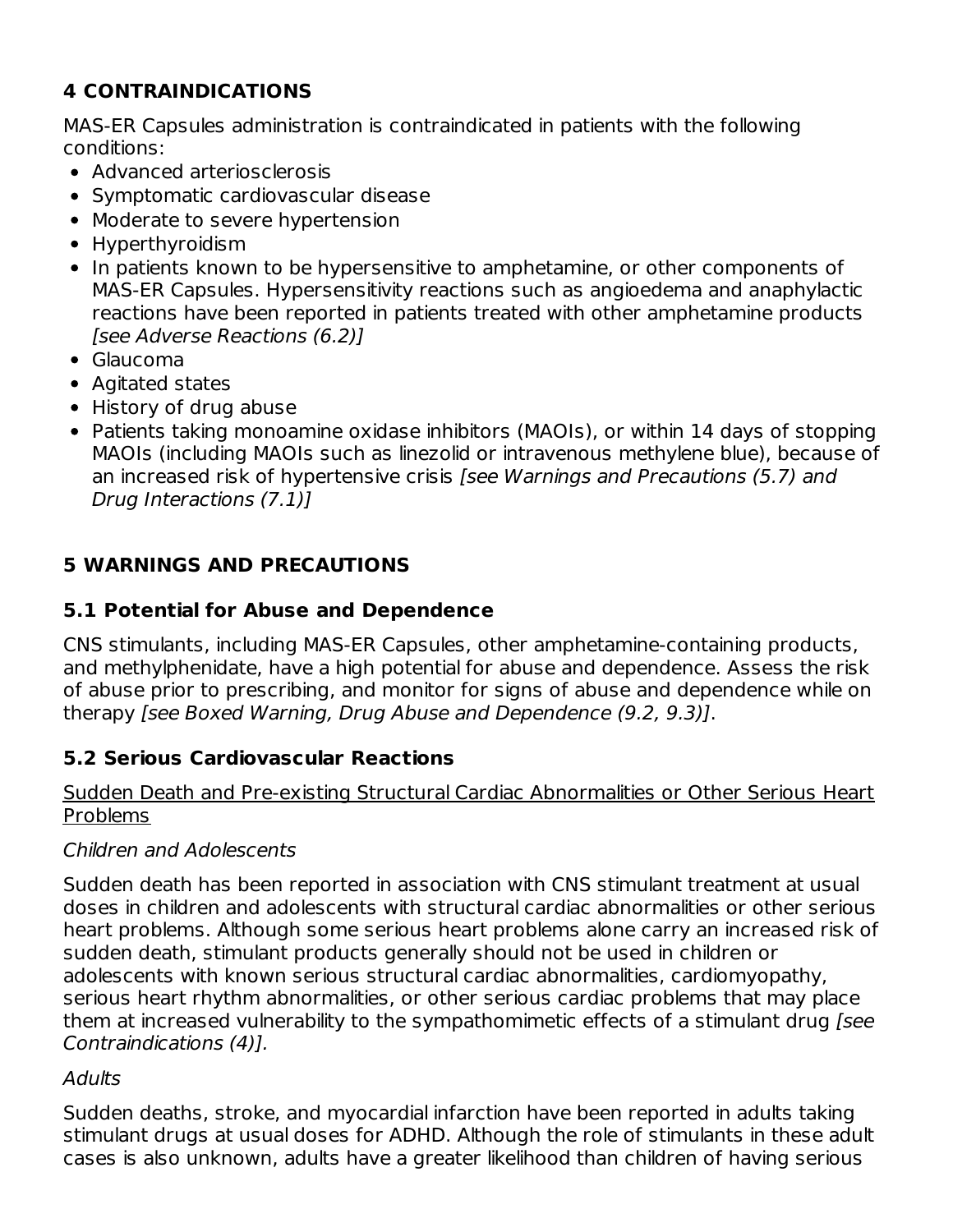## **4 CONTRAINDICATIONS**

MAS-ER Capsules administration is contraindicated in patients with the following conditions:

- Advanced arteriosclerosis
- Symptomatic cardiovascular disease
- Moderate to severe hypertension
- Hyperthyroidism
- In patients known to be hypersensitive to amphetamine, or other components of MAS-ER Capsules. Hypersensitivity reactions such as angioedema and anaphylactic reactions have been reported in patients treated with other amphetamine products [see Adverse Reactions (6.2)]
- Glaucoma
- Agitated states
- History of drug abuse
- Patients taking monoamine oxidase inhibitors (MAOIs), or within 14 days of stopping MAOIs (including MAOIs such as linezolid or intravenous methylene blue), because of an increased risk of hypertensive crisis [see Warnings and Precautions (5.7) and Drug Interactions (7.1)]

## **5 WARNINGS AND PRECAUTIONS**

### **5.1 Potential for Abuse and Dependence**

CNS stimulants, including MAS-ER Capsules, other amphetamine-containing products, and methylphenidate, have a high potential for abuse and dependence. Assess the risk of abuse prior to prescribing, and monitor for signs of abuse and dependence while on therapy [see Boxed Warning, Drug Abuse and Dependence (9.2, 9.3)].

### **5.2 Serious Cardiovascular Reactions**

#### Sudden Death and Pre-existing Structural Cardiac Abnormalities or Other Serious Heart Problems

#### Children and Adolescents

Sudden death has been reported in association with CNS stimulant treatment at usual doses in children and adolescents with structural cardiac abnormalities or other serious heart problems. Although some serious heart problems alone carry an increased risk of sudden death, stimulant products generally should not be used in children or adolescents with known serious structural cardiac abnormalities, cardiomyopathy, serious heart rhythm abnormalities, or other serious cardiac problems that may place them at increased vulnerability to the sympathomimetic effects of a stimulant drug [see Contraindications (4)].

### **Adults**

Sudden deaths, stroke, and myocardial infarction have been reported in adults taking stimulant drugs at usual doses for ADHD. Although the role of stimulants in these adult cases is also unknown, adults have a greater likelihood than children of having serious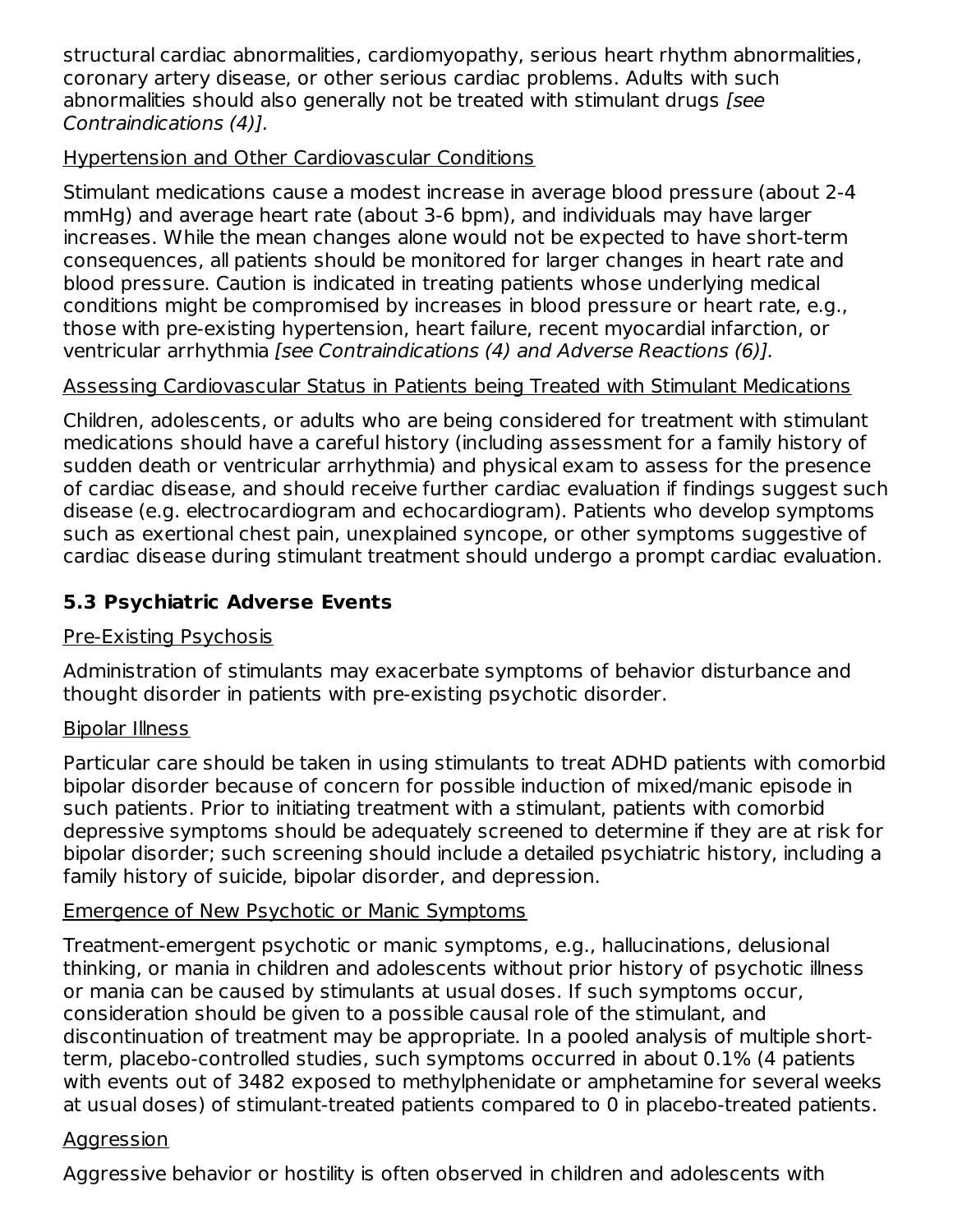structural cardiac abnormalities, cardiomyopathy, serious heart rhythm abnormalities, coronary artery disease, or other serious cardiac problems. Adults with such abnormalities should also generally not be treated with stimulant drugs [see Contraindications (4)].

#### Hypertension and Other Cardiovascular Conditions

Stimulant medications cause a modest increase in average blood pressure (about 2-4 mmHg) and average heart rate (about 3-6 bpm), and individuals may have larger increases. While the mean changes alone would not be expected to have short-term consequences, all patients should be monitored for larger changes in heart rate and blood pressure. Caution is indicated in treating patients whose underlying medical conditions might be compromised by increases in blood pressure or heart rate, e.g., those with pre-existing hypertension, heart failure, recent myocardial infarction, or ventricular arrhythmia [see Contraindications (4) and Adverse Reactions (6)].

### Assessing Cardiovascular Status in Patients being Treated with Stimulant Medications

Children, adolescents, or adults who are being considered for treatment with stimulant medications should have a careful history (including assessment for a family history of sudden death or ventricular arrhythmia) and physical exam to assess for the presence of cardiac disease, and should receive further cardiac evaluation if findings suggest such disease (e.g. electrocardiogram and echocardiogram). Patients who develop symptoms such as exertional chest pain, unexplained syncope, or other symptoms suggestive of cardiac disease during stimulant treatment should undergo a prompt cardiac evaluation.

## **5.3 Psychiatric Adverse Events**

### Pre-Existing Psychosis

Administration of stimulants may exacerbate symptoms of behavior disturbance and thought disorder in patients with pre-existing psychotic disorder.

### Bipolar Illness

Particular care should be taken in using stimulants to treat ADHD patients with comorbid bipolar disorder because of concern for possible induction of mixed/manic episode in such patients. Prior to initiating treatment with a stimulant, patients with comorbid depressive symptoms should be adequately screened to determine if they are at risk for bipolar disorder; such screening should include a detailed psychiatric history, including a family history of suicide, bipolar disorder, and depression.

### Emergence of New Psychotic or Manic Symptoms

Treatment-emergent psychotic or manic symptoms, e.g., hallucinations, delusional thinking, or mania in children and adolescents without prior history of psychotic illness or mania can be caused by stimulants at usual doses. If such symptoms occur, consideration should be given to a possible causal role of the stimulant, and discontinuation of treatment may be appropriate. In a pooled analysis of multiple shortterm, placebo-controlled studies, such symptoms occurred in about 0.1% (4 patients with events out of 3482 exposed to methylphenidate or amphetamine for several weeks at usual doses) of stimulant-treated patients compared to 0 in placebo-treated patients.

### Aggression

Aggressive behavior or hostility is often observed in children and adolescents with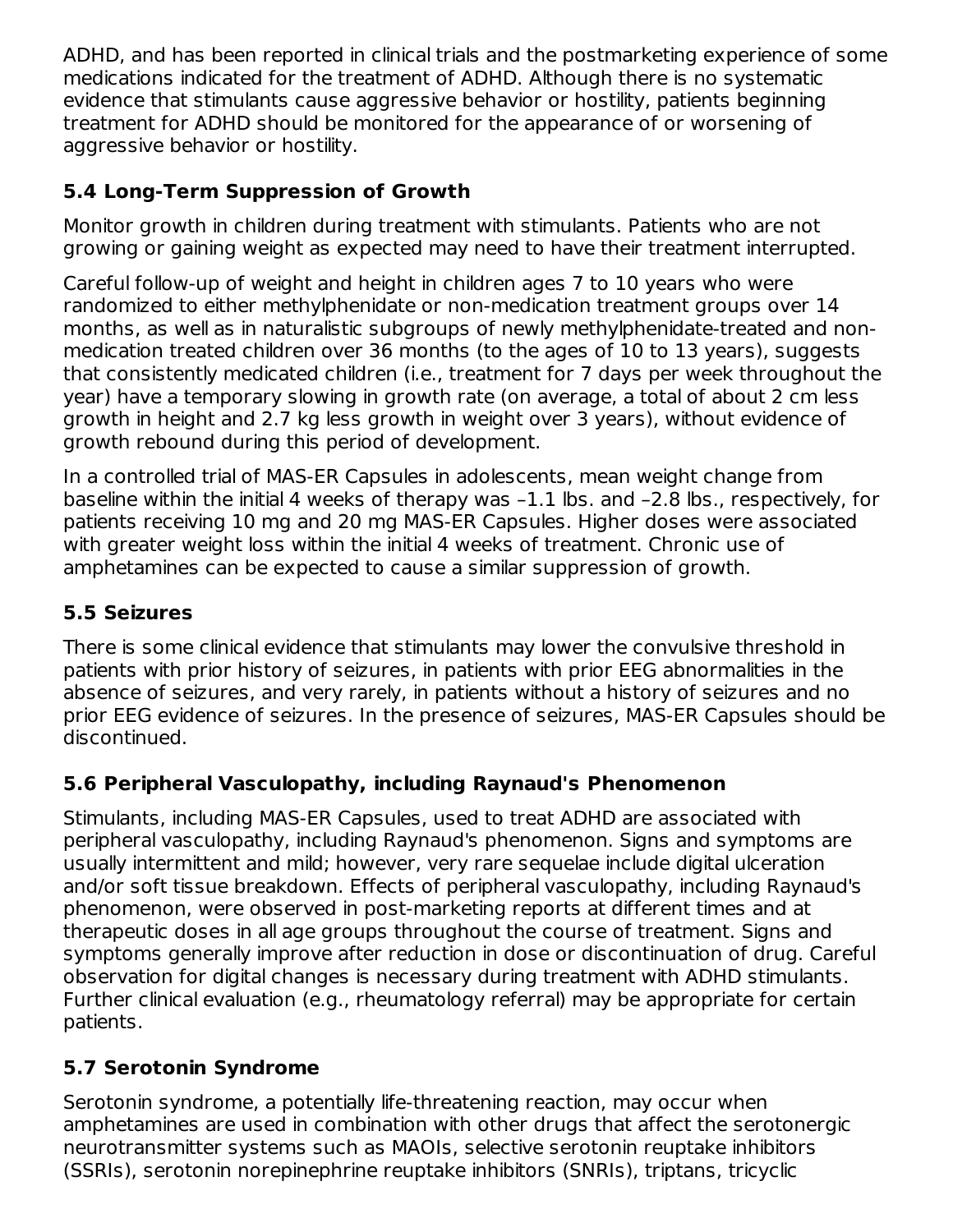ADHD, and has been reported in clinical trials and the postmarketing experience of some medications indicated for the treatment of ADHD. Although there is no systematic evidence that stimulants cause aggressive behavior or hostility, patients beginning treatment for ADHD should be monitored for the appearance of or worsening of aggressive behavior or hostility.

## **5.4 Long-Term Suppression of Growth**

Monitor growth in children during treatment with stimulants. Patients who are not growing or gaining weight as expected may need to have their treatment interrupted.

Careful follow-up of weight and height in children ages 7 to 10 years who were randomized to either methylphenidate or non-medication treatment groups over 14 months, as well as in naturalistic subgroups of newly methylphenidate-treated and nonmedication treated children over 36 months (to the ages of 10 to 13 years), suggests that consistently medicated children (i.e., treatment for 7 days per week throughout the year) have a temporary slowing in growth rate (on average, a total of about 2 cm less growth in height and 2.7 kg less growth in weight over 3 years), without evidence of growth rebound during this period of development.

In a controlled trial of MAS-ER Capsules in adolescents, mean weight change from baseline within the initial 4 weeks of therapy was –1.1 lbs. and –2.8 lbs., respectively, for patients receiving 10 mg and 20 mg MAS-ER Capsules. Higher doses were associated with greater weight loss within the initial 4 weeks of treatment. Chronic use of amphetamines can be expected to cause a similar suppression of growth.

## **5.5 Seizures**

There is some clinical evidence that stimulants may lower the convulsive threshold in patients with prior history of seizures, in patients with prior EEG abnormalities in the absence of seizures, and very rarely, in patients without a history of seizures and no prior EEG evidence of seizures. In the presence of seizures, MAS-ER Capsules should be discontinued.

## **5.6 Peripheral Vasculopathy, including Raynaud's Phenomenon**

Stimulants, including MAS-ER Capsules, used to treat ADHD are associated with peripheral vasculopathy, including Raynaud's phenomenon. Signs and symptoms are usually intermittent and mild; however, very rare sequelae include digital ulceration and/or soft tissue breakdown. Effects of peripheral vasculopathy, including Raynaud's phenomenon, were observed in post-marketing reports at different times and at therapeutic doses in all age groups throughout the course of treatment. Signs and symptoms generally improve after reduction in dose or discontinuation of drug. Careful observation for digital changes is necessary during treatment with ADHD stimulants. Further clinical evaluation (e.g., rheumatology referral) may be appropriate for certain patients.

## **5.7 Serotonin Syndrome**

Serotonin syndrome, a potentially life-threatening reaction, may occur when amphetamines are used in combination with other drugs that affect the serotonergic neurotransmitter systems such as MAOIs, selective serotonin reuptake inhibitors (SSRIs), serotonin norepinephrine reuptake inhibitors (SNRIs), triptans, tricyclic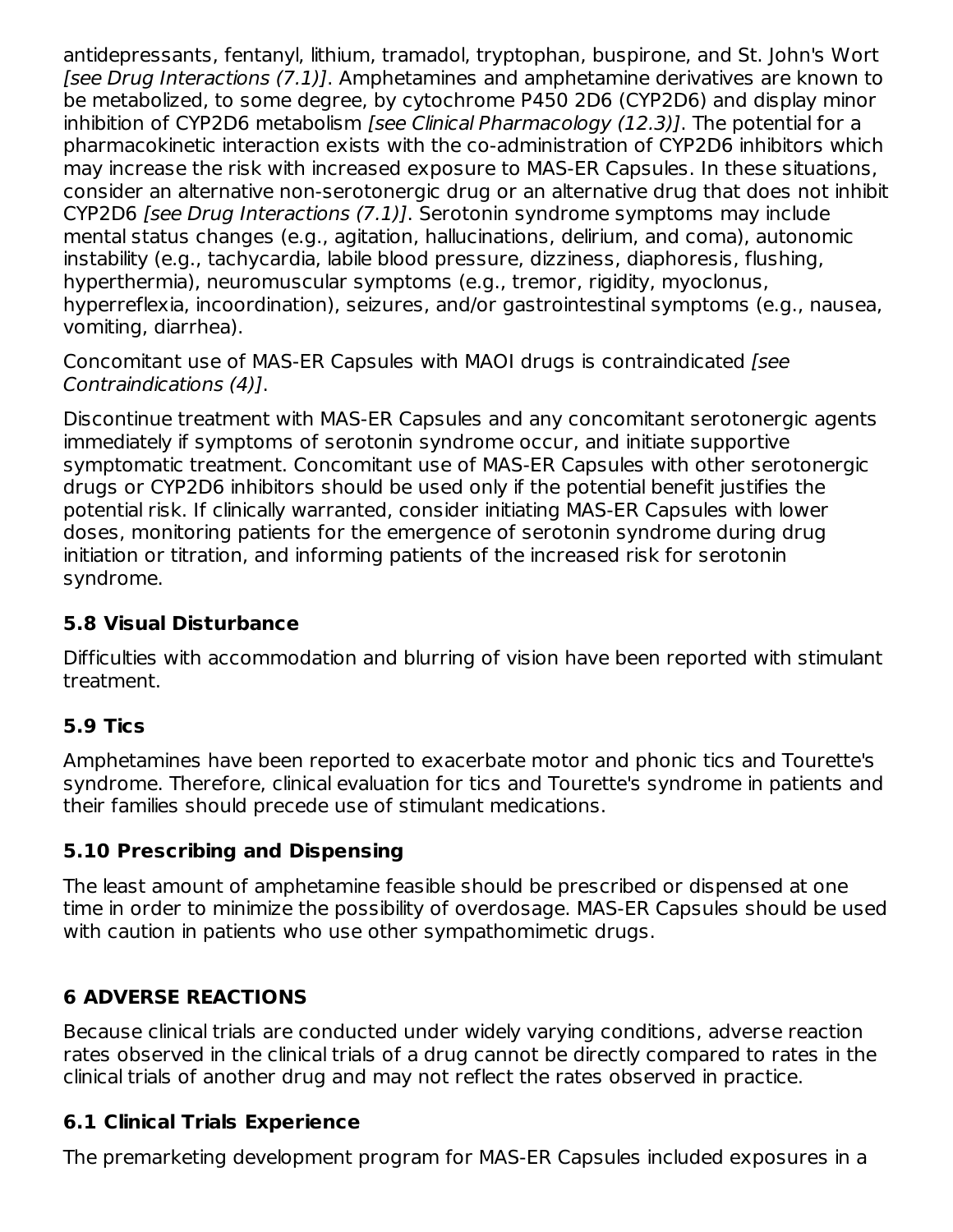antidepressants, fentanyl, lithium, tramadol, tryptophan, buspirone, and St. John's Wort [see Drug Interactions (7.1)]. Amphetamines and amphetamine derivatives are known to be metabolized, to some degree, by cytochrome P450 2D6 (CYP2D6) and display minor inhibition of CYP2D6 metabolism [see Clinical Pharmacology (12.3)]. The potential for a pharmacokinetic interaction exists with the co-administration of CYP2D6 inhibitors which may increase the risk with increased exposure to MAS-ER Capsules. In these situations, consider an alternative non-serotonergic drug or an alternative drug that does not inhibit CYP2D6 [see Drug Interactions (7.1)]. Serotonin syndrome symptoms may include mental status changes (e.g., agitation, hallucinations, delirium, and coma), autonomic instability (e.g., tachycardia, labile blood pressure, dizziness, diaphoresis, flushing, hyperthermia), neuromuscular symptoms (e.g., tremor, rigidity, myoclonus, hyperreflexia, incoordination), seizures, and/or gastrointestinal symptoms (e.g., nausea, vomiting, diarrhea).

Concomitant use of MAS-ER Capsules with MAOI drugs is contraindicated [see Contraindications (4)].

Discontinue treatment with MAS-ER Capsules and any concomitant serotonergic agents immediately if symptoms of serotonin syndrome occur, and initiate supportive symptomatic treatment. Concomitant use of MAS-ER Capsules with other serotonergic drugs or CYP2D6 inhibitors should be used only if the potential benefit justifies the potential risk. If clinically warranted, consider initiating MAS-ER Capsules with lower doses, monitoring patients for the emergence of serotonin syndrome during drug initiation or titration, and informing patients of the increased risk for serotonin syndrome.

## **5.8 Visual Disturbance**

Difficulties with accommodation and blurring of vision have been reported with stimulant treatment.

### **5.9 Tics**

Amphetamines have been reported to exacerbate motor and phonic tics and Tourette's syndrome. Therefore, clinical evaluation for tics and Tourette's syndrome in patients and their families should precede use of stimulant medications.

### **5.10 Prescribing and Dispensing**

The least amount of amphetamine feasible should be prescribed or dispensed at one time in order to minimize the possibility of overdosage. MAS-ER Capsules should be used with caution in patients who use other sympathomimetic drugs.

### **6 ADVERSE REACTIONS**

Because clinical trials are conducted under widely varying conditions, adverse reaction rates observed in the clinical trials of a drug cannot be directly compared to rates in the clinical trials of another drug and may not reflect the rates observed in practice.

### **6.1 Clinical Trials Experience**

The premarketing development program for MAS-ER Capsules included exposures in a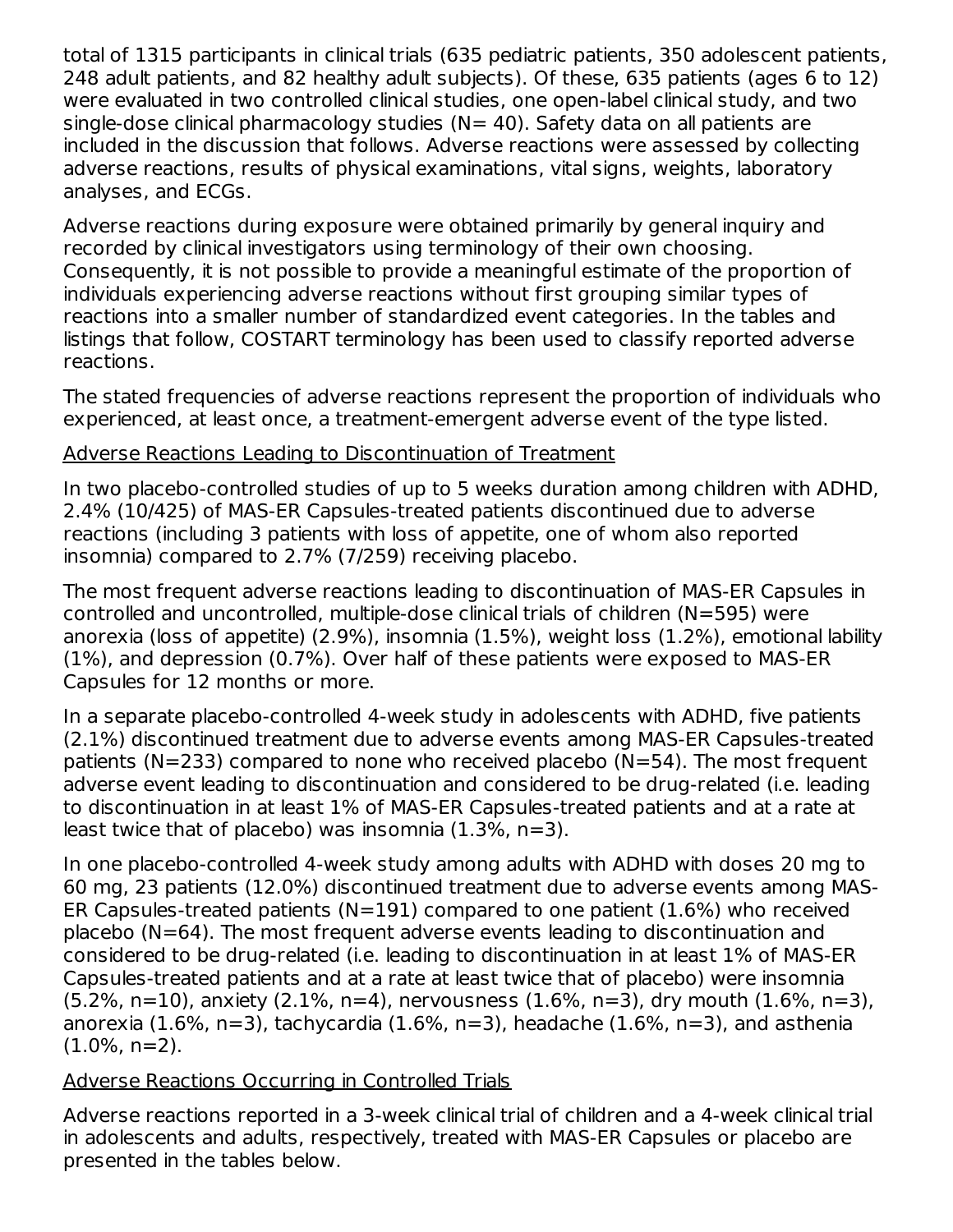total of 1315 participants in clinical trials (635 pediatric patients, 350 adolescent patients, 248 adult patients, and 82 healthy adult subjects). Of these, 635 patients (ages 6 to 12) were evaluated in two controlled clinical studies, one open-label clinical study, and two single-dose clinical pharmacology studies  $(N= 40)$ . Safety data on all patients are included in the discussion that follows. Adverse reactions were assessed by collecting adverse reactions, results of physical examinations, vital signs, weights, laboratory analyses, and ECGs.

Adverse reactions during exposure were obtained primarily by general inquiry and recorded by clinical investigators using terminology of their own choosing. Consequently, it is not possible to provide a meaningful estimate of the proportion of individuals experiencing adverse reactions without first grouping similar types of reactions into a smaller number of standardized event categories. In the tables and listings that follow, COSTART terminology has been used to classify reported adverse reactions.

The stated frequencies of adverse reactions represent the proportion of individuals who experienced, at least once, a treatment-emergent adverse event of the type listed.

#### Adverse Reactions Leading to Discontinuation of Treatment

In two placebo-controlled studies of up to 5 weeks duration among children with ADHD, 2.4% (10/425) of MAS-ER Capsules-treated patients discontinued due to adverse reactions (including 3 patients with loss of appetite, one of whom also reported insomnia) compared to 2.7% (7/259) receiving placebo.

The most frequent adverse reactions leading to discontinuation of MAS-ER Capsules in controlled and uncontrolled, multiple-dose clinical trials of children (N=595) were anorexia (loss of appetite) (2.9%), insomnia (1.5%), weight loss (1.2%), emotional lability (1%), and depression (0.7%). Over half of these patients were exposed to MAS-ER Capsules for 12 months or more.

In a separate placebo-controlled 4-week study in adolescents with ADHD, five patients (2.1%) discontinued treatment due to adverse events among MAS-ER Capsules-treated patients (N=233) compared to none who received placebo (N=54). The most frequent adverse event leading to discontinuation and considered to be drug-related (i.e. leading to discontinuation in at least 1% of MAS-ER Capsules-treated patients and at a rate at least twice that of placebo) was insomnia  $(1.3\% , n=3)$ .

In one placebo-controlled 4-week study among adults with ADHD with doses 20 mg to 60 mg, 23 patients (12.0%) discontinued treatment due to adverse events among MAS-ER Capsules-treated patients  $(N=191)$  compared to one patient (1.6%) who received placebo (N=64). The most frequent adverse events leading to discontinuation and considered to be drug-related (i.e. leading to discontinuation in at least 1% of MAS-ER Capsules-treated patients and at a rate at least twice that of placebo) were insomnia (5.2%, n=10), anxiety (2.1%, n=4), nervousness (1.6%, n=3), dry mouth (1.6%, n=3), anorexia (1.6%, n=3), tachycardia (1.6%, n=3), headache (1.6%, n=3), and asthenia  $(1.0\%$ , n=2).

### Adverse Reactions Occurring in Controlled Trials

Adverse reactions reported in a 3-week clinical trial of children and a 4-week clinical trial in adolescents and adults, respectively, treated with MAS-ER Capsules or placebo are presented in the tables below.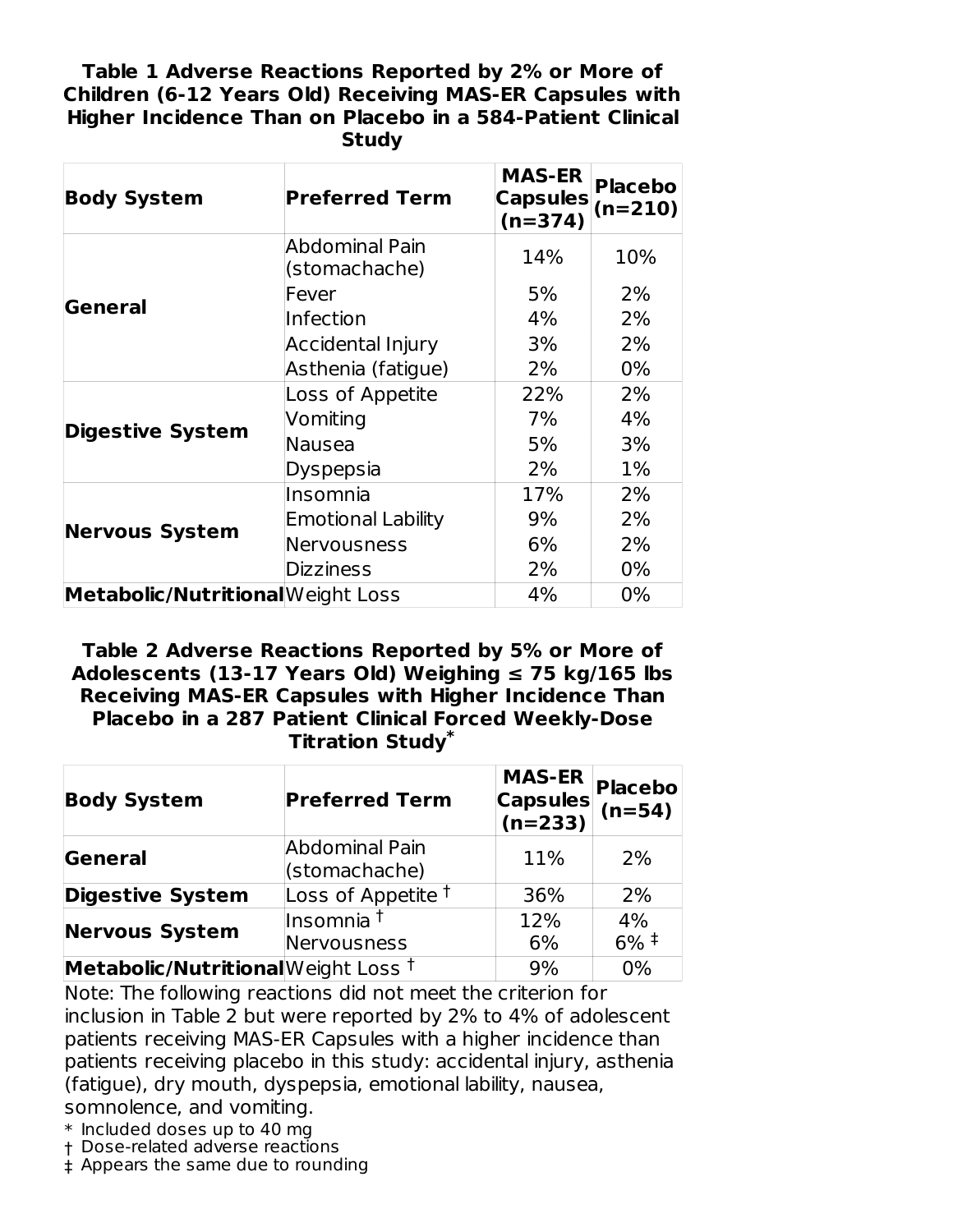**Table 1 Adverse Reactions Reported by 2% or More of Children (6-12 Years Old) Receiving MAS-ER Capsules with Higher Incidence Than on Placebo in a 584-Patient Clinical Study**

| <b>Body System</b>               | <b>Preferred Term</b>           | <b>MAS-ER</b><br><b>Capsules</b><br>$(n=374)$ | <b>Placebo</b><br>$(n=210)$ |
|----------------------------------|---------------------------------|-----------------------------------------------|-----------------------------|
|                                  | Abdominal Pain<br>(stomachache) | 14%                                           | 10%                         |
|                                  | Fever                           | 5%                                            | 2%                          |
| General                          | <b>Infection</b>                | 4%                                            | 2%                          |
|                                  | <b>Accidental Injury</b>        | 3%                                            | 2%                          |
|                                  | Asthenia (fatigue)              | 2%                                            | $0\%$                       |
|                                  | Loss of Appetite                | 22%                                           | 2%                          |
|                                  | Vomiting                        | 7%                                            | 4%                          |
| <b>Digestive System</b>          | Nausea                          | 5%                                            | 3%                          |
|                                  | <b>Dyspepsia</b>                | 2%                                            | $1\%$                       |
|                                  | Insomnia                        | 17%                                           | 2%                          |
|                                  | <b>Emotional Lability</b>       | $9\%$                                         | 2%                          |
| <b>Nervous System</b>            | <b>Nervousness</b>              | 6%                                            | 2%                          |
|                                  | <b>Dizziness</b>                | 2%                                            | $0\%$                       |
| Metabolic/NutritionalWeight Loss |                                 | 4%                                            | $0\%$                       |

**Table 2 Adverse Reactions Reported by 5% or More of Adolescents (13-17 Years Old) Weighing ≤ 75 kg/165 lbs Receiving MAS-ER Capsules with Higher Incidence Than Placebo in a 287 Patient Clinical Forced Weekly-Dose Titration Study \***

| <b>Body System</b>                                    | <b>Preferred Term</b>                  | <b>MAS-ER</b><br>Capsules<br>(n=233) | Placebo<br>(n=54) |
|-------------------------------------------------------|----------------------------------------|--------------------------------------|-------------------|
| General                                               | <b>Abdominal Pain</b><br>(stomachache) | 11%                                  | 2%                |
| <b>Digestive System</b>                               | Loss of Appetite $^{\dagger}$          | 36%                                  | 2%                |
| <b>Nervous System</b>                                 | Insomnia †<br>Nervousness              | 12%<br>6%                            | 4%<br>$6\%$ ‡     |
| <b>Metabolic/Nutritional</b> Weight Loss $^{\dagger}$ |                                        | 9%                                   | 0%                |

Note: The following reactions did not meet the criterion for inclusion in Table 2 but were reported by 2% to 4% of adolescent patients receiving MAS-ER Capsules with a higher incidence than patients receiving placebo in this study: accidental injury, asthenia (fatigue), dry mouth, dyspepsia, emotional lability, nausea, somnolence, and vomiting.

\* Included doses up to 40 mg

† Dose-related adverse reactions

‡ Appears the same due to rounding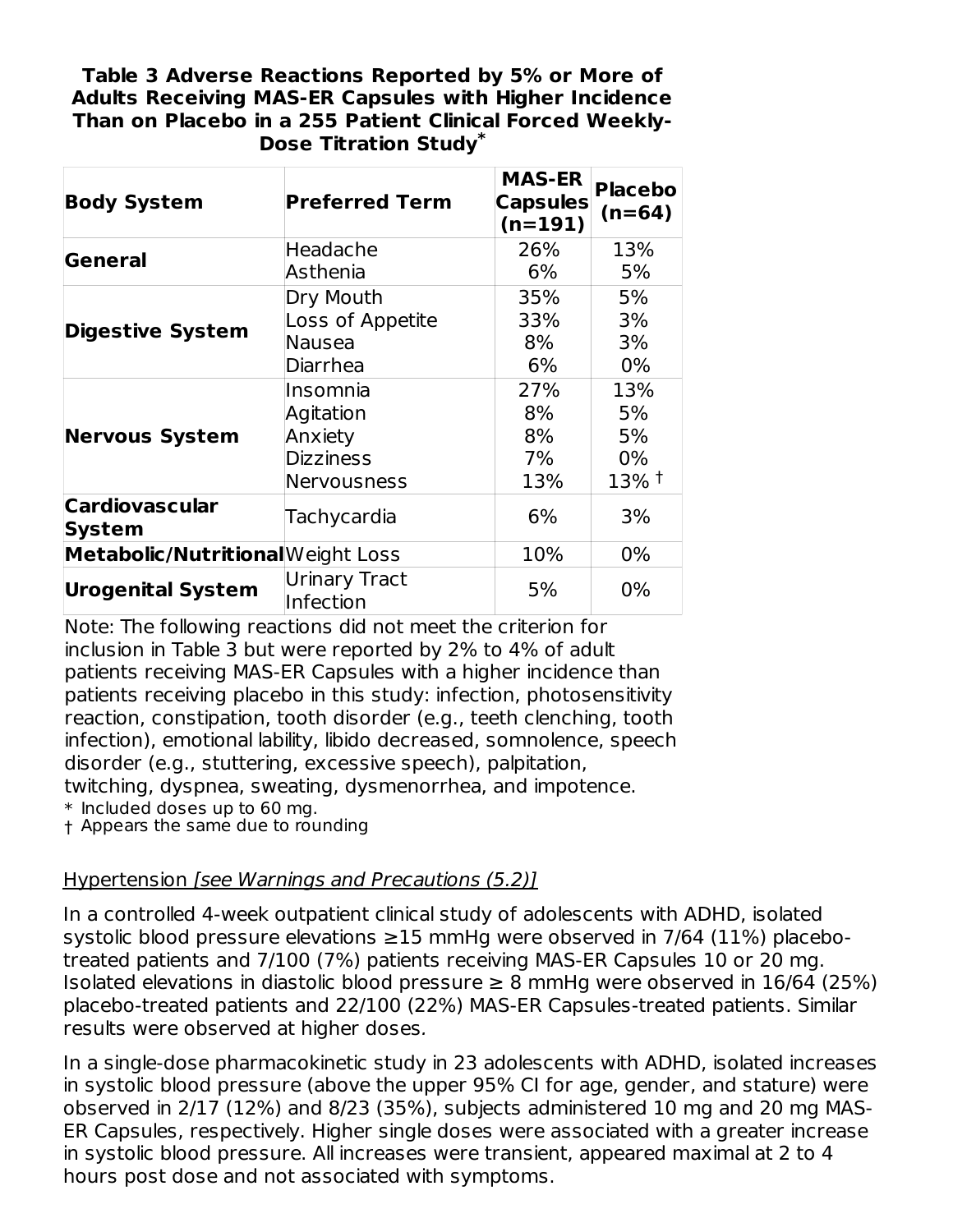**Table 3 Adverse Reactions Reported by 5% or More of Adults Receiving MAS-ER Capsules with Higher Incidence Than on Placebo in a 255 Patient Clinical Forced Weekly-Dose Titration Study \***

| <b>Body System</b>                       | <b>Preferred Term</b>      | <b>MAS-ER</b><br><b>Capsules</b><br>$(n=191)$ | <b>Placebo</b><br>$(n=64)$ |
|------------------------------------------|----------------------------|-----------------------------------------------|----------------------------|
| <b>General</b>                           | Headache                   | 26%                                           | 13%                        |
|                                          | Asthenia                   | 6%                                            | 5%                         |
|                                          | Dry Mouth                  | 35%                                           | 5%                         |
| <b>Digestive System</b>                  | Loss of Appetite           | 33%                                           | 3%                         |
|                                          | <b>Nausea</b>              | 8%                                            | 3%                         |
|                                          | Diarrhea                   | 6%                                            | $0\%$                      |
|                                          | Insomnia                   | 27%                                           | 13%                        |
|                                          | Agitation                  | 8%                                            | 5%                         |
| <b>Nervous System</b>                    | Anxiety                    | 8%                                            | 5%                         |
|                                          | <b>Dizziness</b>           | 7%                                            | 0%                         |
|                                          | <b>Nervousness</b>         | 13%                                           | $13\%$ †                   |
| Cardiovascular<br><b>System</b>          | Tachycardia                | 6%                                            | 3%                         |
| <b>Metabolic/Nutritional Weight Loss</b> |                            | 10%                                           | $0\%$                      |
| <b>Urogenital System</b>                 | Urinary Tract<br>Infection | 5%                                            | $0\%$                      |

Note: The following reactions did not meet the criterion for inclusion in Table 3 but were reported by 2% to 4% of adult patients receiving MAS-ER Capsules with a higher incidence than patients receiving placebo in this study: infection, photosensitivity reaction, constipation, tooth disorder (e.g., teeth clenching, tooth infection), emotional lability, libido decreased, somnolence, speech disorder (e.g., stuttering, excessive speech), palpitation, twitching, dyspnea, sweating, dysmenorrhea, and impotence.

\* Included doses up to 60 mg.

† Appears the same due to rounding

### Hypertension [see Warnings and Precautions (5.2)]

In a controlled 4-week outpatient clinical study of adolescents with ADHD, isolated systolic blood pressure elevations  $\geq$ 15 mmHg were observed in 7/64 (11%) placebotreated patients and 7/100 (7%) patients receiving MAS-ER Capsules 10 or 20 mg. Isolated elevations in diastolic blood pressure ≥ 8 mmHg were observed in 16/64 (25%) placebo-treated patients and 22/100 (22%) MAS-ER Capsules-treated patients. Similar results were observed at higher doses.

In a single-dose pharmacokinetic study in 23 adolescents with ADHD, isolated increases in systolic blood pressure (above the upper 95% CI for age, gender, and stature) were observed in 2/17 (12%) and 8/23 (35%), subjects administered 10 mg and 20 mg MAS-ER Capsules, respectively. Higher single doses were associated with a greater increase in systolic blood pressure. All increases were transient, appeared maximal at 2 to 4 hours post dose and not associated with symptoms.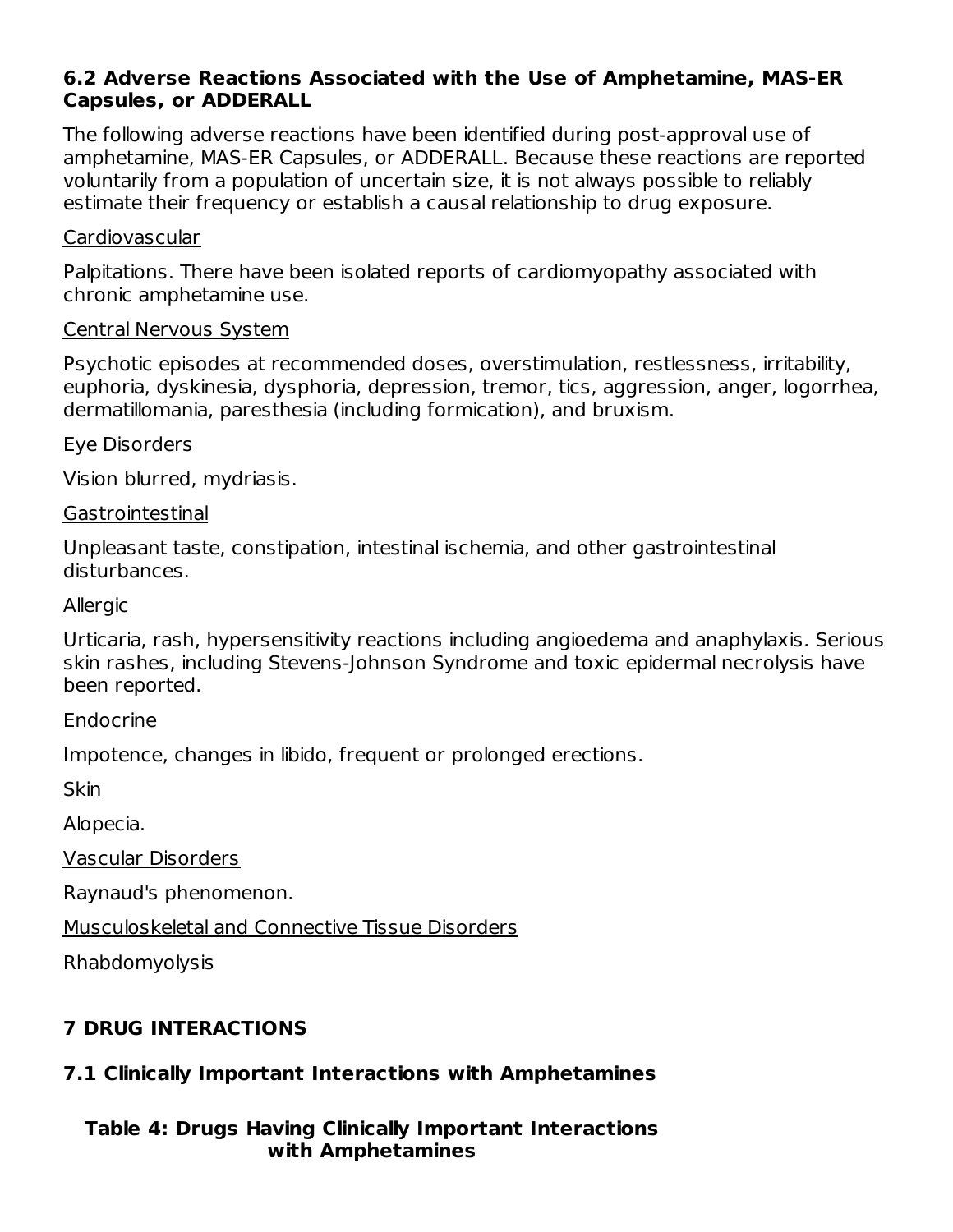#### **6.2 Adverse Reactions Associated with the Use of Amphetamine, MAS-ER Capsules, or ADDERALL**

The following adverse reactions have been identified during post-approval use of amphetamine, MAS-ER Capsules, or ADDERALL. Because these reactions are reported voluntarily from a population of uncertain size, it is not always possible to reliably estimate their frequency or establish a causal relationship to drug exposure.

#### Cardiovascular

Palpitations. There have been isolated reports of cardiomyopathy associated with chronic amphetamine use.

#### Central Nervous System

Psychotic episodes at recommended doses, overstimulation, restlessness, irritability, euphoria, dyskinesia, dysphoria, depression, tremor, tics, aggression, anger, logorrhea, dermatillomania, paresthesia (including formication), and bruxism.

#### Eye Disorders

Vision blurred, mydriasis.

#### Gastrointestinal

Unpleasant taste, constipation, intestinal ischemia, and other gastrointestinal disturbances.

#### Allergic

Urticaria, rash, hypersensitivity reactions including angioedema and anaphylaxis. Serious skin rashes, including Stevens-Johnson Syndrome and toxic epidermal necrolysis have been reported.

#### Endocrine

Impotence, changes in libido, frequent or prolonged erections.

**Skin** 

Alopecia.

Vascular Disorders

Raynaud's phenomenon.

Musculoskeletal and Connective Tissue Disorders

Rhabdomyolysis

## **7 DRUG INTERACTIONS**

# **7.1 Clinically Important Interactions with Amphetamines**

#### **Table 4: Drugs Having Clinically Important Interactions with Amphetamines**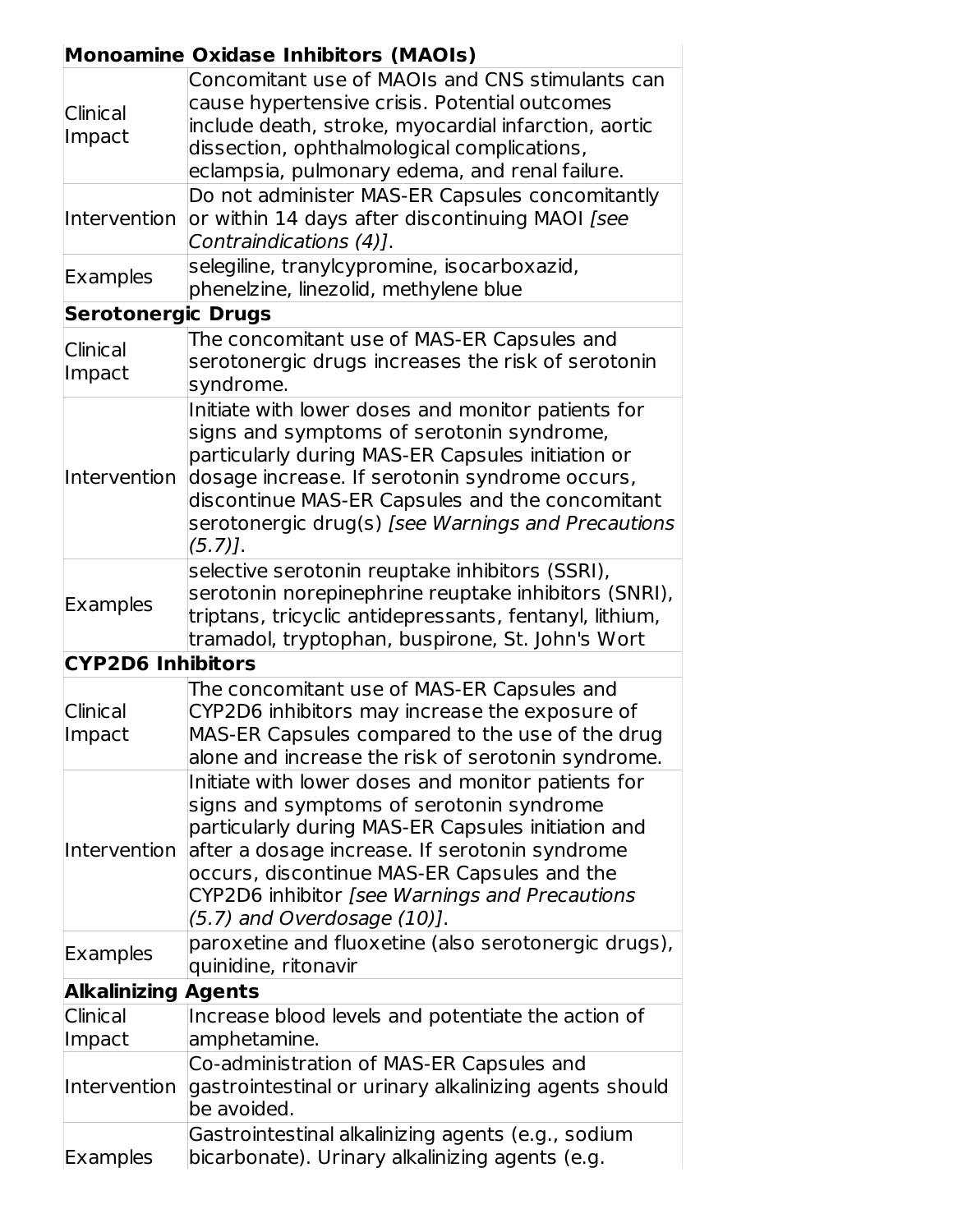# **Monoamine Oxidase Inhibitors (MAOIs)**

 $\begin{array}{c} \hline \end{array}$ 

|                            | Concomitant use of MAOIs and CNS stimulants can         |
|----------------------------|---------------------------------------------------------|
| <b>Clinical</b>            | cause hypertensive crisis. Potential outcomes           |
| Impact                     | include death, stroke, myocardial infarction, aortic    |
|                            | dissection, ophthalmological complications,             |
|                            | eclampsia, pulmonary edema, and renal failure.          |
|                            | Do not administer MAS-ER Capsules concomitantly         |
| Intervention               | or within 14 days after discontinuing MAOI [see         |
|                            | Contraindications (4)].                                 |
|                            | selegiline, tranylcypromine, isocarboxazid,             |
| <b>Examples</b>            | phenelzine, linezolid, methylene blue                   |
| <b>Serotonergic Drugs</b>  |                                                         |
| Clinical                   | The concomitant use of MAS-ER Capsules and              |
|                            | serotonergic drugs increases the risk of serotonin      |
| Impact                     | syndrome.                                               |
|                            | Initiate with lower doses and monitor patients for      |
|                            | signs and symptoms of serotonin syndrome,               |
|                            | particularly during MAS-ER Capsules initiation or       |
| Intervention               | dosage increase. If serotonin syndrome occurs,          |
|                            | discontinue MAS-ER Capsules and the concomitant         |
|                            | serotonergic drug(s) [see Warnings and Precautions      |
|                            | $(5.7)$ ].                                              |
|                            | selective serotonin reuptake inhibitors (SSRI),         |
| <b>Examples</b>            | serotonin norepinephrine reuptake inhibitors (SNRI),    |
|                            | triptans, tricyclic antidepressants, fentanyl, lithium, |
|                            | tramadol, tryptophan, buspirone, St. John's Wort        |
| <b>CYP2D6 Inhibitors</b>   |                                                         |
|                            | The concomitant use of MAS-ER Capsules and              |
| Clinical                   | CYP2D6 inhibitors may increase the exposure of          |
| Impact                     | MAS-ER Capsules compared to the use of the drug         |
|                            | alone and increase the risk of serotonin syndrome.      |
|                            | Initiate with lower doses and monitor patients for      |
|                            | signs and symptoms of serotonin syndrome                |
|                            | particularly during MAS-ER Capsules initiation and      |
| Intervention               | after a dosage increase. If serotonin syndrome          |
|                            | occurs, discontinue MAS-ER Capsules and the             |
|                            | CYP2D6 inhibitor [see Warnings and Precautions          |
|                            | (5.7) and Overdosage (10)].                             |
| Examples                   | paroxetine and fluoxetine (also serotonergic drugs),    |
|                            | quinidine, ritonavir                                    |
| <b>Alkalinizing Agents</b> |                                                         |
| Clinical                   | Increase blood levels and potentiate the action of      |
| Impact                     | amphetamine.                                            |
|                            | Co-administration of MAS-ER Capsules and                |
| Intervention               | gastrointestinal or urinary alkalinizing agents should  |
|                            | be avoided.                                             |
|                            | Gastrointestinal alkalinizing agents (e.g., sodium      |
| Examples                   | bicarbonate). Urinary alkalinizing agents (e.g.         |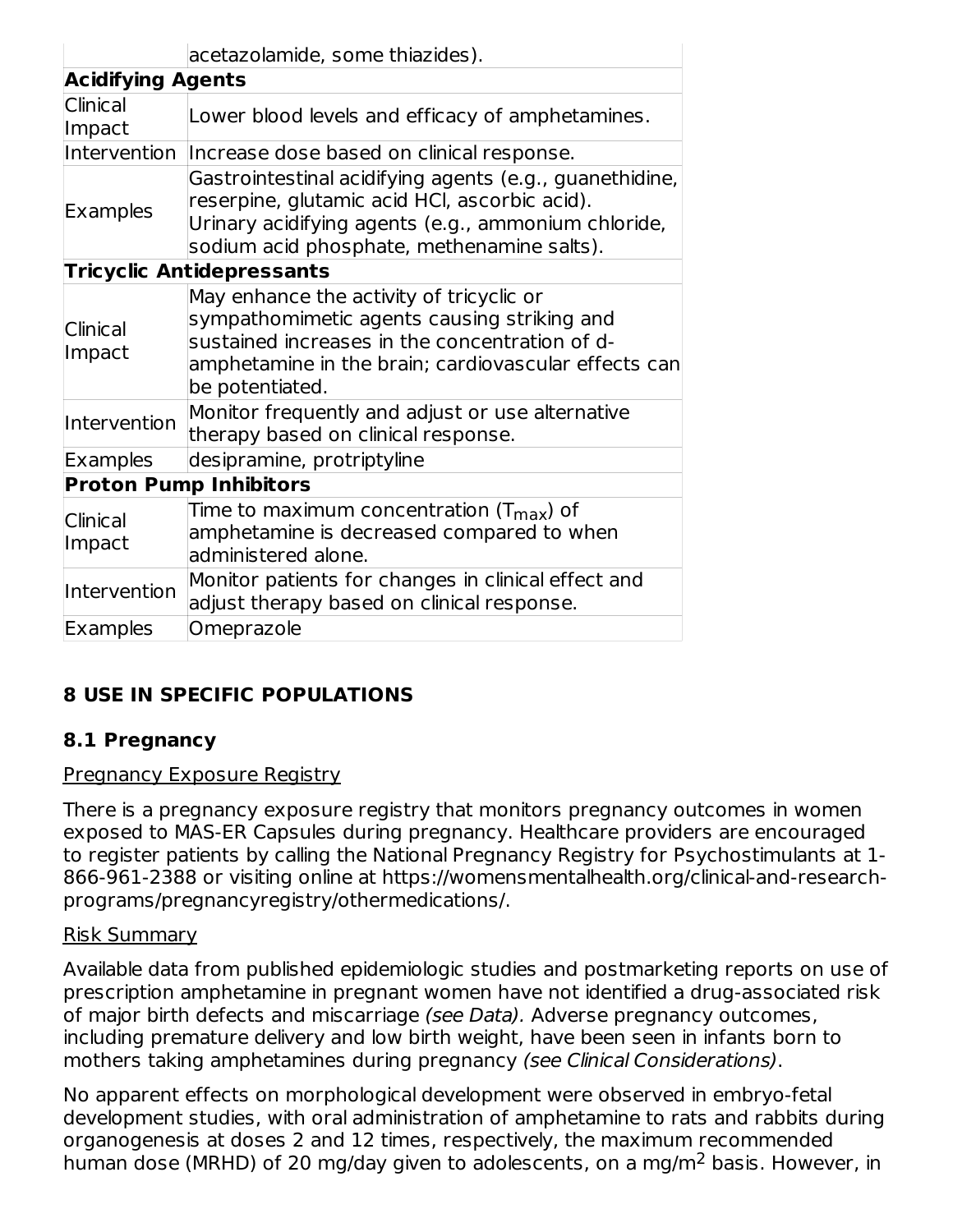|                          | acetazolamide, some thiazides).                                                                                                                                                                                      |
|--------------------------|----------------------------------------------------------------------------------------------------------------------------------------------------------------------------------------------------------------------|
| <b>Acidifying Agents</b> |                                                                                                                                                                                                                      |
| Clinical<br> Impact      | Lower blood levels and efficacy of amphetamines.                                                                                                                                                                     |
|                          | Intervention  Increase dose based on clinical response.                                                                                                                                                              |
| Examples                 | Gastrointestinal acidifying agents (e.g., guanethidine,<br>reserpine, glutamic acid HCI, ascorbic acid).<br>Urinary acidifying agents (e.g., ammonium chloride,<br>sodium acid phosphate, methenamine salts).        |
|                          | <b>Tricyclic Antidepressants</b>                                                                                                                                                                                     |
| Clinical<br> Impact      | May enhance the activity of tricyclic or<br>sympathomimetic agents causing striking and<br>sustained increases in the concentration of d-<br>amphetamine in the brain; cardiovascular effects can<br>be potentiated. |
| Intervention             | Monitor frequently and adjust or use alternative<br>therapy based on clinical response.                                                                                                                              |
| Examples                 | desipramine, protriptyline                                                                                                                                                                                           |
|                          | <b>Proton Pump Inhibitors</b>                                                                                                                                                                                        |
| Clinical<br>Impact       | Time to maximum concentration $(T_{max})$ of<br>amphetamine is decreased compared to when<br>administered alone.                                                                                                     |
| Intervention             | Monitor patients for changes in clinical effect and<br>adjust therapy based on clinical response.                                                                                                                    |
| Examples                 | Omeprazole                                                                                                                                                                                                           |

## **8 USE IN SPECIFIC POPULATIONS**

#### **8.1 Pregnancy**

#### Pregnancy Exposure Registry

There is a pregnancy exposure registry that monitors pregnancy outcomes in women exposed to MAS-ER Capsules during pregnancy. Healthcare providers are encouraged to register patients by calling the National Pregnancy Registry for Psychostimulants at 1- 866-961-2388 or visiting online at https://womensmentalhealth.org/clinical-and-researchprograms/pregnancyregistry/othermedications/.

#### Risk Summary

Available data from published epidemiologic studies and postmarketing reports on use of prescription amphetamine in pregnant women have not identified a drug-associated risk of major birth defects and miscarriage (see Data). Adverse pregnancy outcomes, including premature delivery and low birth weight, have been seen in infants born to mothers taking amphetamines during pregnancy (see Clinical Considerations).

No apparent effects on morphological development were observed in embryo-fetal development studies, with oral administration of amphetamine to rats and rabbits during organogenesis at doses 2 and 12 times, respectively, the maximum recommended human dose (MRHD) of 20 mg/day given to adolescents, on a mg/m<sup>2</sup> basis. However, in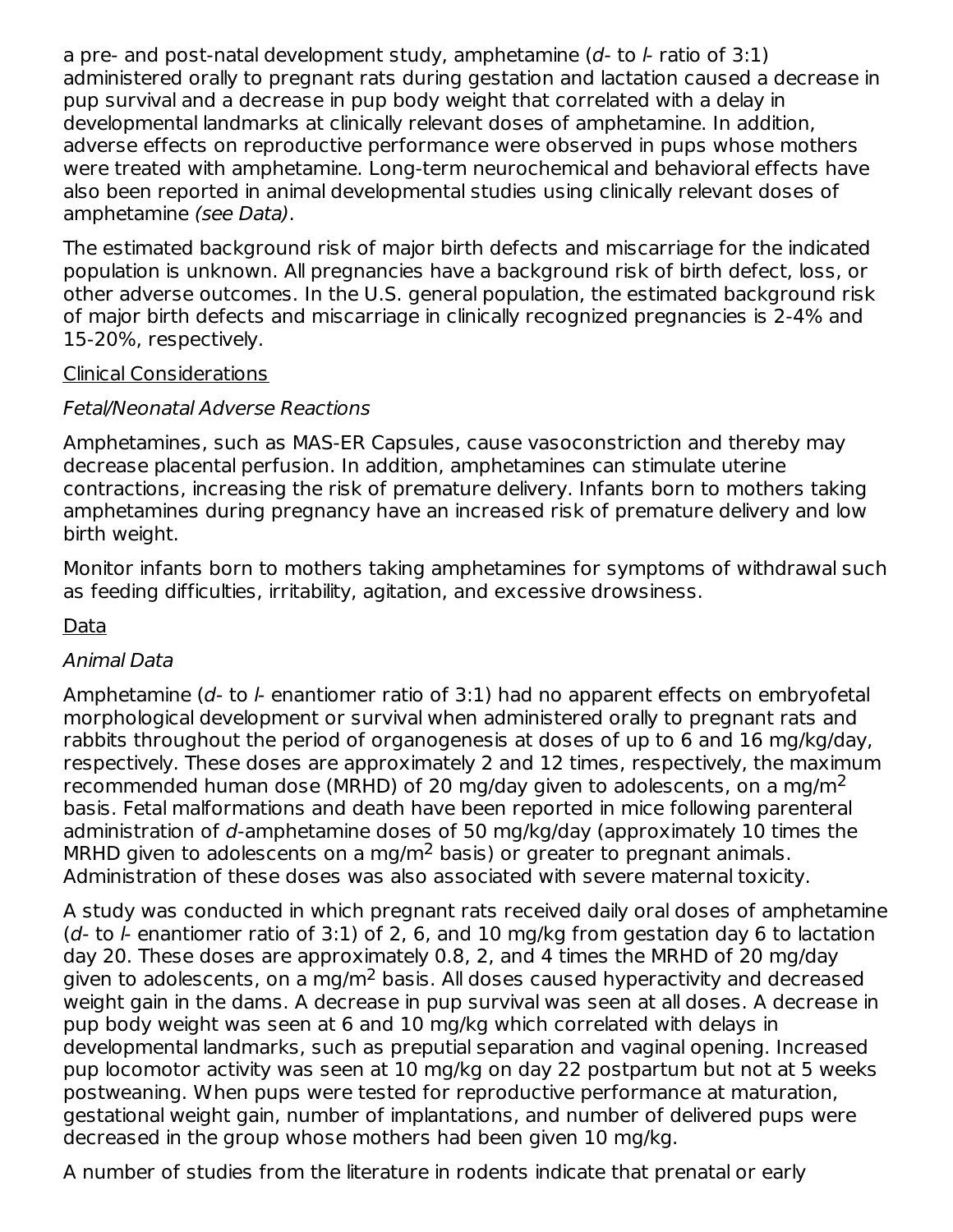a pre- and post-natal development study, amphetamine  $(d<sup>2</sup> - d<sup>2</sup> - d<sup>2</sup>)$  ratio of 3:1) administered orally to pregnant rats during gestation and lactation caused a decrease in pup survival and a decrease in pup body weight that correlated with a delay in developmental landmarks at clinically relevant doses of amphetamine. In addition, adverse effects on reproductive performance were observed in pups whose mothers were treated with amphetamine. Long-term neurochemical and behavioral effects have also been reported in animal developmental studies using clinically relevant doses of amphetamine (see Data).

The estimated background risk of major birth defects and miscarriage for the indicated population is unknown. All pregnancies have a background risk of birth defect, loss, or other adverse outcomes. In the U.S. general population, the estimated background risk of major birth defects and miscarriage in clinically recognized pregnancies is 2-4% and 15-20%, respectively.

#### Clinical Considerations

#### Fetal/Neonatal Adverse Reactions

Amphetamines, such as MAS-ER Capsules, cause vasoconstriction and thereby may decrease placental perfusion. In addition, amphetamines can stimulate uterine contractions, increasing the risk of premature delivery. Infants born to mothers taking amphetamines during pregnancy have an increased risk of premature delivery and low birth weight.

Monitor infants born to mothers taking amphetamines for symptoms of withdrawal such as feeding difficulties, irritability, agitation, and excessive drowsiness.

#### Data

#### Animal Data

Amphetamine  $(d<sub>-</sub> t<sub>0</sub>l<sub>-</sub>$  enantiomer ratio of 3:1) had no apparent effects on embryofetal morphological development or survival when administered orally to pregnant rats and rabbits throughout the period of organogenesis at doses of up to 6 and 16 mg/kg/day, respectively. These doses are approximately 2 and 12 times, respectively, the maximum recommended human dose (MRHD) of 20 mg/day given to adolescents, on a mg/m<sup>2</sup> basis. Fetal malformations and death have been reported in mice following parenteral administration of d-amphetamine doses of 50 mg/kg/day (approximately 10 times the MRHD given to adolescents on a mg/m<sup>2</sup> basis) or greater to pregnant animals. Administration of these doses was also associated with severe maternal toxicity.

A study was conducted in which pregnant rats received daily oral doses of amphetamine  $(d<sub>-</sub>$  to  $l<sub>-</sub>$  enantiomer ratio of 3:1) of 2, 6, and 10 mg/kg from gestation day 6 to lactation day 20. These doses are approximately 0.8, 2, and 4 times the MRHD of 20 mg/day given to adolescents, on a mg/m<sup>2</sup> basis. All doses caused hyperactivity and decreased weight gain in the dams. A decrease in pup survival was seen at all doses. A decrease in pup body weight was seen at 6 and 10 mg/kg which correlated with delays in developmental landmarks, such as preputial separation and vaginal opening. Increased pup locomotor activity was seen at 10 mg/kg on day 22 postpartum but not at 5 weeks postweaning. When pups were tested for reproductive performance at maturation, gestational weight gain, number of implantations, and number of delivered pups were decreased in the group whose mothers had been given 10 mg/kg.

A number of studies from the literature in rodents indicate that prenatal or early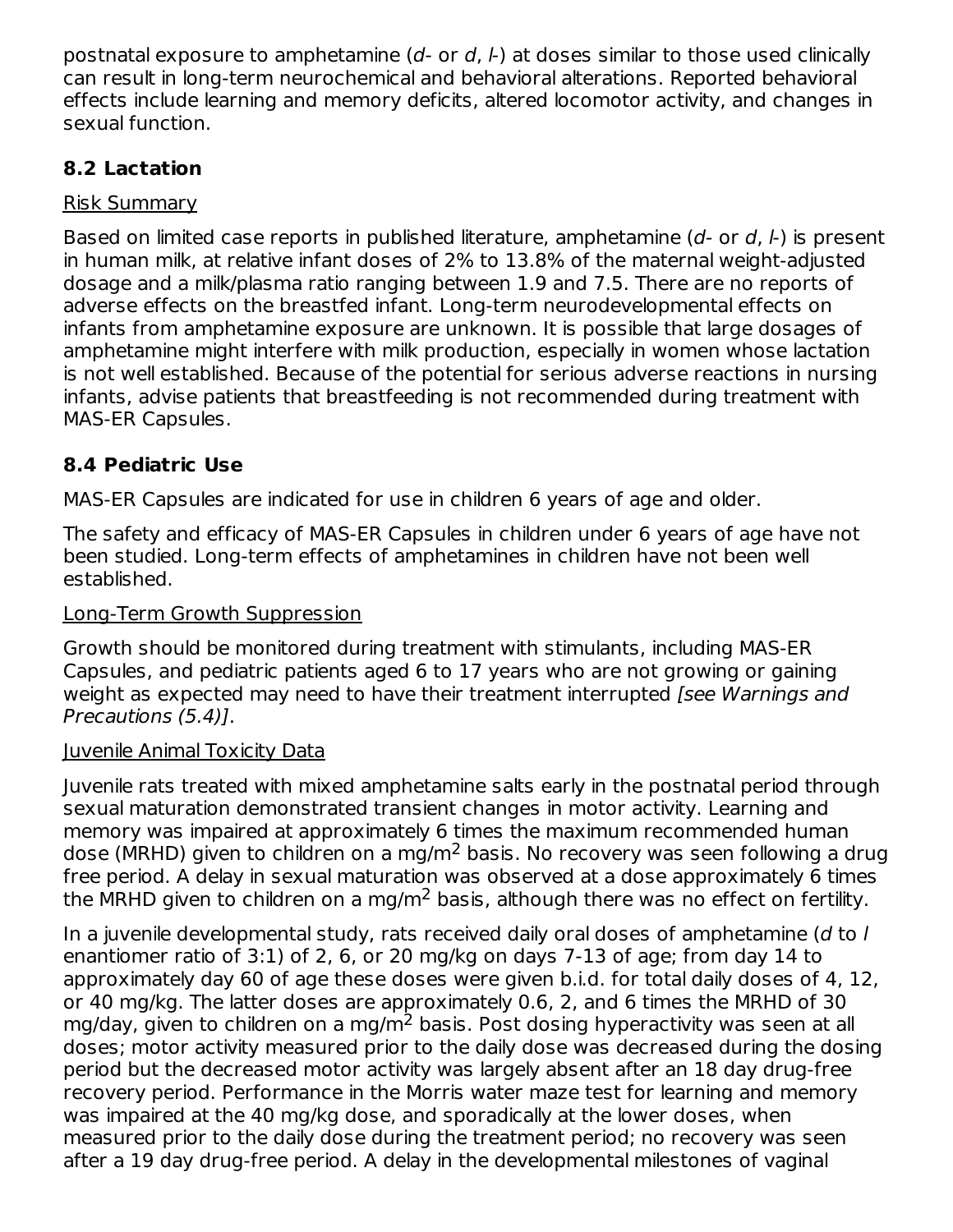postnatal exposure to amphetamine  $(d-$  or  $d, k$  at doses similar to those used clinically can result in long-term neurochemical and behavioral alterations. Reported behavioral effects include learning and memory deficits, altered locomotor activity, and changes in sexual function.

## **8.2 Lactation**

## Risk Summary

Based on limited case reports in published literature, amphetamine  $(d$ - or  $d$ ,  $l$ -) is present in human milk, at relative infant doses of 2% to 13.8% of the maternal weight-adjusted dosage and a milk/plasma ratio ranging between 1.9 and 7.5. There are no reports of adverse effects on the breastfed infant. Long-term neurodevelopmental effects on infants from amphetamine exposure are unknown. It is possible that large dosages of amphetamine might interfere with milk production, especially in women whose lactation is not well established. Because of the potential for serious adverse reactions in nursing infants, advise patients that breastfeeding is not recommended during treatment with MAS-ER Capsules.

## **8.4 Pediatric Use**

MAS-ER Capsules are indicated for use in children 6 years of age and older.

The safety and efficacy of MAS-ER Capsules in children under 6 years of age have not been studied. Long-term effects of amphetamines in children have not been well established.

## Long-Term Growth Suppression

Growth should be monitored during treatment with stimulants, including MAS-ER Capsules, and pediatric patients aged 6 to 17 years who are not growing or gaining weight as expected may need to have their treatment interrupted *[see Warnings and* Precautions (5.4)].

## Juvenile Animal Toxicity Data

Juvenile rats treated with mixed amphetamine salts early in the postnatal period through sexual maturation demonstrated transient changes in motor activity. Learning and memory was impaired at approximately 6 times the maximum recommended human dose (MRHD) given to children on a mg/m $^2$  basis. No recovery was seen following a drug free period. A delay in sexual maturation was observed at a dose approximately 6 times the MRHD given to children on a mg/m $^2$  basis, although there was no effect on fertility.

In a juvenile developmental study, rats received daily oral doses of amphetamine (d to l enantiomer ratio of 3:1) of 2, 6, or 20 mg/kg on days 7-13 of age; from day 14 to approximately day 60 of age these doses were given b.i.d. for total daily doses of 4, 12, or 40 mg/kg. The latter doses are approximately 0.6, 2, and 6 times the MRHD of 30 mg/day, given to children on a mg/m<sup>2</sup> basis. Post dosing hyperactivity was seen at all doses; motor activity measured prior to the daily dose was decreased during the dosing period but the decreased motor activity was largely absent after an 18 day drug-free recovery period. Performance in the Morris water maze test for learning and memory was impaired at the 40 mg/kg dose, and sporadically at the lower doses, when measured prior to the daily dose during the treatment period; no recovery was seen after a 19 day drug-free period. A delay in the developmental milestones of vaginal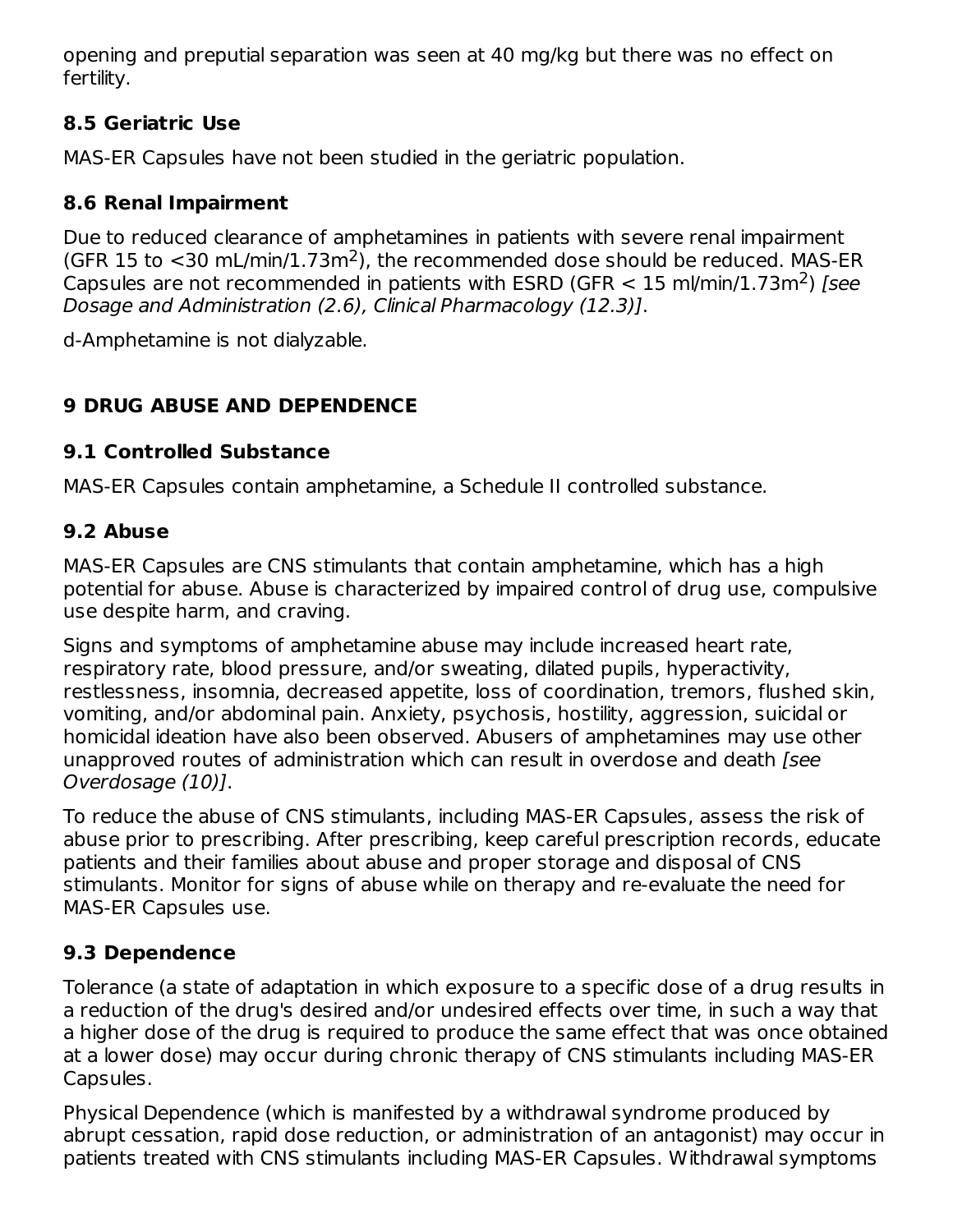opening and preputial separation was seen at 40 mg/kg but there was no effect on fertility.

## **8.5 Geriatric Use**

MAS-ER Capsules have not been studied in the geriatric population.

## **8.6 Renal Impairment**

Due to reduced clearance of amphetamines in patients with severe renal impairment (GFR 15 to  $<$ 30 mL/min/1.73m<sup>2</sup>), the recommended dose should be reduced. MAS-ER Capsules are not recommended in patients with ESRD (GFR  $<$  15 ml/min/1.73m<sup>2</sup>) [see Dosage and Administration (2.6), Clinical Pharmacology (12.3)].

d-Amphetamine is not dialyzable.

## **9 DRUG ABUSE AND DEPENDENCE**

## **9.1 Controlled Substance**

MAS-ER Capsules contain amphetamine, a Schedule II controlled substance.

## **9.2 Abuse**

MAS-ER Capsules are CNS stimulants that contain amphetamine, which has a high potential for abuse. Abuse is characterized by impaired control of drug use, compulsive use despite harm, and craving.

Signs and symptoms of amphetamine abuse may include increased heart rate, respiratory rate, blood pressure, and/or sweating, dilated pupils, hyperactivity, restlessness, insomnia, decreased appetite, loss of coordination, tremors, flushed skin, vomiting, and/or abdominal pain. Anxiety, psychosis, hostility, aggression, suicidal or homicidal ideation have also been observed. Abusers of amphetamines may use other unapproved routes of administration which can result in overdose and death [see Overdosage (10)].

To reduce the abuse of CNS stimulants, including MAS-ER Capsules, assess the risk of abuse prior to prescribing. After prescribing, keep careful prescription records, educate patients and their families about abuse and proper storage and disposal of CNS stimulants. Monitor for signs of abuse while on therapy and re-evaluate the need for MAS-ER Capsules use.

## **9.3 Dependence**

Tolerance (a state of adaptation in which exposure to a specific dose of a drug results in a reduction of the drug's desired and/or undesired effects over time, in such a way that a higher dose of the drug is required to produce the same effect that was once obtained at a lower dose) may occur during chronic therapy of CNS stimulants including MAS-ER Capsules.

Physical Dependence (which is manifested by a withdrawal syndrome produced by abrupt cessation, rapid dose reduction, or administration of an antagonist) may occur in patients treated with CNS stimulants including MAS-ER Capsules. Withdrawal symptoms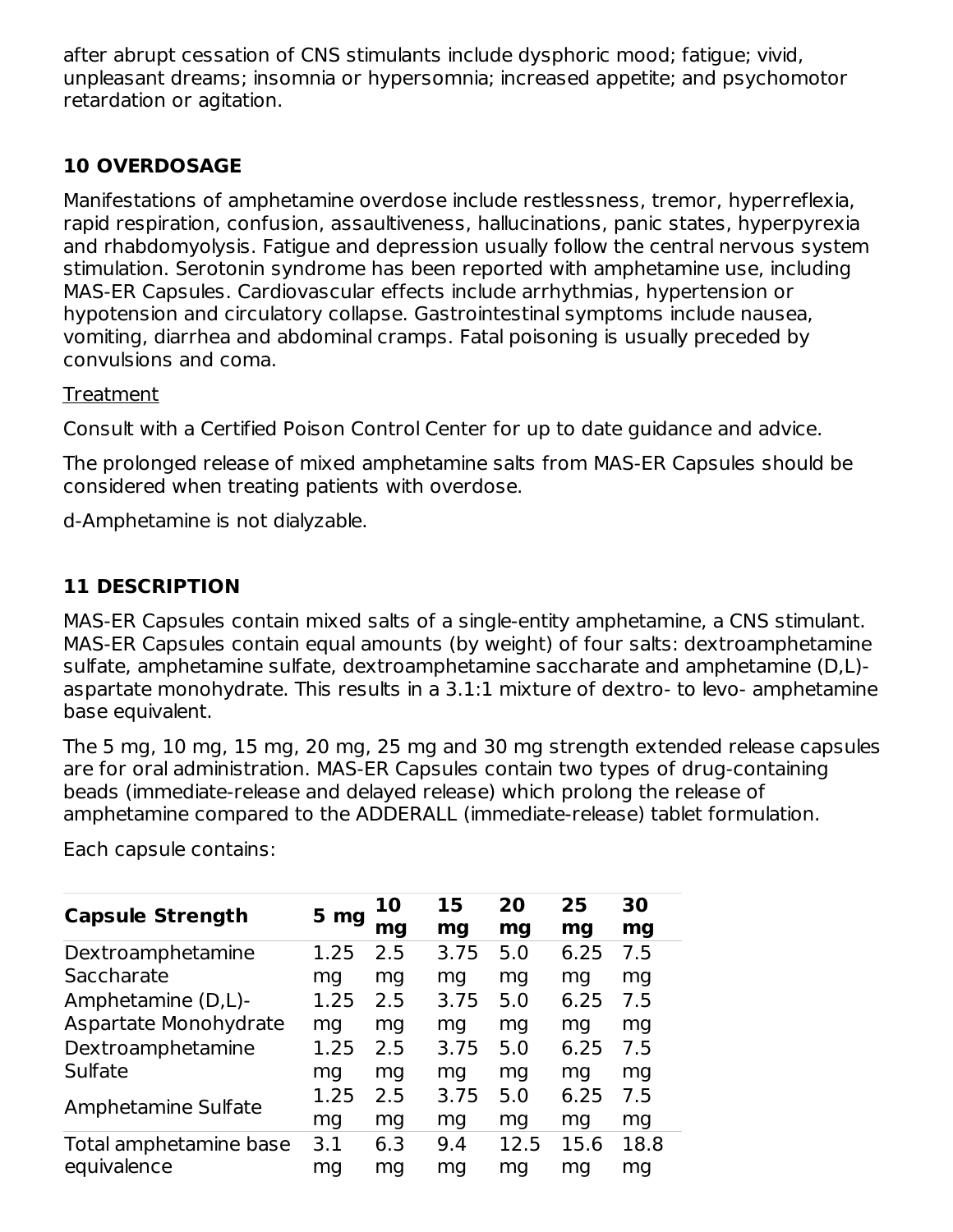after abrupt cessation of CNS stimulants include dysphoric mood; fatigue; vivid, unpleasant dreams; insomnia or hypersomnia; increased appetite; and psychomotor retardation or agitation.

## **10 OVERDOSAGE**

Manifestations of amphetamine overdose include restlessness, tremor, hyperreflexia, rapid respiration, confusion, assaultiveness, hallucinations, panic states, hyperpyrexia and rhabdomyolysis. Fatigue and depression usually follow the central nervous system stimulation. Serotonin syndrome has been reported with amphetamine use, including MAS-ER Capsules. Cardiovascular effects include arrhythmias, hypertension or hypotension and circulatory collapse. Gastrointestinal symptoms include nausea, vomiting, diarrhea and abdominal cramps. Fatal poisoning is usually preceded by convulsions and coma.

**Treatment** 

Consult with a Certified Poison Control Center for up to date guidance and advice.

The prolonged release of mixed amphetamine salts from MAS-ER Capsules should be considered when treating patients with overdose.

d-Amphetamine is not dialyzable.

## **11 DESCRIPTION**

MAS-ER Capsules contain mixed salts of a single-entity amphetamine, a CNS stimulant. MAS-ER Capsules contain equal amounts (by weight) of four salts: dextroamphetamine sulfate, amphetamine sulfate, dextroamphetamine saccharate and amphetamine (D,L) aspartate monohydrate. This results in a 3.1:1 mixture of dextro- to levo- amphetamine base equivalent.

The 5 mg, 10 mg, 15 mg, 20 mg, 25 mg and 30 mg strength extended release capsules are for oral administration. MAS-ER Capsules contain two types of drug-containing beads (immediate-release and delayed release) which prolong the release of amphetamine compared to the ADDERALL (immediate-release) tablet formulation.

Each capsule contains:

|                         |                 | 10  | 15   | 20   | 25   | 30   |
|-------------------------|-----------------|-----|------|------|------|------|
| <b>Capsule Strength</b> | 5 <sub>mg</sub> | mg  | mg   | mg   | mg   | mg   |
| Dextroamphetamine       | 1.25            | 2.5 | 3.75 | 5.0  | 6.25 | 7.5  |
| Saccharate              | mg              | mg  | mg   | mq   | mg   | mg   |
| Amphetamine (D,L)-      | 1.25            | 2.5 | 3.75 | 5.0  | 6.25 | 7.5  |
| Aspartate Monohydrate   | mg              | mg  | mg   | mq   | mg   | mg   |
| Dextroamphetamine       | 1.25            | 2.5 | 3.75 | 5.0  | 6.25 | 7.5  |
| Sulfate                 | mg              | mg  | mg   | mg   | mg   | mg   |
| Amphetamine Sulfate     | 1.25            | 2.5 | 3.75 | 5.0  | 6.25 | 7.5  |
|                         | mq              | mg  | mg   | mg   | mg   | mg   |
| Total amphetamine base  | 3.1             | 6.3 | 9.4  | 12.5 | 15.6 | 18.8 |
| equivalence             | ma              | mg  | mg   | ma   | ma   | mg   |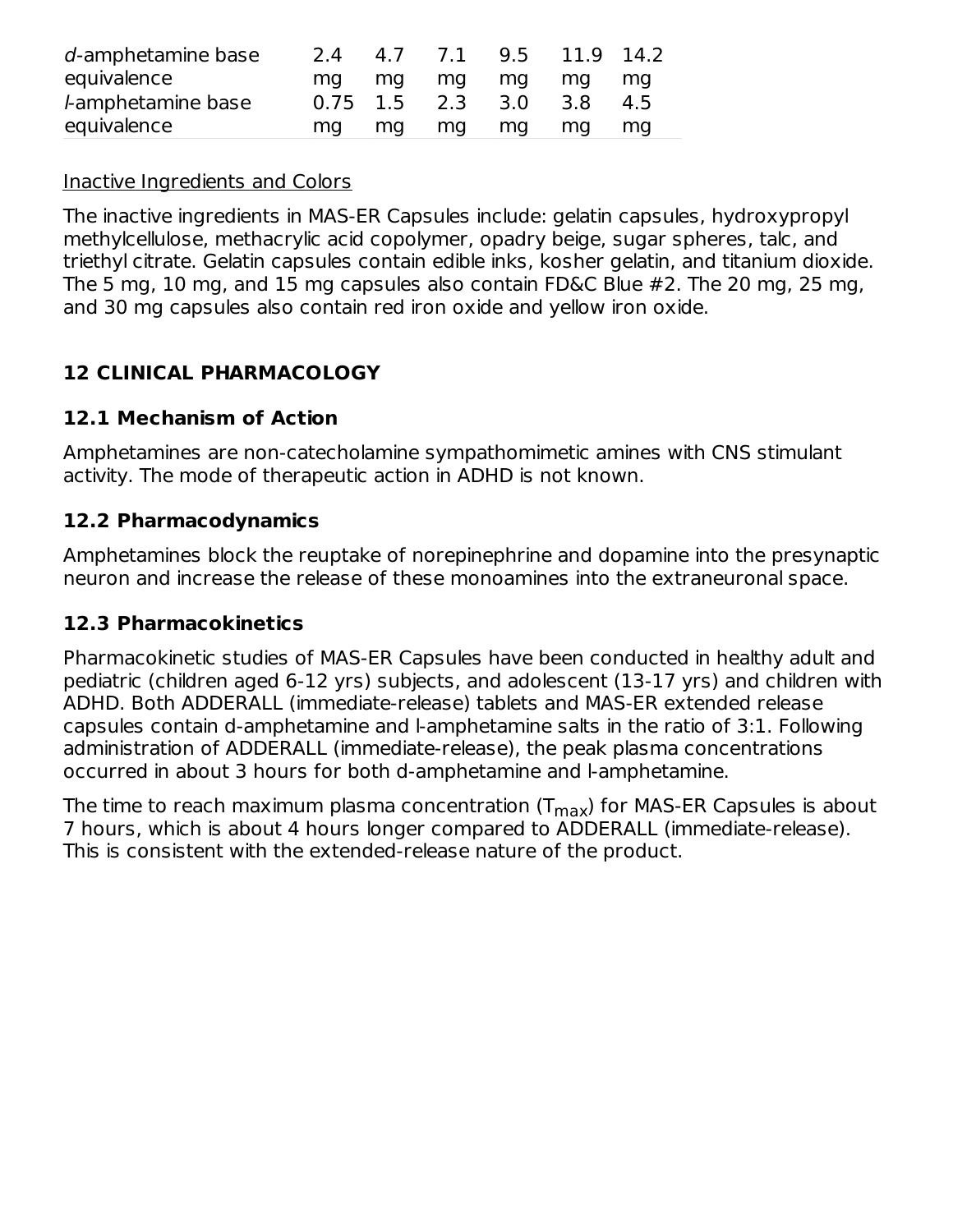| d-amphetamine base         | 2.4 | 4.7 7.1 9.5 11.9 14.2 |    |     |     |
|----------------------------|-----|-----------------------|----|-----|-----|
| equivalence                |     | mg mg mg              | mg | ma  | ma. |
| <i>I</i> -amphetamine base |     | $0.75$ 1.5 2.3 3.0    |    | 3.8 | 4.5 |
| equivalence                | ma  | mg mg mg              |    | mg  | ma  |

Inactive Ingredients and Colors

The inactive ingredients in MAS-ER Capsules include: gelatin capsules, hydroxypropyl methylcellulose, methacrylic acid copolymer, opadry beige, sugar spheres, talc, and triethyl citrate. Gelatin capsules contain edible inks, kosher gelatin, and titanium dioxide. The 5 mg, 10 mg, and 15 mg capsules also contain FD&C Blue #2. The 20 mg, 25 mg, and 30 mg capsules also contain red iron oxide and yellow iron oxide.

## **12 CLINICAL PHARMACOLOGY**

## **12.1 Mechanism of Action**

Amphetamines are non-catecholamine sympathomimetic amines with CNS stimulant activity. The mode of therapeutic action in ADHD is not known.

## **12.2 Pharmacodynamics**

Amphetamines block the reuptake of norepinephrine and dopamine into the presynaptic neuron and increase the release of these monoamines into the extraneuronal space.

## **12.3 Pharmacokinetics**

Pharmacokinetic studies of MAS-ER Capsules have been conducted in healthy adult and pediatric (children aged 6-12 yrs) subjects, and adolescent (13-17 yrs) and children with ADHD. Both ADDERALL (immediate-release) tablets and MAS-ER extended release capsules contain d-amphetamine and l-amphetamine salts in the ratio of 3:1. Following administration of ADDERALL (immediate-release), the peak plasma concentrations occurred in about 3 hours for both d-amphetamine and l-amphetamine.

The time to reach maximum plasma concentration (T $_{\sf max}$ ) for MAS-ER Capsules is about 7 hours, which is about 4 hours longer compared to ADDERALL (immediate-release). This is consistent with the extended-release nature of the product.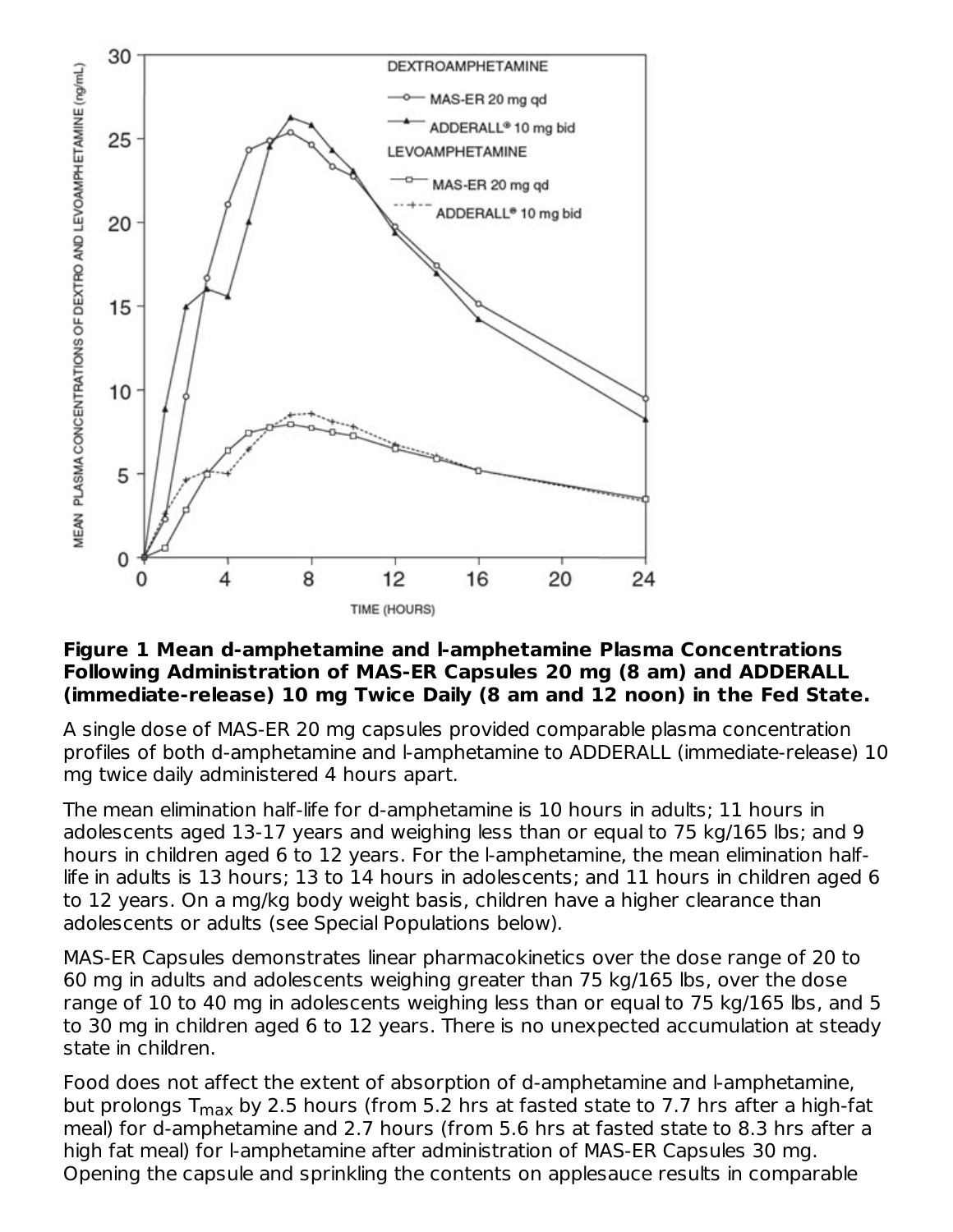

#### **Figure 1 Mean d-amphetamine and l-amphetamine Plasma Concentrations Following Administration of MAS-ER Capsules 20 mg (8 am) and ADDERALL (immediate-release) 10 mg Twice Daily (8 am and 12 noon) in the Fed State.**

A single dose of MAS-ER 20 mg capsules provided comparable plasma concentration profiles of both d-amphetamine and l-amphetamine to ADDERALL (immediate-release) 10 mg twice daily administered 4 hours apart.

The mean elimination half-life for d-amphetamine is 10 hours in adults; 11 hours in adolescents aged 13-17 years and weighing less than or equal to 75 kg/165 lbs; and 9 hours in children aged 6 to 12 years. For the l-amphetamine, the mean elimination halflife in adults is 13 hours; 13 to 14 hours in adolescents; and 11 hours in children aged 6 to 12 years. On a mg/kg body weight basis, children have a higher clearance than adolescents or adults (see Special Populations below).

MAS-ER Capsules demonstrates linear pharmacokinetics over the dose range of 20 to 60 mg in adults and adolescents weighing greater than 75 kg/165 lbs, over the dose range of 10 to 40 mg in adolescents weighing less than or equal to 75 kg/165 lbs, and 5 to 30 mg in children aged 6 to 12 years. There is no unexpected accumulation at steady state in children.

Food does not affect the extent of absorption of d-amphetamine and l-amphetamine, but prolongs T<sub>max</sub> by 2.5 hours (from 5.2 hrs at fasted state to 7.7 hrs after a high-fat meal) for d-amphetamine and 2.7 hours (from 5.6 hrs at fasted state to 8.3 hrs after a high fat meal) for l-amphetamine after administration of MAS-ER Capsules 30 mg. Opening the capsule and sprinkling the contents on applesauce results in comparable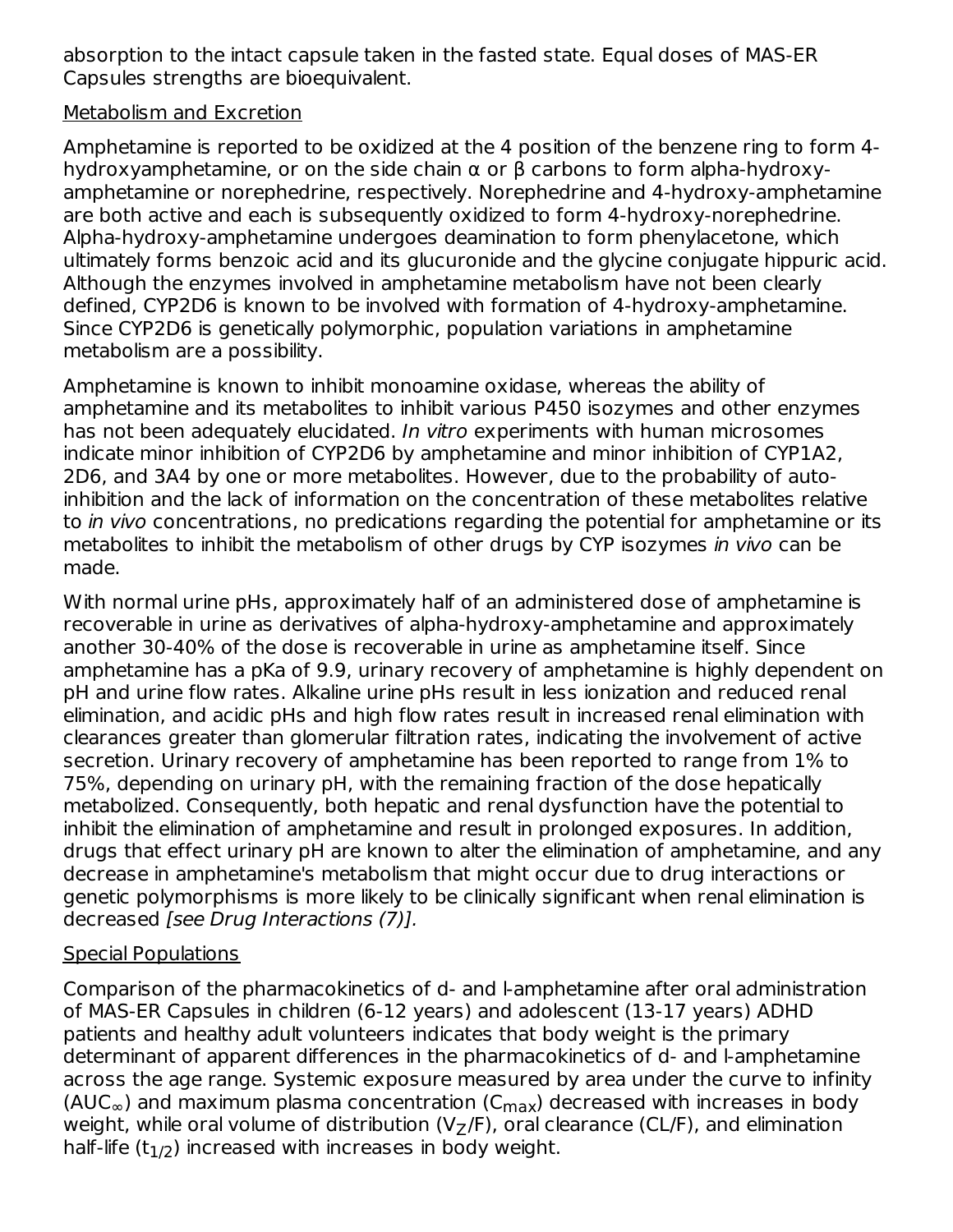absorption to the intact capsule taken in the fasted state. Equal doses of MAS-ER Capsules strengths are bioequivalent.

#### Metabolism and Excretion

Amphetamine is reported to be oxidized at the 4 position of the benzene ring to form 4 hydroxyamphetamine, or on the side chain  $\alpha$  or  $\beta$  carbons to form alpha-hydroxyamphetamine or norephedrine, respectively. Norephedrine and 4-hydroxy-amphetamine are both active and each is subsequently oxidized to form 4-hydroxy-norephedrine. Alpha-hydroxy-amphetamine undergoes deamination to form phenylacetone, which ultimately forms benzoic acid and its glucuronide and the glycine conjugate hippuric acid. Although the enzymes involved in amphetamine metabolism have not been clearly defined, CYP2D6 is known to be involved with formation of 4-hydroxy-amphetamine. Since CYP2D6 is genetically polymorphic, population variations in amphetamine metabolism are a possibility.

Amphetamine is known to inhibit monoamine oxidase, whereas the ability of amphetamine and its metabolites to inhibit various P450 isozymes and other enzymes has not been adequately elucidated. In vitro experiments with human microsomes indicate minor inhibition of CYP2D6 by amphetamine and minor inhibition of CYP1A2, 2D6, and 3A4 by one or more metabolites. However, due to the probability of autoinhibition and the lack of information on the concentration of these metabolites relative to in vivo concentrations, no predications regarding the potential for amphetamine or its metabolites to inhibit the metabolism of other drugs by CYP isozymes in vivo can be made.

With normal urine pHs, approximately half of an administered dose of amphetamine is recoverable in urine as derivatives of alpha-hydroxy-amphetamine and approximately another 30-40% of the dose is recoverable in urine as amphetamine itself. Since amphetamine has a pKa of 9.9, urinary recovery of amphetamine is highly dependent on pH and urine flow rates. Alkaline urine pHs result in less ionization and reduced renal elimination, and acidic pHs and high flow rates result in increased renal elimination with clearances greater than glomerular filtration rates, indicating the involvement of active secretion. Urinary recovery of amphetamine has been reported to range from 1% to 75%, depending on urinary pH, with the remaining fraction of the dose hepatically metabolized. Consequently, both hepatic and renal dysfunction have the potential to inhibit the elimination of amphetamine and result in prolonged exposures. In addition, drugs that effect urinary pH are known to alter the elimination of amphetamine, and any decrease in amphetamine's metabolism that might occur due to drug interactions or genetic polymorphisms is more likely to be clinically significant when renal elimination is decreased [see Drug Interactions (7)].

#### Special Populations

Comparison of the pharmacokinetics of d- and l-amphetamine after oral administration of MAS-ER Capsules in children (6-12 years) and adolescent (13-17 years) ADHD patients and healthy adult volunteers indicates that body weight is the primary determinant of apparent differences in the pharmacokinetics of d- and l-amphetamine across the age range. Systemic exposure measured by area under the curve to infinity (AUC $_{\infty}$ ) and maximum plasma concentration (C $_{\sf max}$ ) decreased with increases in body weight, while oral volume of distribution (V $_Z$ /F), oral clearance (CL/F), and elimination half-life (t $_{\rm 1/2})$  increased with increases in body weight.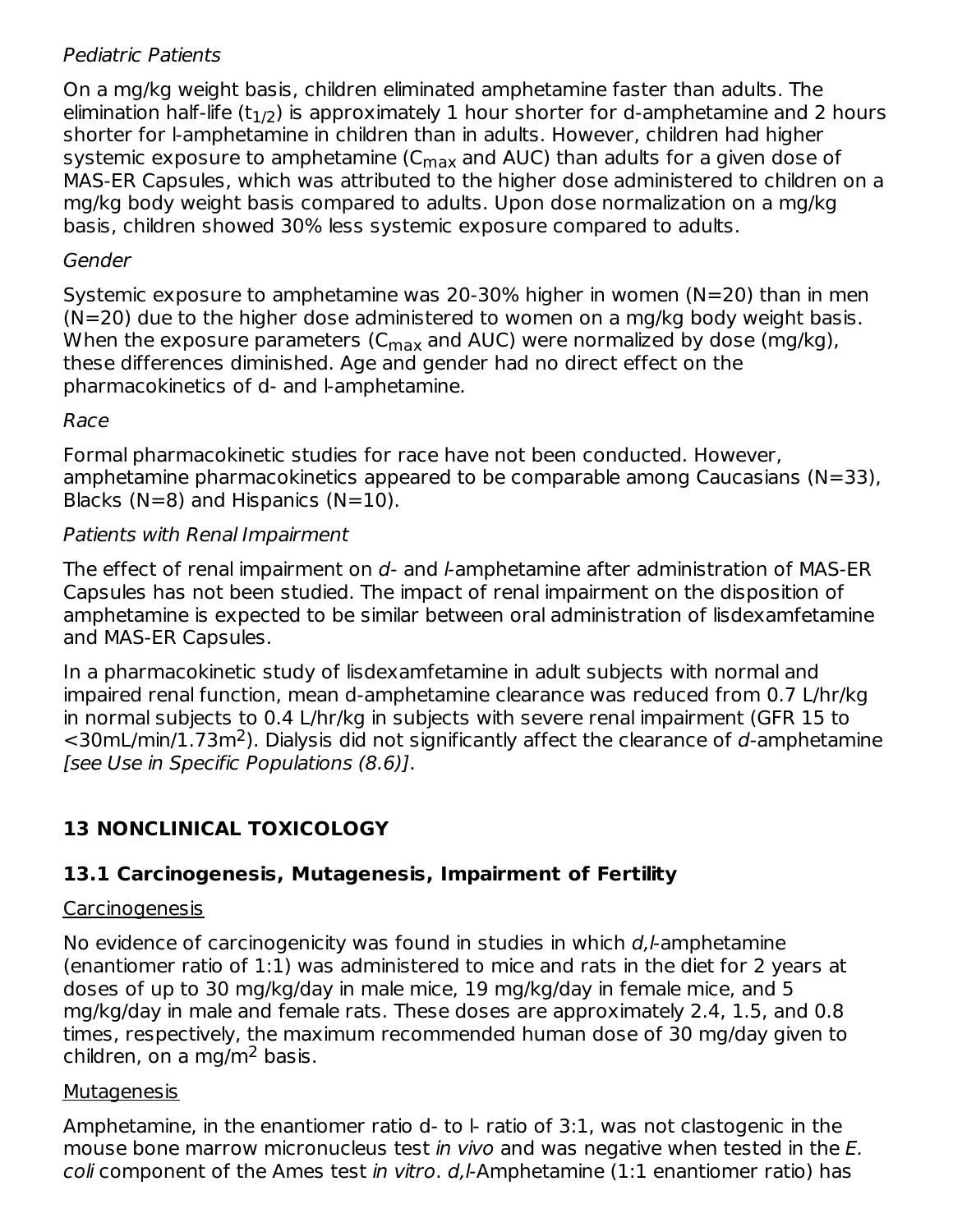### Pediatric Patients

On a mg/kg weight basis, children eliminated amphetamine faster than adults. The elimination half-life (t $_{\rm 1/2}$ ) is approximately 1 hour shorter for d-amphetamine and 2 hours shorter for l-amphetamine in children than in adults. However, children had higher systemic exposure to amphetamine (C $_{\sf max}$  and AUC) than adults for a given dose of MAS-ER Capsules, which was attributed to the higher dose administered to children on a mg/kg body weight basis compared to adults. Upon dose normalization on a mg/kg basis, children showed 30% less systemic exposure compared to adults.

## Gender

Systemic exposure to amphetamine was 20-30% higher in women (N=20) than in men  $(N=20)$  due to the higher dose administered to women on a mg/kg body weight basis. When the exposure parameters (C $_{\sf max}$  and AUC) were normalized by dose (mg/kg), these differences diminished. Age and gender had no direct effect on the pharmacokinetics of d- and l-amphetamine.

## Race

Formal pharmacokinetic studies for race have not been conducted. However, amphetamine pharmacokinetics appeared to be comparable among Caucasians (N=33), Blacks ( $N=8$ ) and Hispanics ( $N=10$ ).

## Patients with Renal Impairment

The effect of renal impairment on  $d$ - and  $l$ -amphetamine after administration of MAS-ER Capsules has not been studied. The impact of renal impairment on the disposition of amphetamine is expected to be similar between oral administration of lisdexamfetamine and MAS-ER Capsules.

In a pharmacokinetic study of lisdexamfetamine in adult subjects with normal and impaired renal function, mean d-amphetamine clearance was reduced from 0.7 L/hr/kg in normal subjects to 0.4 L/hr/kg in subjects with severe renal impairment (GFR 15 to  $<$ 30mL/min/1.73m<sup>2</sup>). Dialysis did not significantly affect the clearance of d-amphetamine [see Use in Specific Populations (8.6)].

# **13 NONCLINICAL TOXICOLOGY**

## **13.1 Carcinogenesis, Mutagenesis, Impairment of Fertility**

## Carcinogenesis

No evidence of carcinogenicity was found in studies in which  $d$ ,  $l$ -amphetamine (enantiomer ratio of 1:1) was administered to mice and rats in the diet for 2 years at doses of up to 30 mg/kg/day in male mice, 19 mg/kg/day in female mice, and 5 mg/kg/day in male and female rats. These doses are approximately 2.4, 1.5, and 0.8 times, respectively, the maximum recommended human dose of 30 mg/day given to children, on a mg/m<sup>2</sup> basis.

### **Mutagenesis**

Amphetamine, in the enantiomer ratio d- to l- ratio of 3:1, was not clastogenic in the mouse bone marrow micronucleus test in vivo and was negative when tested in the E. coli component of the Ames test in vitro. d, l-Amphetamine (1:1 enantiomer ratio) has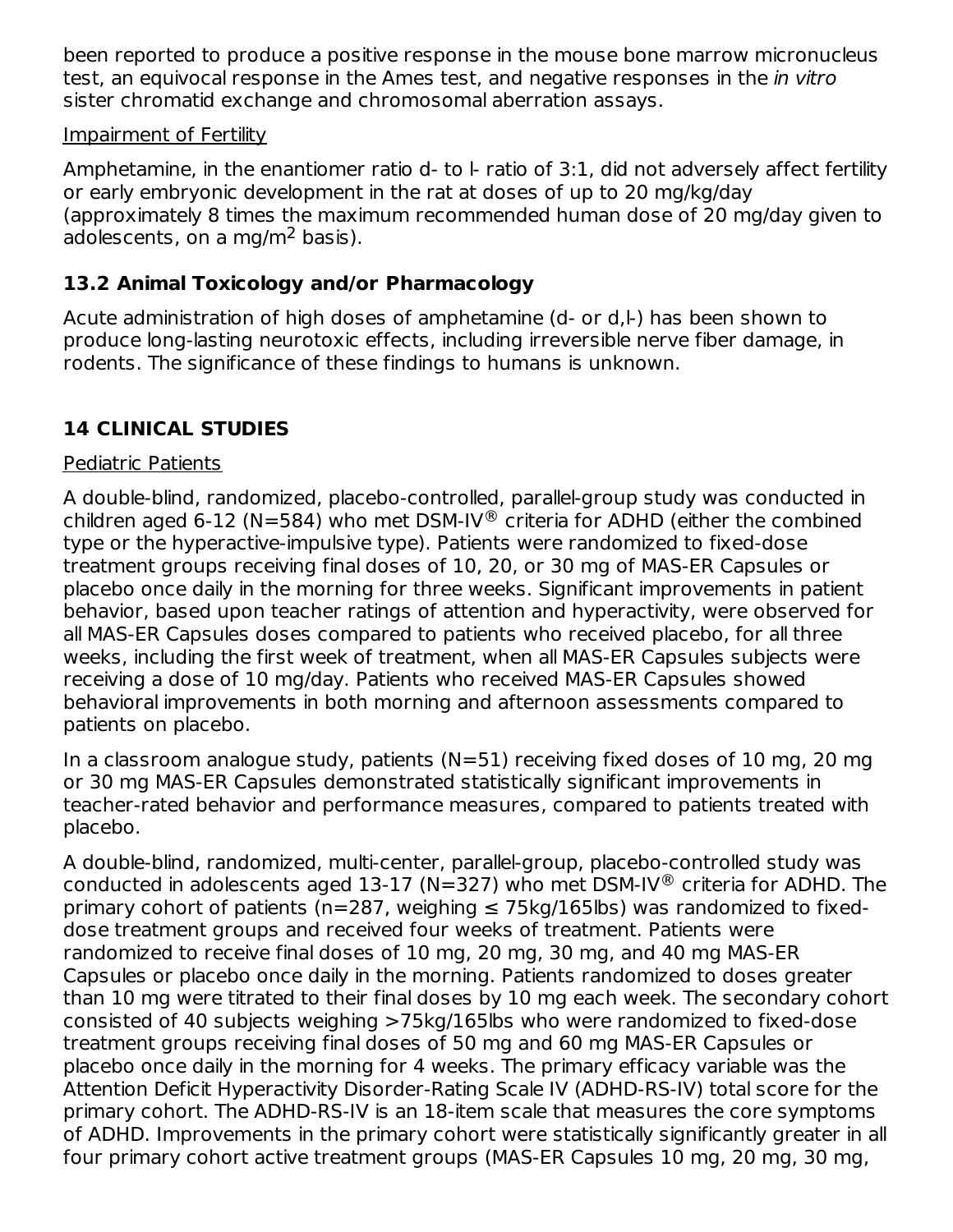been reported to produce a positive response in the mouse bone marrow micronucleus test, an equivocal response in the Ames test, and negative responses in the in vitro sister chromatid exchange and chromosomal aberration assays.

#### Impairment of Fertility

Amphetamine, in the enantiomer ratio d- to l- ratio of 3:1, did not adversely affect fertility or early embryonic development in the rat at doses of up to 20 mg/kg/day (approximately 8 times the maximum recommended human dose of 20 mg/day given to adolescents, on a mg/m $2$  basis).

## **13.2 Animal Toxicology and/or Pharmacology**

Acute administration of high doses of amphetamine (d- or d,l-) has been shown to produce long-lasting neurotoxic effects, including irreversible nerve fiber damage, in rodents. The significance of these findings to humans is unknown.

## **14 CLINICAL STUDIES**

#### Pediatric Patients

A double-blind, randomized, placebo-controlled, parallel-group study was conducted in children aged 6-12 (N=584) who met DSM-IV $^{\circledR}$  criteria for ADHD (either the combined type or the hyperactive-impulsive type). Patients were randomized to fixed-dose treatment groups receiving final doses of 10, 20, or 30 mg of MAS-ER Capsules or placebo once daily in the morning for three weeks. Significant improvements in patient behavior, based upon teacher ratings of attention and hyperactivity, were observed for all MAS-ER Capsules doses compared to patients who received placebo, for all three weeks, including the first week of treatment, when all MAS-ER Capsules subjects were receiving a dose of 10 mg/day. Patients who received MAS-ER Capsules showed behavioral improvements in both morning and afternoon assessments compared to patients on placebo.

In a classroom analogue study, patients  $(N=51)$  receiving fixed doses of 10 mg, 20 mg or 30 mg MAS-ER Capsules demonstrated statistically significant improvements in teacher-rated behavior and performance measures, compared to patients treated with placebo.

A double-blind, randomized, multi-center, parallel-group, placebo-controlled study was conducted in adolescents aged 13-17 (N=327) who met DSM-IV $^{\circledR}$  criteria for ADHD. The primary cohort of patients (n=287, weighing  $\leq$  75kg/165lbs) was randomized to fixeddose treatment groups and received four weeks of treatment. Patients were randomized to receive final doses of 10 mg, 20 mg, 30 mg, and 40 mg MAS-ER Capsules or placebo once daily in the morning. Patients randomized to doses greater than 10 mg were titrated to their final doses by 10 mg each week. The secondary cohort consisted of 40 subjects weighing >75kg/165lbs who were randomized to fixed-dose treatment groups receiving final doses of 50 mg and 60 mg MAS-ER Capsules or placebo once daily in the morning for 4 weeks. The primary efficacy variable was the Attention Deficit Hyperactivity Disorder-Rating Scale IV (ADHD-RS-IV) total score for the primary cohort. The ADHD-RS-IV is an 18-item scale that measures the core symptoms of ADHD. Improvements in the primary cohort were statistically significantly greater in all four primary cohort active treatment groups (MAS-ER Capsules 10 mg, 20 mg, 30 mg,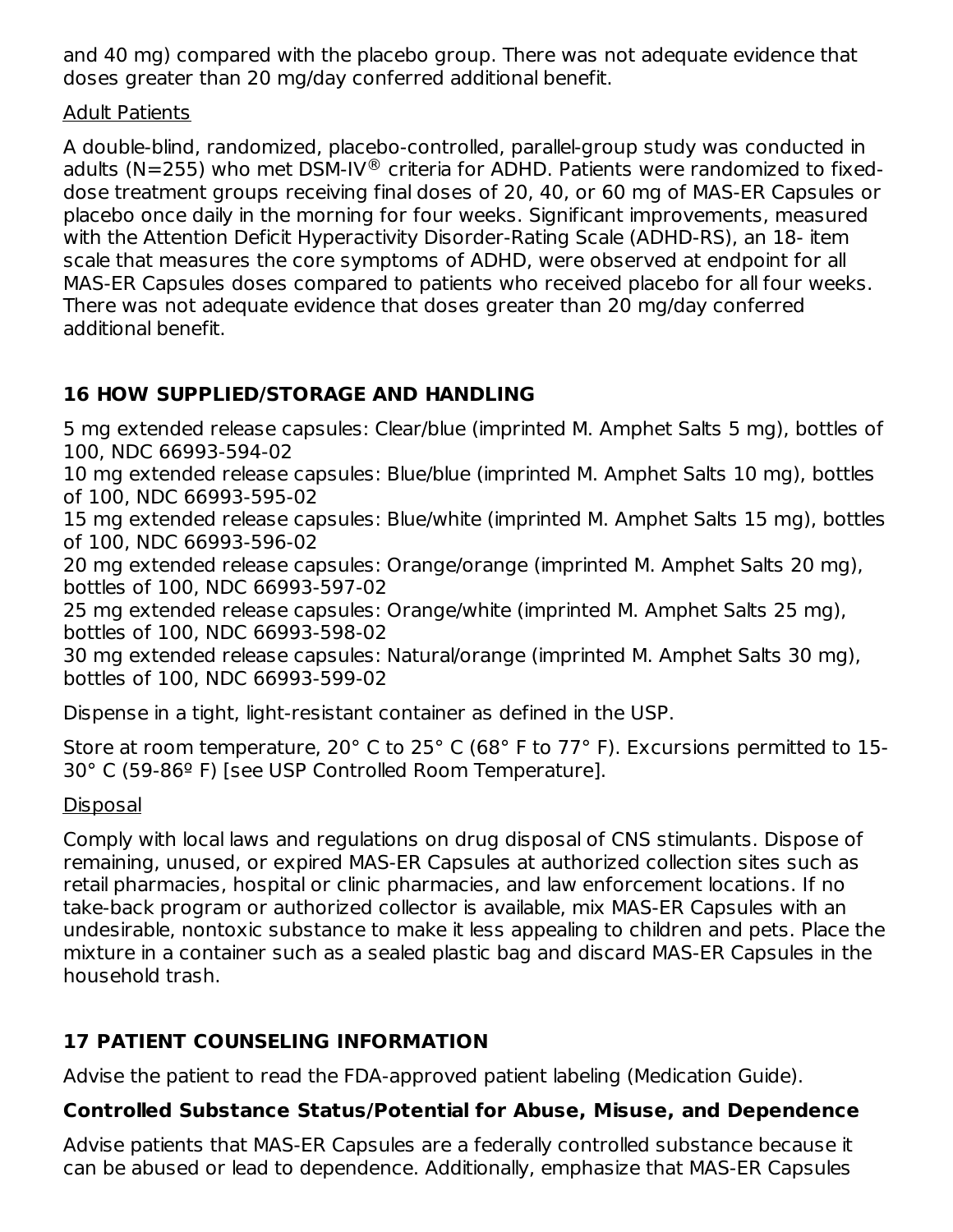and 40 mg) compared with the placebo group. There was not adequate evidence that doses greater than 20 mg/day conferred additional benefit.

#### Adult Patients

A double-blind, randomized, placebo-controlled, parallel-group study was conducted in adults (N=255) who met DSM-IV $^{\circledR}$  criteria for ADHD. Patients were randomized to fixeddose treatment groups receiving final doses of 20, 40, or 60 mg of MAS-ER Capsules or placebo once daily in the morning for four weeks. Significant improvements, measured with the Attention Deficit Hyperactivity Disorder-Rating Scale (ADHD-RS), an 18- item scale that measures the core symptoms of ADHD, were observed at endpoint for all MAS-ER Capsules doses compared to patients who received placebo for all four weeks. There was not adequate evidence that doses greater than 20 mg/day conferred additional benefit.

## **16 HOW SUPPLIED/STORAGE AND HANDLING**

5 mg extended release capsules: Clear/blue (imprinted M. Amphet Salts 5 mg), bottles of 100, NDC 66993-594-02

10 mg extended release capsules: Blue/blue (imprinted M. Amphet Salts 10 mg), bottles of 100, NDC 66993-595-02

15 mg extended release capsules: Blue/white (imprinted M. Amphet Salts 15 mg), bottles of 100, NDC 66993-596-02

20 mg extended release capsules: Orange/orange (imprinted M. Amphet Salts 20 mg), bottles of 100, NDC 66993-597-02

25 mg extended release capsules: Orange/white (imprinted M. Amphet Salts 25 mg), bottles of 100, NDC 66993-598-02

30 mg extended release capsules: Natural/orange (imprinted M. Amphet Salts 30 mg), bottles of 100, NDC 66993-599-02

Dispense in a tight, light-resistant container as defined in the USP.

Store at room temperature, 20° C to 25° C (68° F to 77° F). Excursions permitted to 15- 30° C (59-86º F) [see USP Controlled Room Temperature].

### **Disposal**

Comply with local laws and regulations on drug disposal of CNS stimulants. Dispose of remaining, unused, or expired MAS-ER Capsules at authorized collection sites such as retail pharmacies, hospital or clinic pharmacies, and law enforcement locations. If no take-back program or authorized collector is available, mix MAS-ER Capsules with an undesirable, nontoxic substance to make it less appealing to children and pets. Place the mixture in a container such as a sealed plastic bag and discard MAS-ER Capsules in the household trash.

## **17 PATIENT COUNSELING INFORMATION**

Advise the patient to read the FDA-approved patient labeling (Medication Guide).

### **Controlled Substance Status/Potential for Abuse, Misuse, and Dependence**

Advise patients that MAS-ER Capsules are a federally controlled substance because it can be abused or lead to dependence. Additionally, emphasize that MAS-ER Capsules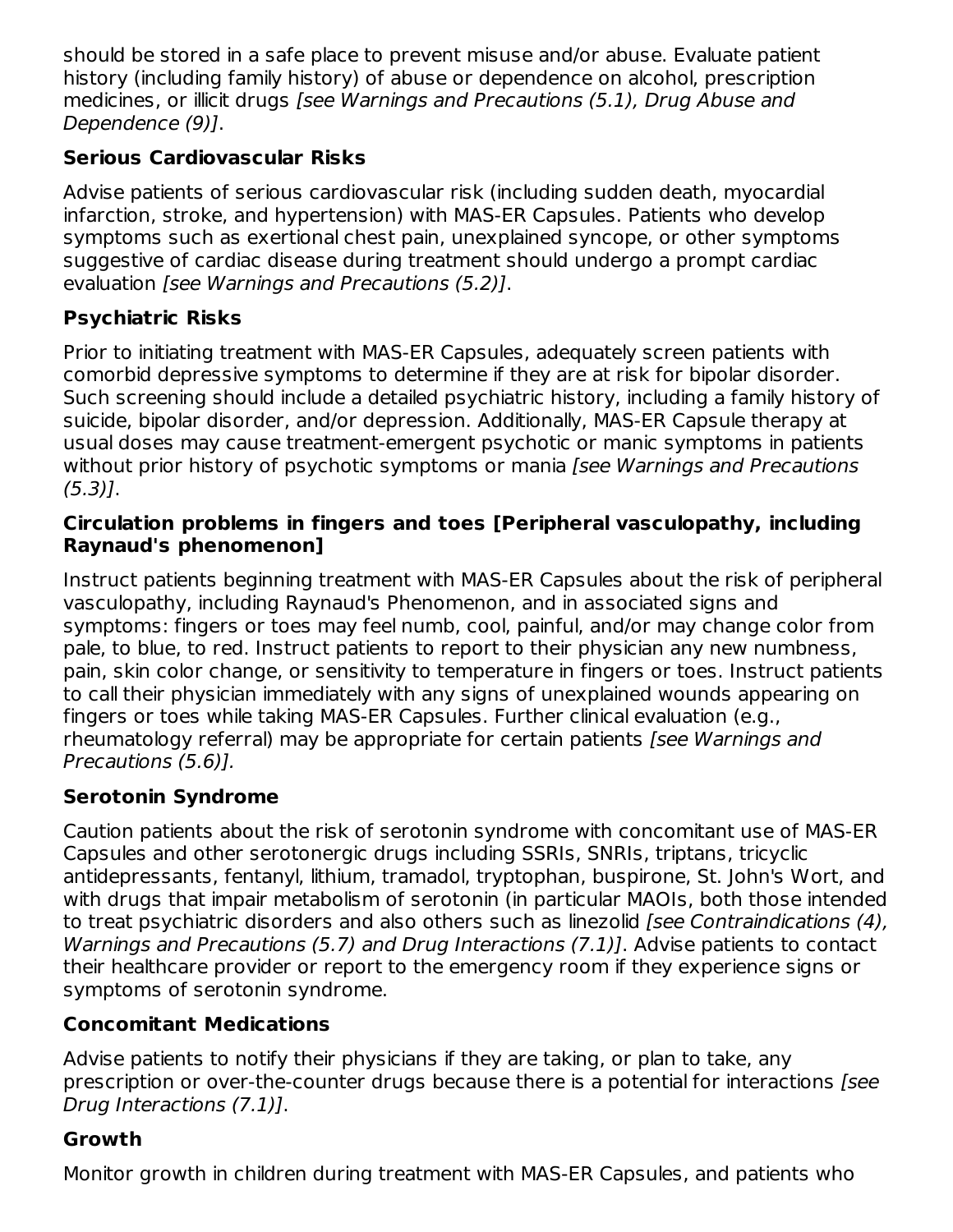should be stored in a safe place to prevent misuse and/or abuse. Evaluate patient history (including family history) of abuse or dependence on alcohol, prescription medicines, or illicit drugs [see Warnings and Precautions (5.1), Drug Abuse and Dependence (9)].

## **Serious Cardiovascular Risks**

Advise patients of serious cardiovascular risk (including sudden death, myocardial infarction, stroke, and hypertension) with MAS-ER Capsules. Patients who develop symptoms such as exertional chest pain, unexplained syncope, or other symptoms suggestive of cardiac disease during treatment should undergo a prompt cardiac evaluation [see Warnings and Precautions (5.2)].

## **Psychiatric Risks**

Prior to initiating treatment with MAS-ER Capsules, adequately screen patients with comorbid depressive symptoms to determine if they are at risk for bipolar disorder. Such screening should include a detailed psychiatric history, including a family history of suicide, bipolar disorder, and/or depression. Additionally, MAS-ER Capsule therapy at usual doses may cause treatment-emergent psychotic or manic symptoms in patients without prior history of psychotic symptoms or mania *[see Warnings and Precautions*  $(5.3)$ ].

### **Circulation problems in fingers and toes [Peripheral vasculopathy, including Raynaud's phenomenon]**

Instruct patients beginning treatment with MAS-ER Capsules about the risk of peripheral vasculopathy, including Raynaud's Phenomenon, and in associated signs and symptoms: fingers or toes may feel numb, cool, painful, and/or may change color from pale, to blue, to red. Instruct patients to report to their physician any new numbness, pain, skin color change, or sensitivity to temperature in fingers or toes. Instruct patients to call their physician immediately with any signs of unexplained wounds appearing on fingers or toes while taking MAS-ER Capsules. Further clinical evaluation (e.g., rheumatology referral) may be appropriate for certain patients [see Warnings and Precautions (5.6)].

## **Serotonin Syndrome**

Caution patients about the risk of serotonin syndrome with concomitant use of MAS-ER Capsules and other serotonergic drugs including SSRIs, SNRIs, triptans, tricyclic antidepressants, fentanyl, lithium, tramadol, tryptophan, buspirone, St. John's Wort, and with drugs that impair metabolism of serotonin (in particular MAOIs, both those intended to treat psychiatric disorders and also others such as linezolid [see Contraindications (4), Warnings and Precautions (5.7) and Drug Interactions (7.1). Advise patients to contact their healthcare provider or report to the emergency room if they experience signs or symptoms of serotonin syndrome.

## **Concomitant Medications**

Advise patients to notify their physicians if they are taking, or plan to take, any prescription or over-the-counter drugs because there is a potential for interactions [see Drug Interactions (7.1)].

## **Growth**

Monitor growth in children during treatment with MAS-ER Capsules, and patients who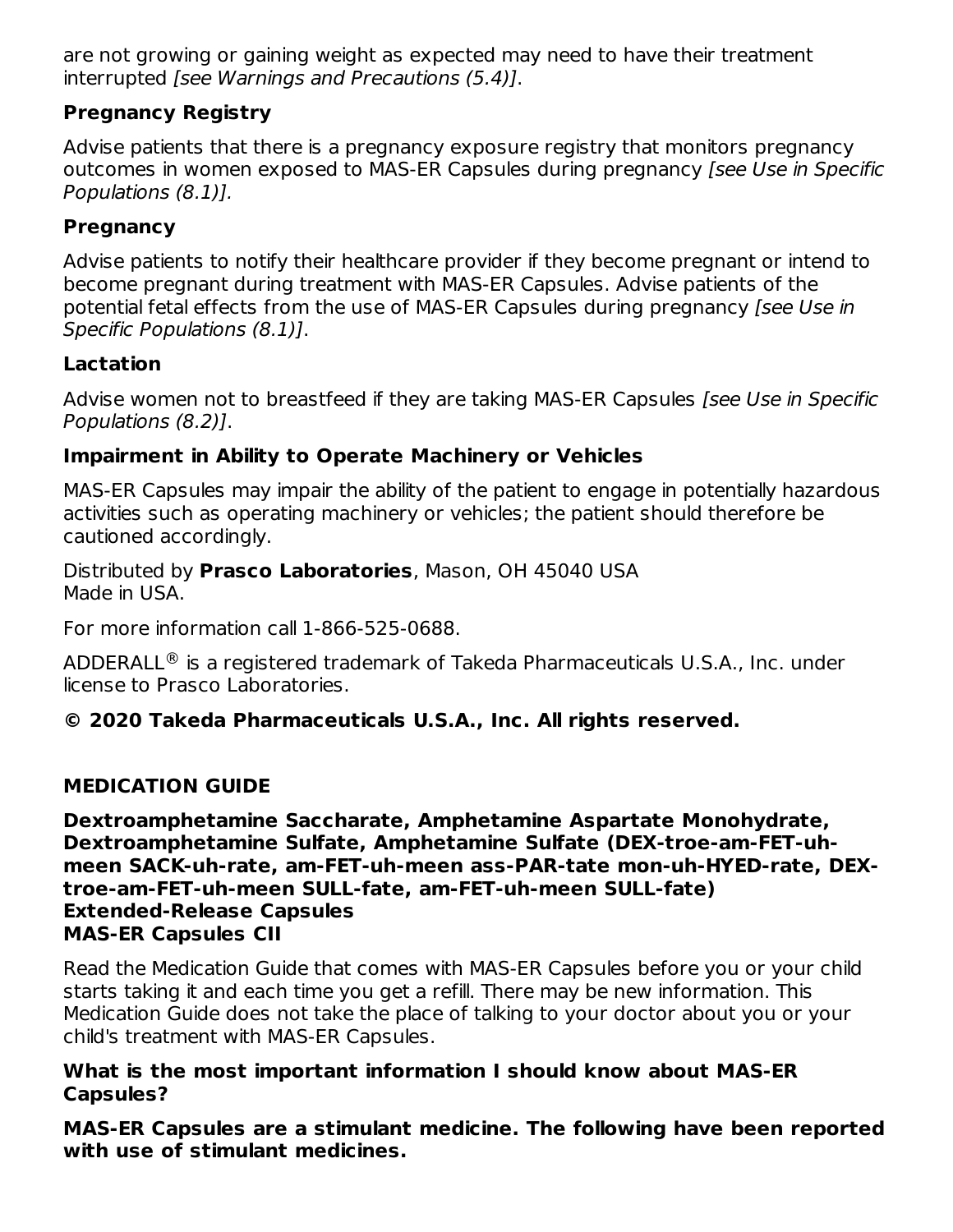are not growing or gaining weight as expected may need to have their treatment interrupted [see Warnings and Precautions (5.4)].

#### **Pregnancy Registry**

Advise patients that there is a pregnancy exposure registry that monitors pregnancy outcomes in women exposed to MAS-ER Capsules during pregnancy [see Use in Specific Populations (8.1)].

#### **Pregnancy**

Advise patients to notify their healthcare provider if they become pregnant or intend to become pregnant during treatment with MAS-ER Capsules. Advise patients of the potential fetal effects from the use of MAS-ER Capsules during pregnancy *[see Use in* Specific Populations (8.1)].

#### **Lactation**

Advise women not to breastfeed if they are taking MAS-ER Capsules [see Use in Specific Populations (8.2)].

### **Impairment in Ability to Operate Machinery or Vehicles**

MAS-ER Capsules may impair the ability of the patient to engage in potentially hazardous activities such as operating machinery or vehicles; the patient should therefore be cautioned accordingly.

Distributed by **Prasco Laboratories**, Mason, OH 45040 USA Made in USA.

For more information call 1-866-525-0688.

ADDERALL $^\circledR$  is a registered trademark of Takeda Pharmaceuticals U.S.A., Inc. under license to Prasco Laboratories.

#### **© 2020 Takeda Pharmaceuticals U.S.A., Inc. All rights reserved.**

### **MEDICATION GUIDE**

**Dextroamphetamine Saccharate, Amphetamine Aspartate Monohydrate, Dextroamphetamine Sulfate, Amphetamine Sulfate (DEX-troe-am-FET-uhmeen SACK-uh-rate, am-FET-uh-meen ass-PAR-tate mon-uh-HYED-rate, DEXtroe-am-FET-uh-meen SULL-fate, am-FET-uh-meen SULL-fate) Extended-Release Capsules MAS-ER Capsules CII**

Read the Medication Guide that comes with MAS-ER Capsules before you or your child starts taking it and each time you get a refill. There may be new information. This Medication Guide does not take the place of talking to your doctor about you or your child's treatment with MAS-ER Capsules.

#### **What is the most important information I should know about MAS-ER Capsules?**

**MAS-ER Capsules are a stimulant medicine. The following have been reported with use of stimulant medicines.**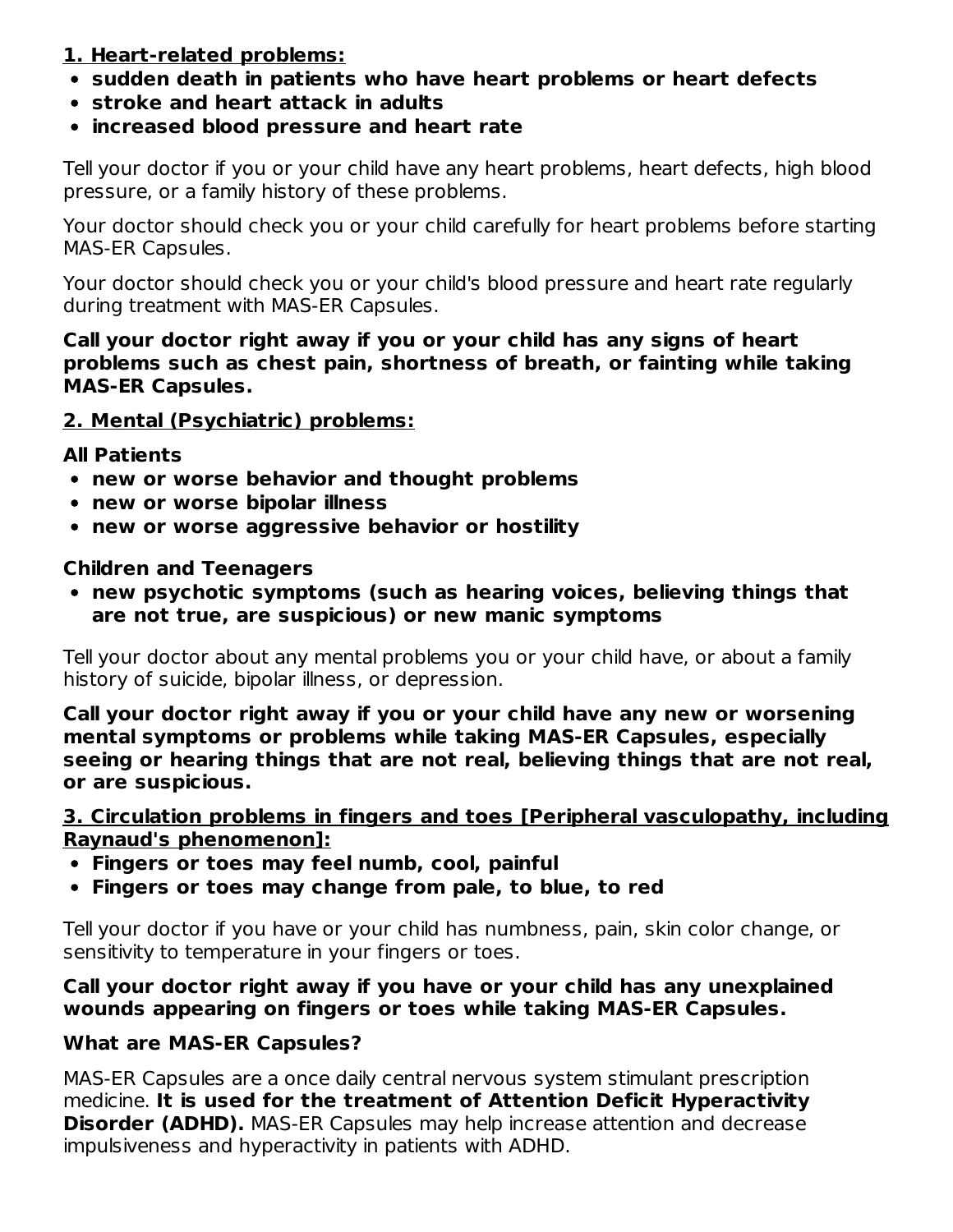### **1. Heart-related problems:**

- **sudden death in patients who have heart problems or heart defects**
- **stroke and heart attack in adults**
- **increased blood pressure and heart rate**

Tell your doctor if you or your child have any heart problems, heart defects, high blood pressure, or a family history of these problems.

Your doctor should check you or your child carefully for heart problems before starting MAS-ER Capsules.

Your doctor should check you or your child's blood pressure and heart rate regularly during treatment with MAS-ER Capsules.

#### **Call your doctor right away if you or your child has any signs of heart problems such as chest pain, shortness of breath, or fainting while taking MAS-ER Capsules.**

#### **2. Mental (Psychiatric) problems:**

#### **All Patients**

- **new or worse behavior and thought problems**
- **new or worse bipolar illness**
- **new or worse aggressive behavior or hostility**

#### **Children and Teenagers**

**new psychotic symptoms (such as hearing voices, believing things that are not true, are suspicious) or new manic symptoms**

Tell your doctor about any mental problems you or your child have, or about a family history of suicide, bipolar illness, or depression.

**Call your doctor right away if you or your child have any new or worsening mental symptoms or problems while taking MAS-ER Capsules, especially seeing or hearing things that are not real, believing things that are not real, or are suspicious.**

**3. Circulation problems in fingers and toes [Peripheral vasculopathy, including Raynaud's phenomenon]:**

- **Fingers or toes may feel numb, cool, painful**
- **Fingers or toes may change from pale, to blue, to red**

Tell your doctor if you have or your child has numbness, pain, skin color change, or sensitivity to temperature in your fingers or toes.

#### **Call your doctor right away if you have or your child has any unexplained wounds appearing on fingers or toes while taking MAS-ER Capsules.**

### **What are MAS-ER Capsules?**

MAS-ER Capsules are a once daily central nervous system stimulant prescription medicine. **It is used for the treatment of Attention Deficit Hyperactivity Disorder (ADHD).** MAS-ER Capsules may help increase attention and decrease impulsiveness and hyperactivity in patients with ADHD.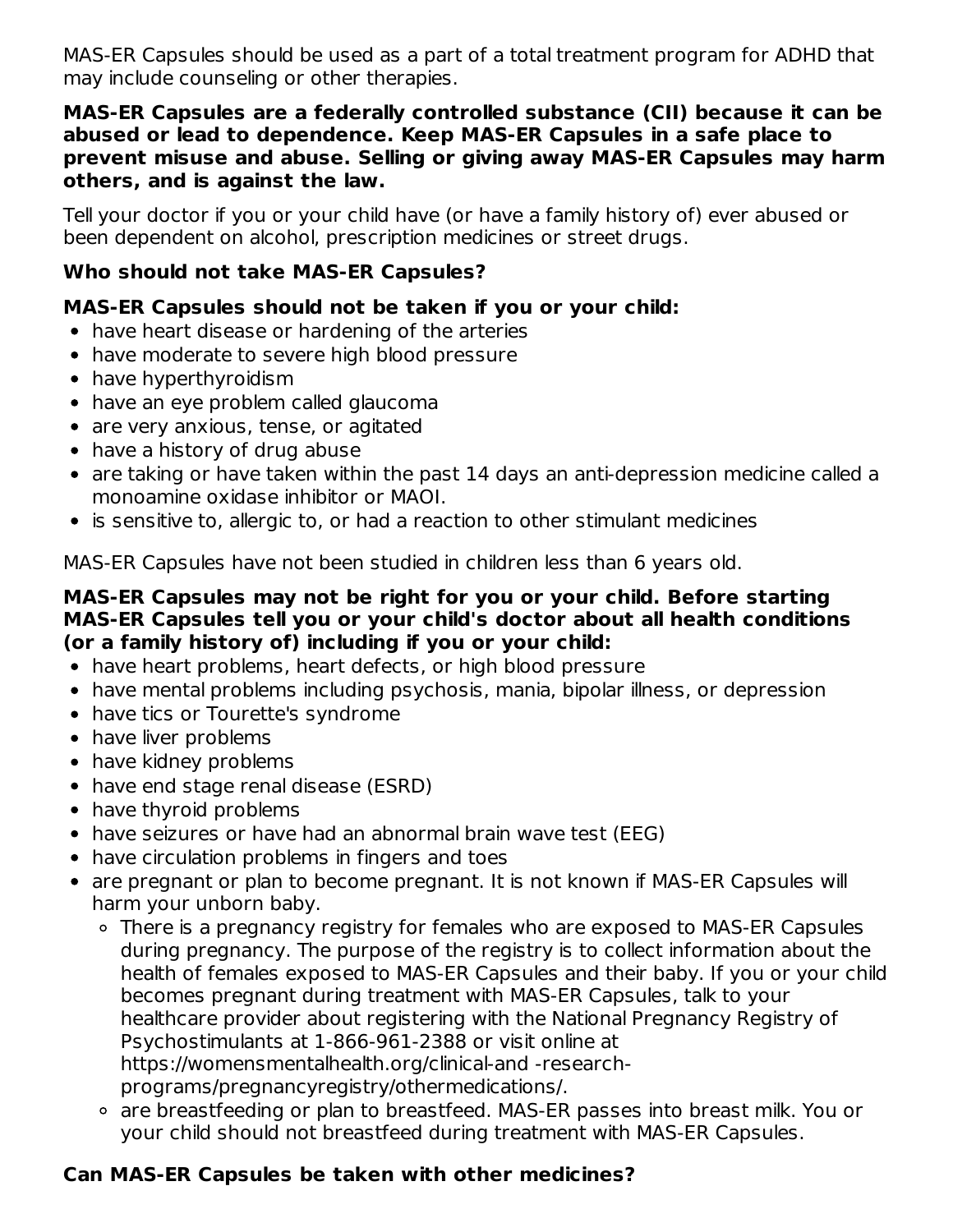MAS-ER Capsules should be used as a part of a total treatment program for ADHD that may include counseling or other therapies.

#### **MAS-ER Capsules are a federally controlled substance (CII) because it can be abused or lead to dependence. Keep MAS-ER Capsules in a safe place to prevent misuse and abuse. Selling or giving away MAS-ER Capsules may harm others, and is against the law.**

Tell your doctor if you or your child have (or have a family history of) ever abused or been dependent on alcohol, prescription medicines or street drugs.

### **Who should not take MAS-ER Capsules?**

## **MAS-ER Capsules should not be taken if you or your child:**

- have heart disease or hardening of the arteries
- have moderate to severe high blood pressure
- have hyperthyroidism
- have an eye problem called glaucoma
- are very anxious, tense, or agitated
- have a history of drug abuse
- are taking or have taken within the past 14 days an anti-depression medicine called a monoamine oxidase inhibitor or MAOI.
- is sensitive to, allergic to, or had a reaction to other stimulant medicines

MAS-ER Capsules have not been studied in children less than 6 years old.

#### **MAS-ER Capsules may not be right for you or your child. Before starting MAS-ER Capsules tell you or your child's doctor about all health conditions (or a family history of) including if you or your child:**

- have heart problems, heart defects, or high blood pressure
- have mental problems including psychosis, mania, bipolar illness, or depression
- have tics or Tourette's syndrome
- have liver problems
- have kidney problems
- have end stage renal disease (ESRD)
- have thyroid problems
- have seizures or have had an abnormal brain wave test (EEG)
- have circulation problems in fingers and toes
- are pregnant or plan to become pregnant. It is not known if MAS-ER Capsules will harm your unborn baby.
	- There is a pregnancy registry for females who are exposed to MAS-ER Capsules during pregnancy. The purpose of the registry is to collect information about the health of females exposed to MAS-ER Capsules and their baby. If you or your child becomes pregnant during treatment with MAS-ER Capsules, talk to your healthcare provider about registering with the National Pregnancy Registry of Psychostimulants at 1-866-961-2388 or visit online at https://womensmentalhealth.org/clinical-and -researchprograms/pregnancyregistry/othermedications/.
	- are breastfeeding or plan to breastfeed. MAS-ER passes into breast milk. You or your child should not breastfeed during treatment with MAS-ER Capsules.

## **Can MAS-ER Capsules be taken with other medicines?**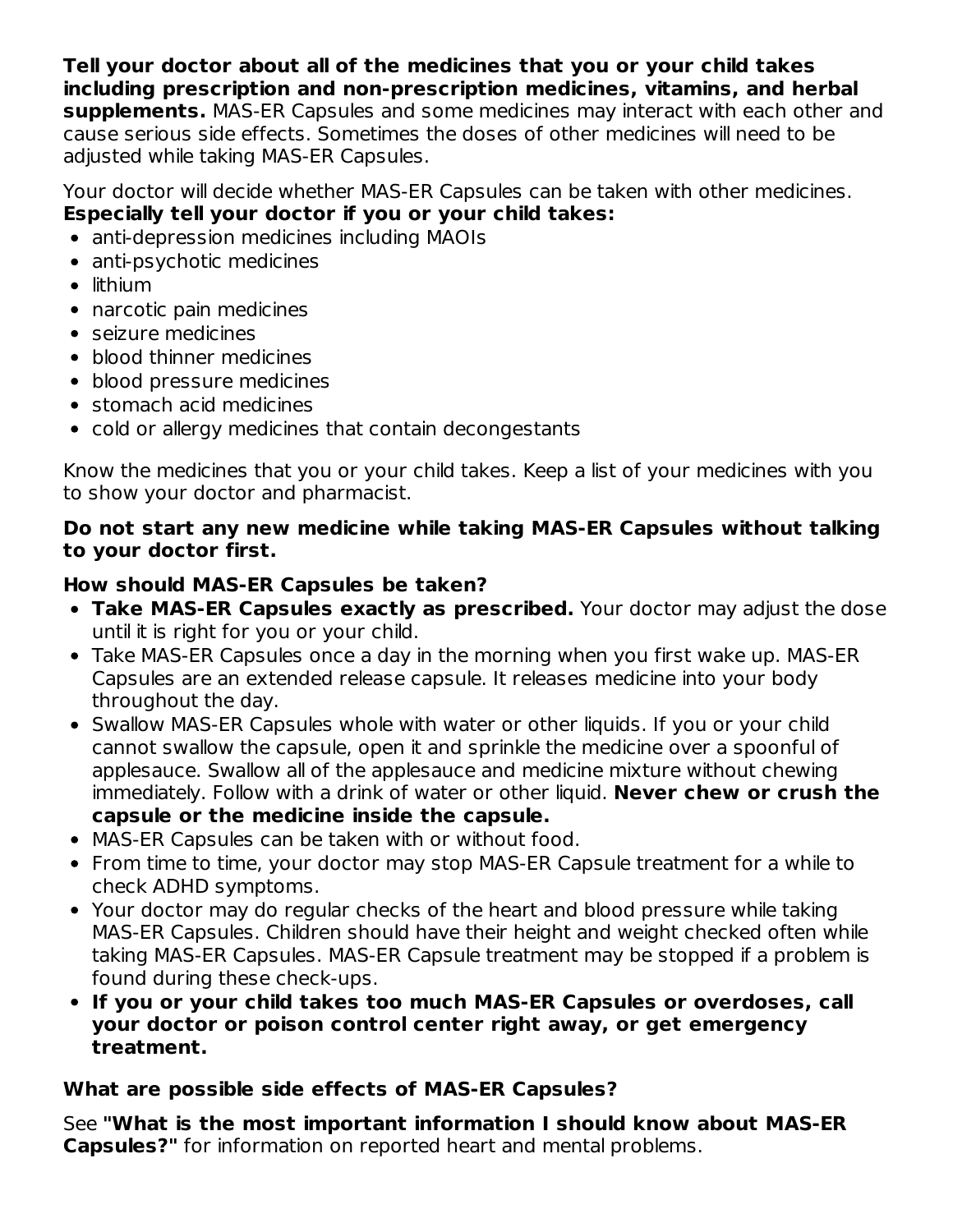**Tell your doctor about all of the medicines that you or your child takes including prescription and non-prescription medicines, vitamins, and herbal supplements.** MAS-ER Capsules and some medicines may interact with each other and cause serious side effects. Sometimes the doses of other medicines will need to be adjusted while taking MAS-ER Capsules.

Your doctor will decide whether MAS-ER Capsules can be taken with other medicines. **Especially tell your doctor if you or your child takes:**

- anti-depression medicines including MAOIs
- anti-psychotic medicines
- lithium
- narcotic pain medicines
- seizure medicines
- blood thinner medicines
- blood pressure medicines
- stomach acid medicines
- cold or allergy medicines that contain decongestants

Know the medicines that you or your child takes. Keep a list of your medicines with you to show your doctor and pharmacist.

#### **Do not start any new medicine while taking MAS-ER Capsules without talking to your doctor first.**

### **How should MAS-ER Capsules be taken?**

- **Take MAS-ER Capsules exactly as prescribed.** Your doctor may adjust the dose until it is right for you or your child.
- Take MAS-ER Capsules once a day in the morning when you first wake up. MAS-ER Capsules are an extended release capsule. It releases medicine into your body throughout the day.
- Swallow MAS-ER Capsules whole with water or other liquids. If you or your child cannot swallow the capsule, open it and sprinkle the medicine over a spoonful of applesauce. Swallow all of the applesauce and medicine mixture without chewing immediately. Follow with a drink of water or other liquid. **Never chew or crush the capsule or the medicine inside the capsule.**
- MAS-ER Capsules can be taken with or without food.
- From time to time, your doctor may stop MAS-ER Capsule treatment for a while to check ADHD symptoms.
- Your doctor may do regular checks of the heart and blood pressure while taking MAS-ER Capsules. Children should have their height and weight checked often while taking MAS-ER Capsules. MAS-ER Capsule treatment may be stopped if a problem is found during these check-ups.
- **If you or your child takes too much MAS-ER Capsules or overdoses, call your doctor or poison control center right away, or get emergency treatment.**

### **What are possible side effects of MAS-ER Capsules?**

See **"What is the most important information I should know about MAS-ER Capsules?"** for information on reported heart and mental problems.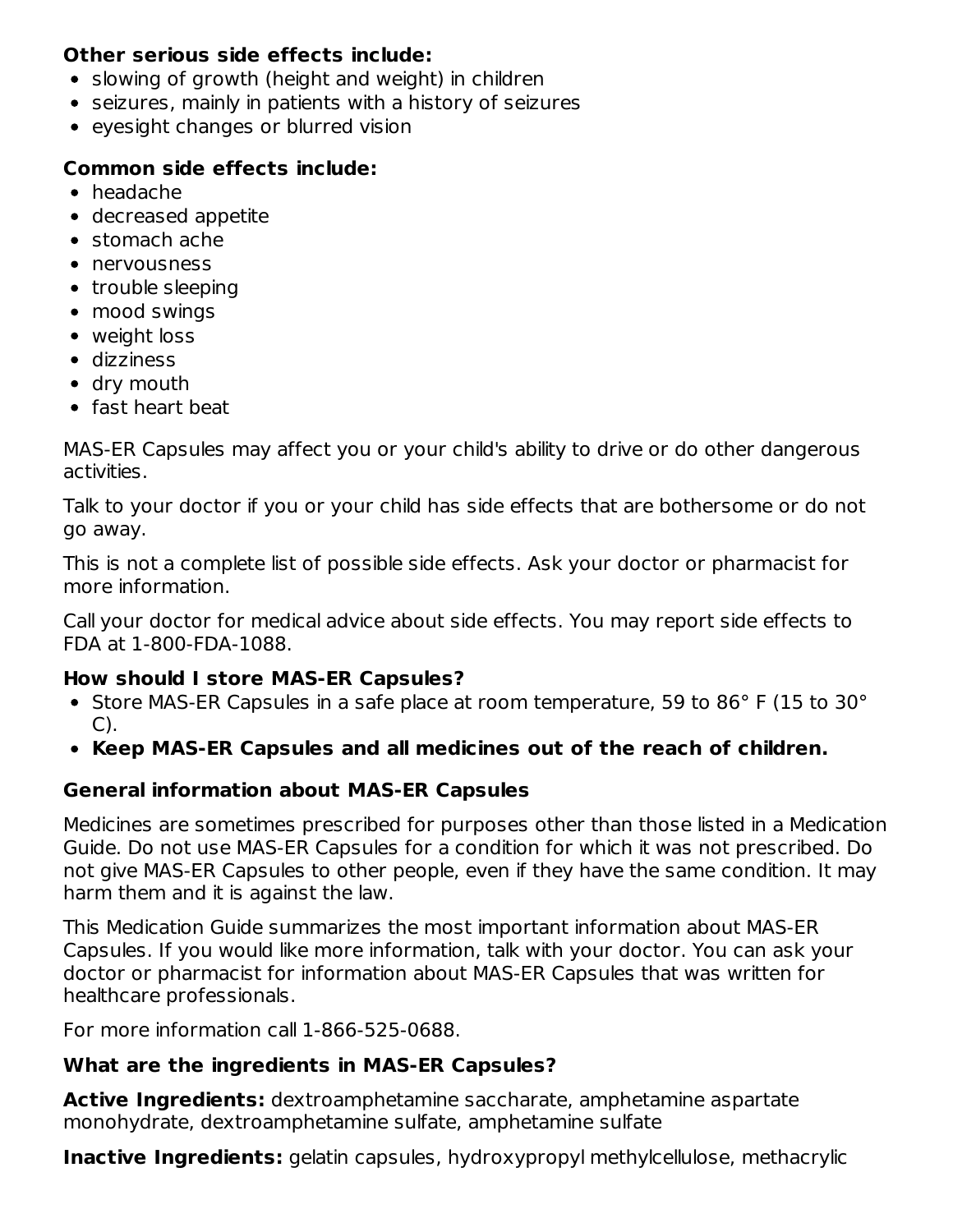### **Other serious side effects include:**

- slowing of growth (height and weight) in children
- seizures, mainly in patients with a history of seizures
- eyesight changes or blurred vision

## **Common side effects include:**

- headache
- decreased appetite
- stomach ache
- nervousness
- trouble sleeping
- mood swings
- weight loss
- dizziness
- dry mouth
- fast heart beat

MAS-ER Capsules may affect you or your child's ability to drive or do other dangerous activities.

Talk to your doctor if you or your child has side effects that are bothersome or do not go away.

This is not a complete list of possible side effects. Ask your doctor or pharmacist for more information.

Call your doctor for medical advice about side effects. You may report side effects to FDA at 1-800-FDA-1088.

## **How should I store MAS-ER Capsules?**

- Store MAS-ER Capsules in a safe place at room temperature, 59 to 86° F (15 to 30° C).
- **Keep MAS-ER Capsules and all medicines out of the reach of children.**

### **General information about MAS-ER Capsules**

Medicines are sometimes prescribed for purposes other than those listed in a Medication Guide. Do not use MAS-ER Capsules for a condition for which it was not prescribed. Do not give MAS-ER Capsules to other people, even if they have the same condition. It may harm them and it is against the law.

This Medication Guide summarizes the most important information about MAS-ER Capsules. If you would like more information, talk with your doctor. You can ask your doctor or pharmacist for information about MAS-ER Capsules that was written for healthcare professionals.

For more information call 1-866-525-0688.

## **What are the ingredients in MAS-ER Capsules?**

**Active Ingredients:** dextroamphetamine saccharate, amphetamine aspartate monohydrate, dextroamphetamine sulfate, amphetamine sulfate

**Inactive Ingredients:** gelatin capsules, hydroxypropyl methylcellulose, methacrylic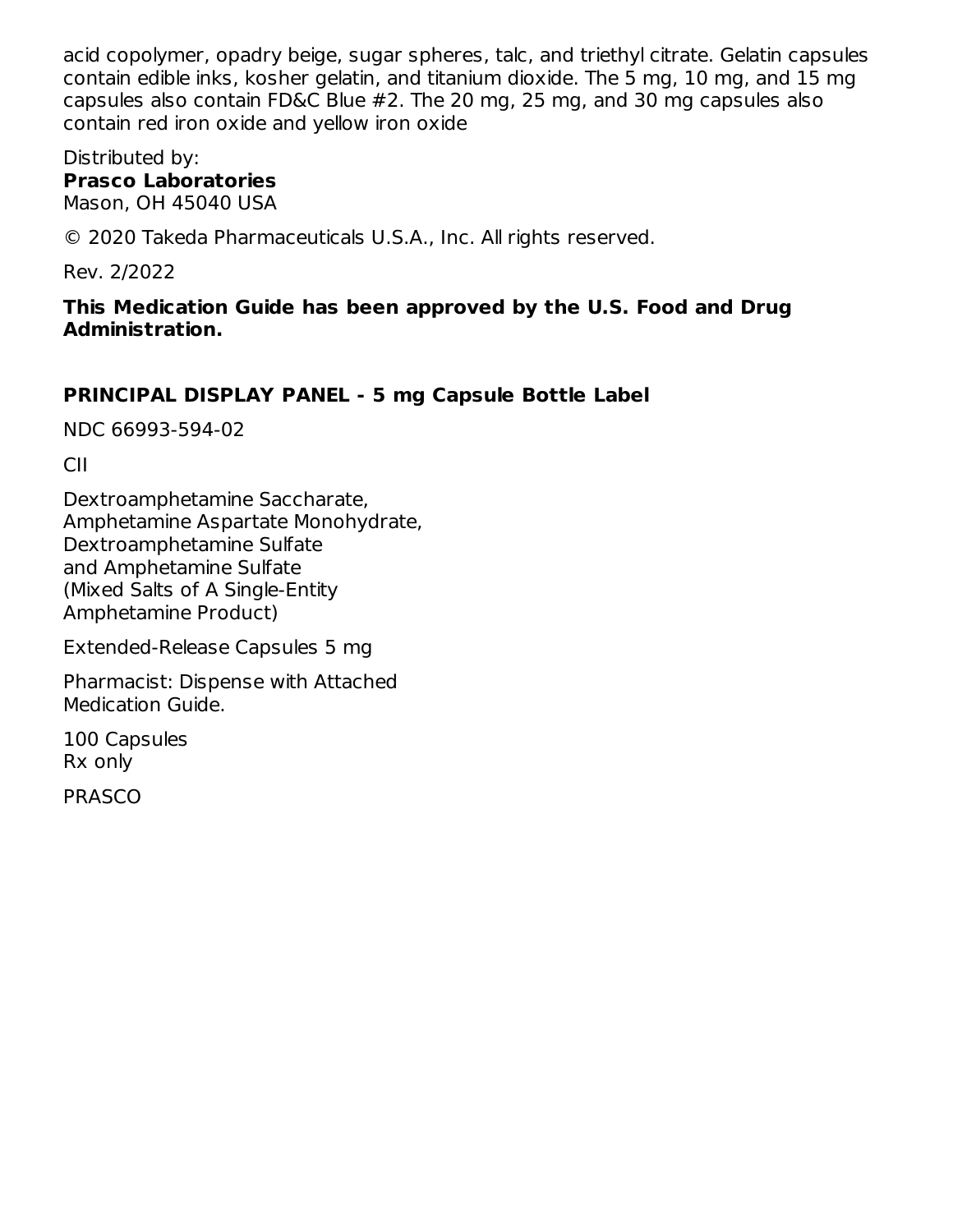acid copolymer, opadry beige, sugar spheres, talc, and triethyl citrate. Gelatin capsules contain edible inks, kosher gelatin, and titanium dioxide. The 5 mg, 10 mg, and 15 mg capsules also contain FD&C Blue #2. The 20 mg, 25 mg, and 30 mg capsules also contain red iron oxide and yellow iron oxide

Distributed by:

#### **Prasco Laboratories**

Mason, OH 45040 USA

© 2020 Takeda Pharmaceuticals U.S.A., Inc. All rights reserved.

Rev. 2/2022

**This Medication Guide has been approved by the U.S. Food and Drug Administration.**

### **PRINCIPAL DISPLAY PANEL - 5 mg Capsule Bottle Label**

NDC 66993-594-02

CII

Dextroamphetamine Saccharate, Amphetamine Aspartate Monohydrate, Dextroamphetamine Sulfate and Amphetamine Sulfate (Mixed Salts of A Single-Entity Amphetamine Product)

Extended-Release Capsules 5 mg

Pharmacist: Dispense with Attached Medication Guide.

100 Capsules Rx only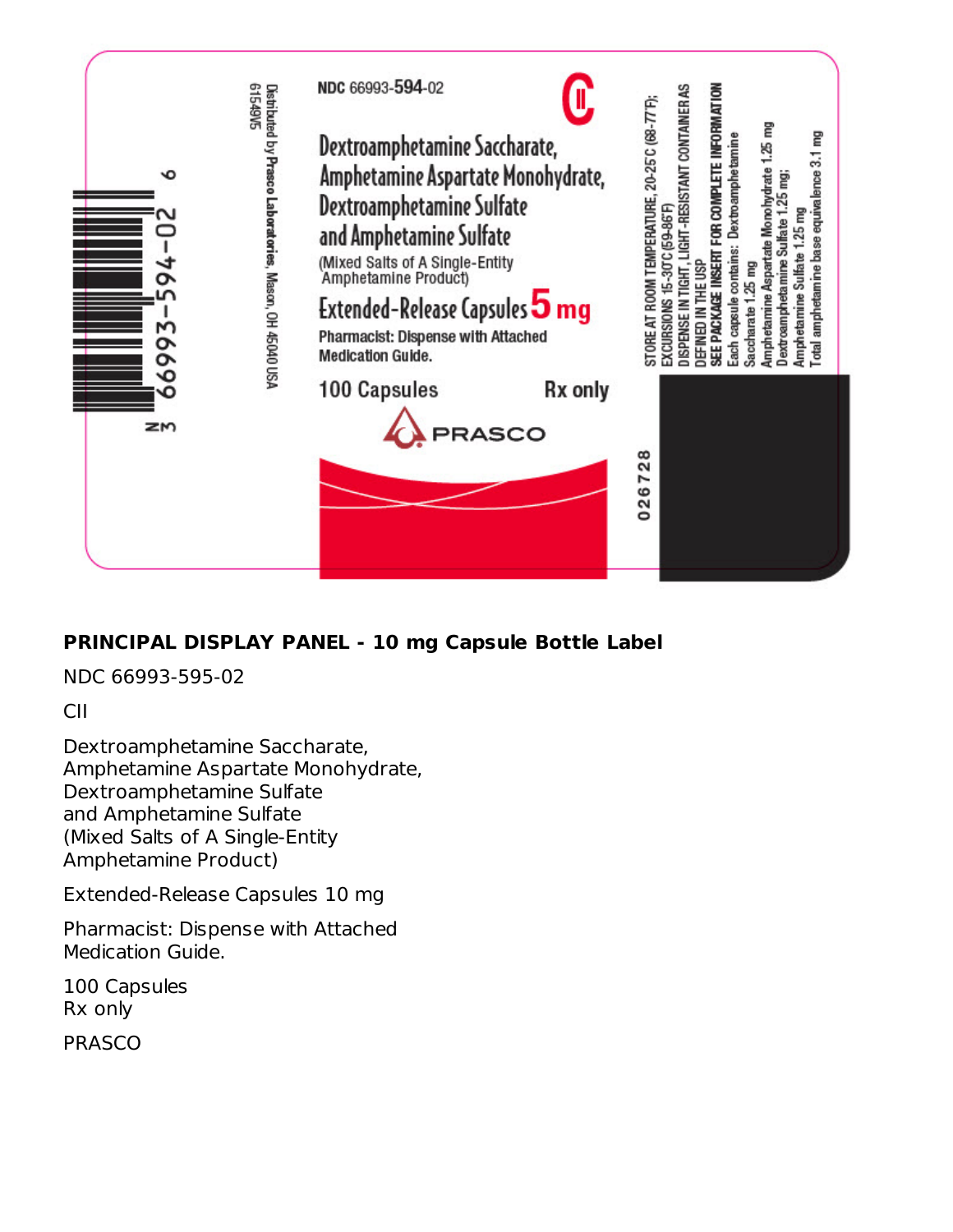

## **PRINCIPAL DISPLAY PANEL - 10 mg Capsule Bottle Label**

NDC 66993-595-02

CII

Dextroamphetamine Saccharate, Amphetamine Aspartate Monohydrate, Dextroamphetamine Sulfate and Amphetamine Sulfate (Mixed Salts of A Single-Entity Amphetamine Product)

Extended-Release Capsules 10 mg

Pharmacist: Dispense with Attached Medication Guide.

100 Capsules Rx only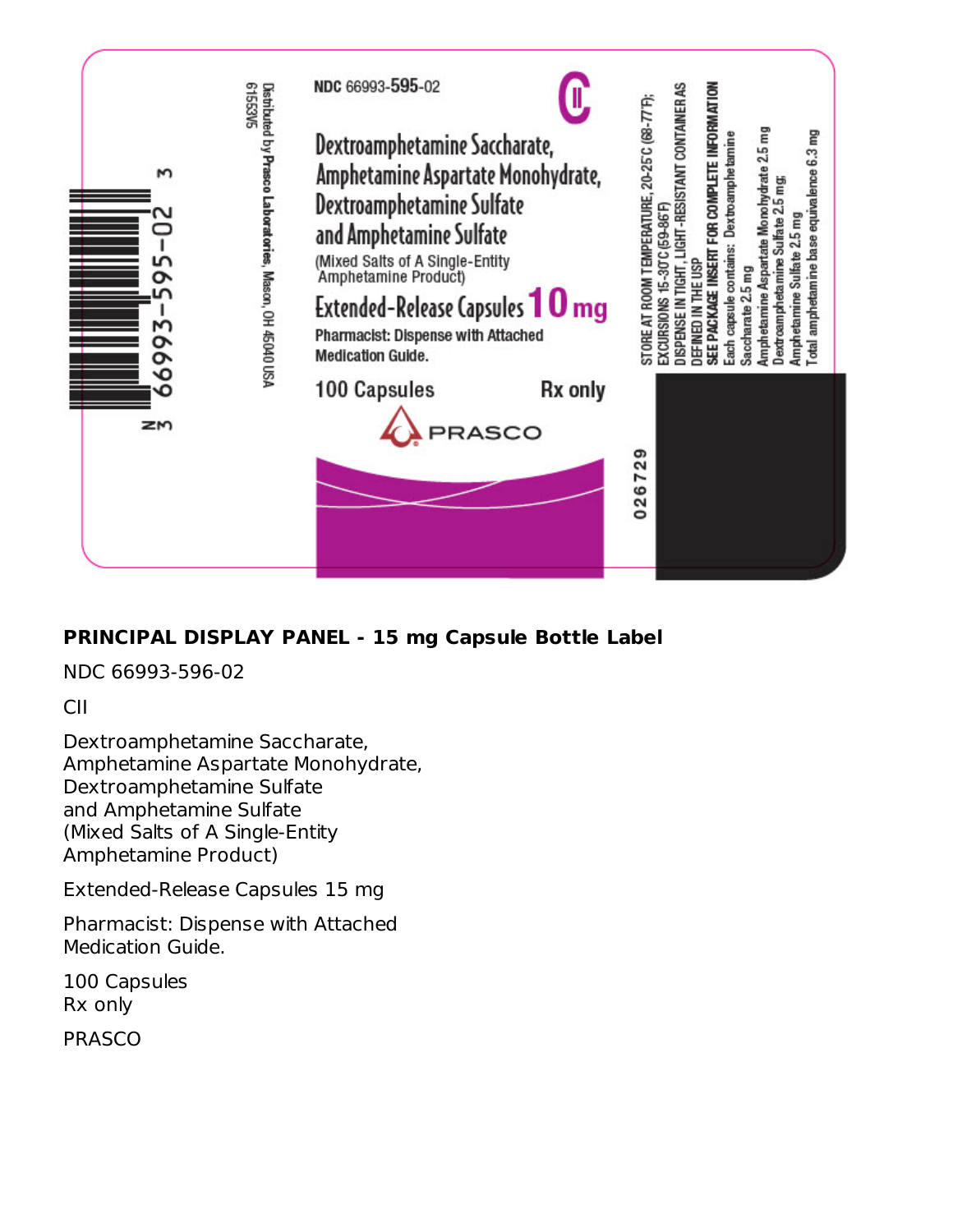

## **PRINCIPAL DISPLAY PANEL - 15 mg Capsule Bottle Label**

NDC 66993-596-02

CII

Dextroamphetamine Saccharate, Amphetamine Aspartate Monohydrate, Dextroamphetamine Sulfate and Amphetamine Sulfate (Mixed Salts of A Single-Entity Amphetamine Product)

Extended-Release Capsules 15 mg

Pharmacist: Dispense with Attached Medication Guide.

100 Capsules Rx only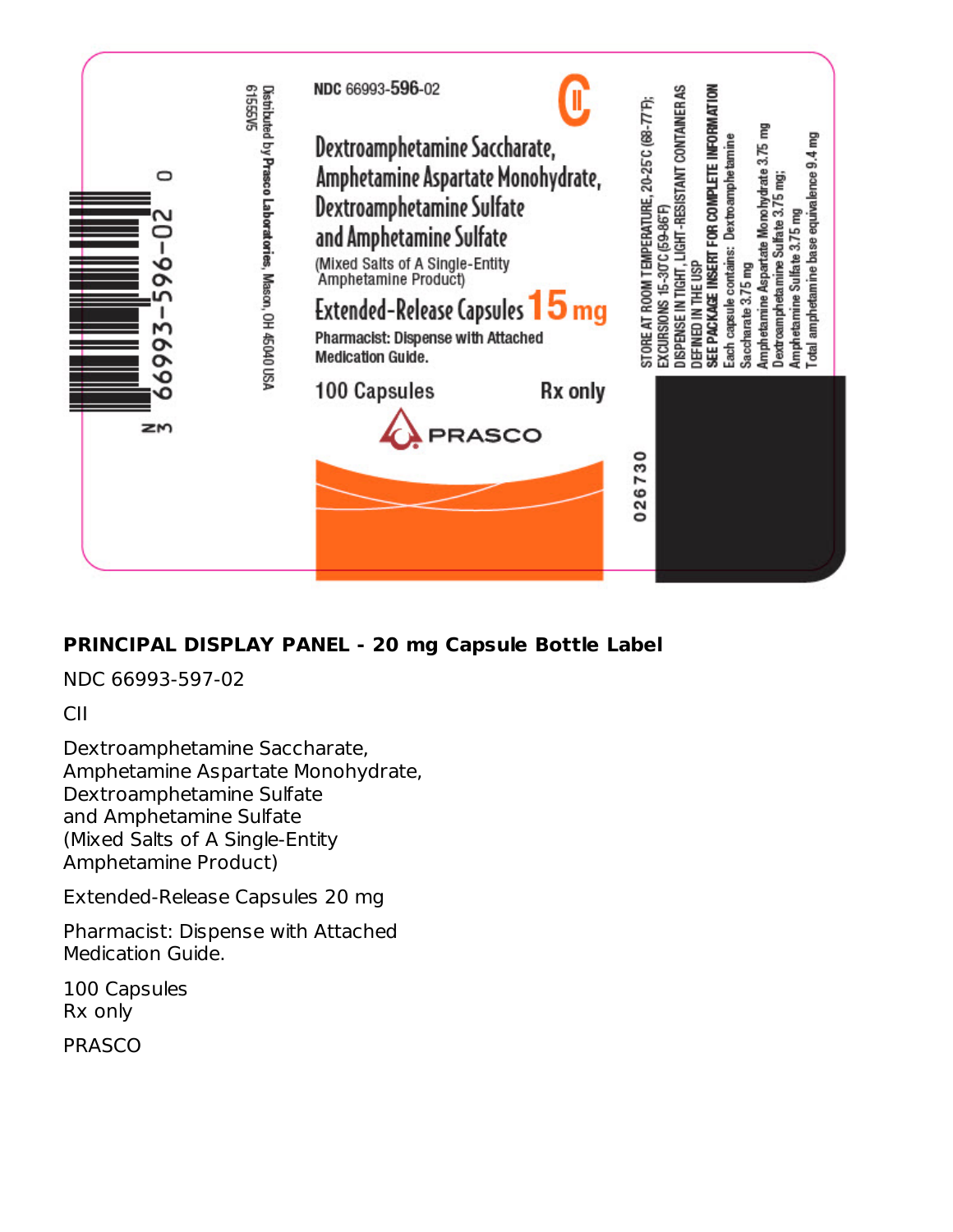

## **PRINCIPAL DISPLAY PANEL - 20 mg Capsule Bottle Label**

NDC 66993-597-02

CII

Dextroamphetamine Saccharate, Amphetamine Aspartate Monohydrate, Dextroamphetamine Sulfate and Amphetamine Sulfate (Mixed Salts of A Single-Entity Amphetamine Product)

Extended-Release Capsules 20 mg

Pharmacist: Dispense with Attached Medication Guide.

100 Capsules Rx only PRASCO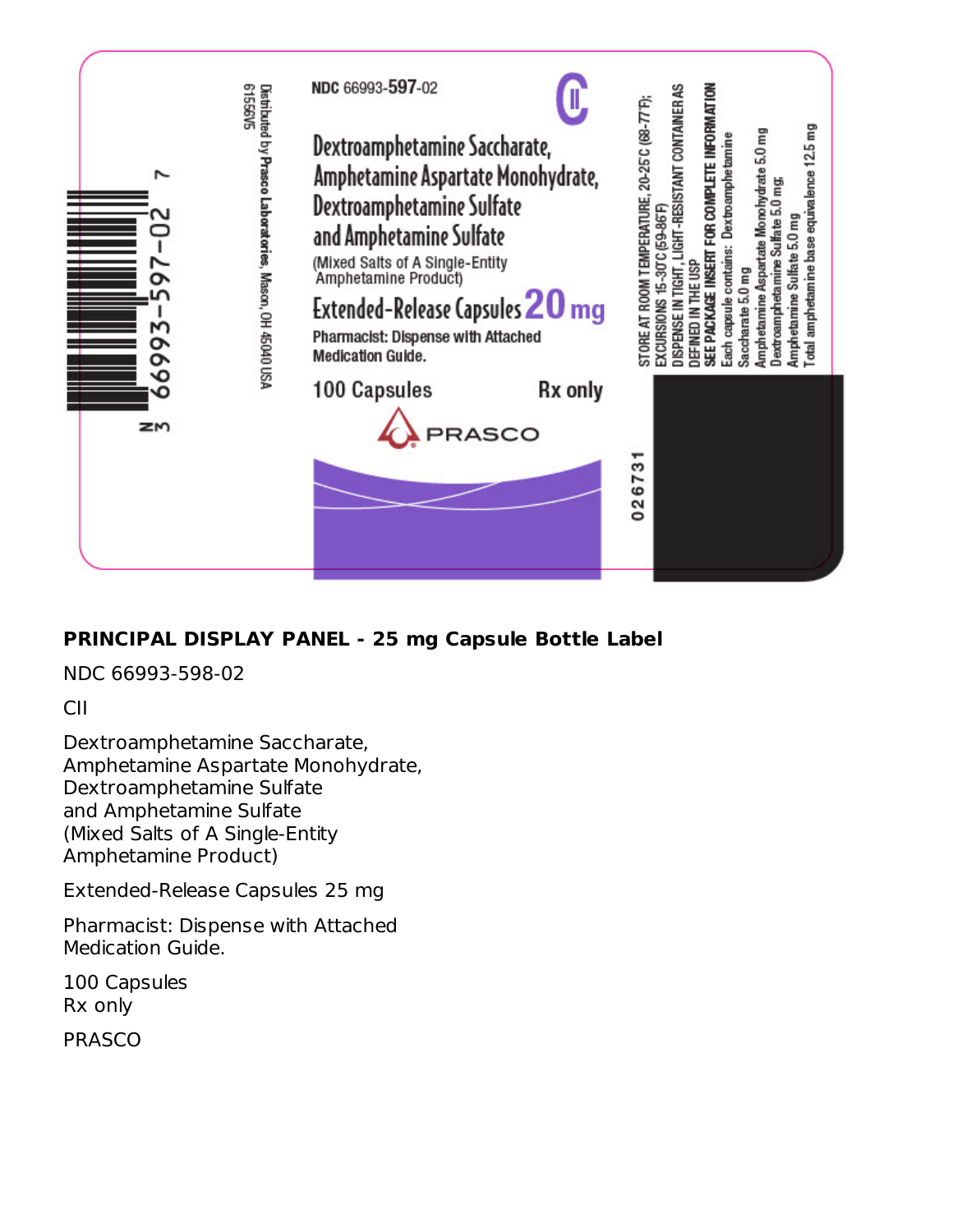

## **PRINCIPAL DISPLAY PANEL - 25 mg Capsule Bottle Label**

NDC 66993-598-02

CII

Dextroamphetamine Saccharate, Amphetamine Aspartate Monohydrate, Dextroamphetamine Sulfate and Amphetamine Sulfate (Mixed Salts of A Single-Entity Amphetamine Product)

Extended-Release Capsules 25 mg

Pharmacist: Dispense with Attached Medication Guide.

100 Capsules Rx only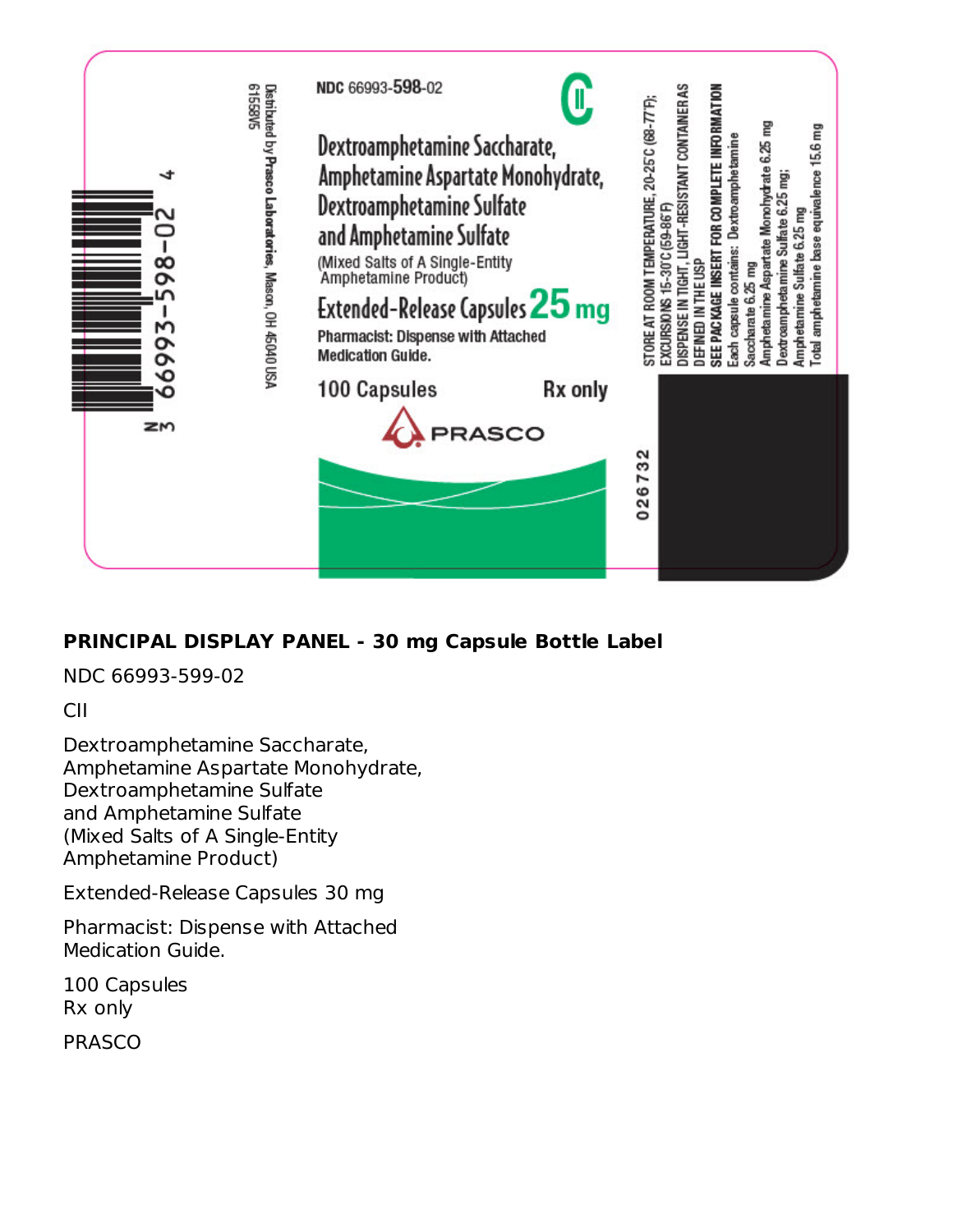

## **PRINCIPAL DISPLAY PANEL - 30 mg Capsule Bottle Label**

NDC 66993-599-02

CII

Dextroamphetamine Saccharate, Amphetamine Aspartate Monohydrate, Dextroamphetamine Sulfate and Amphetamine Sulfate (Mixed Salts of A Single-Entity Amphetamine Product)

Extended-Release Capsules 30 mg

Pharmacist: Dispense with Attached Medication Guide.

100 Capsules Rx only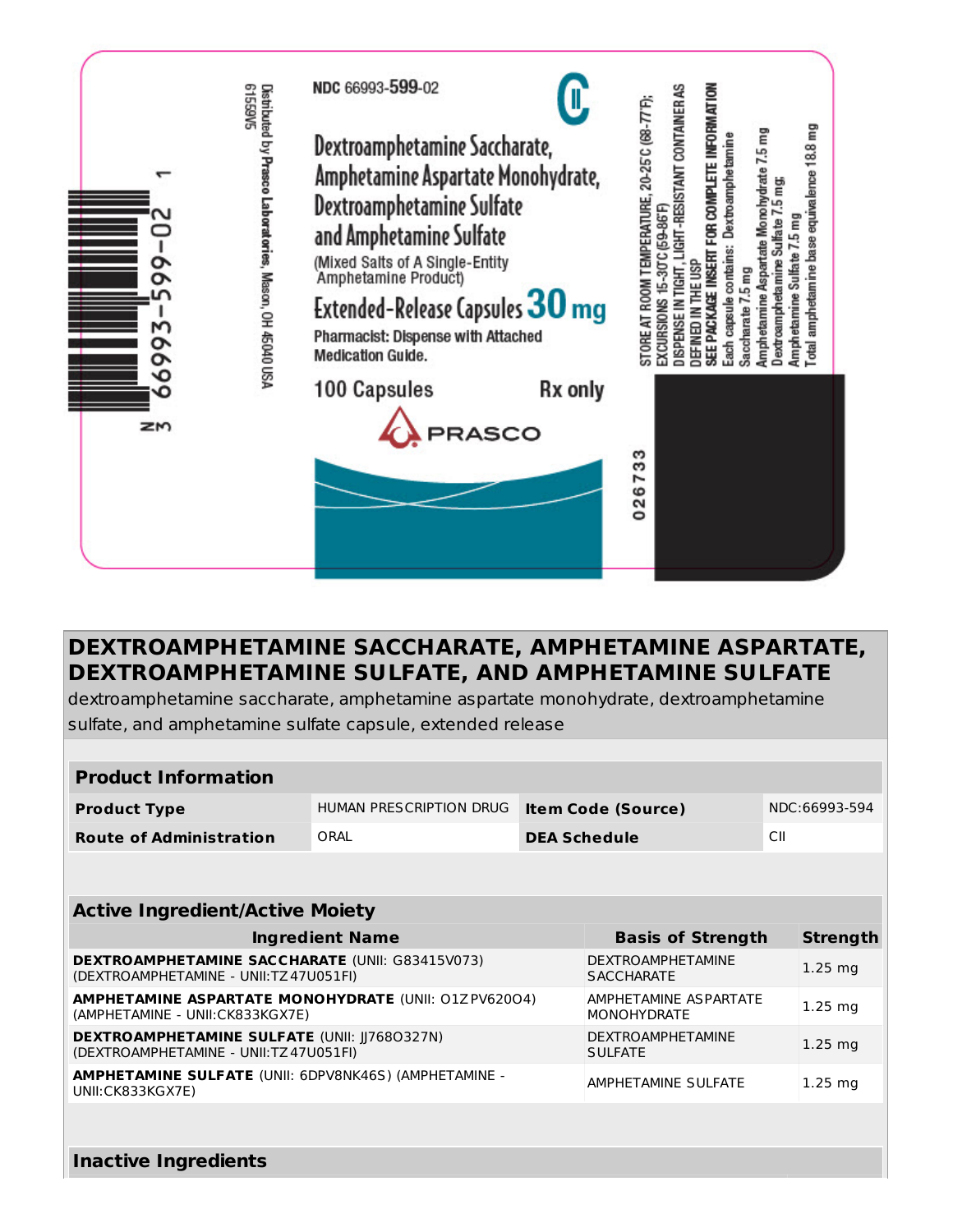

## **DEXTROAMPHETAMINE SACCHARATE, AMPHETAMINE ASPARTATE, DEXTROAMPHETAMINE SULFATE, AND AMPHETAMINE SULFATE**

dextroamphetamine saccharate, amphetamine aspartate monohydrate, dextroamphetamine sulfate, and amphetamine sulfate capsule, extended release

| <b>Product Information</b>                                                                       |                         |  |                                               |     |                 |  |  |
|--------------------------------------------------------------------------------------------------|-------------------------|--|-----------------------------------------------|-----|-----------------|--|--|
| <b>Product Type</b>                                                                              | HUMAN PRESCRIPTION DRUG |  | <b>Item Code (Source)</b>                     |     | NDC:66993-594   |  |  |
| <b>Route of Administration</b>                                                                   | ORAI                    |  | <b>DEA Schedule</b>                           | CII |                 |  |  |
|                                                                                                  |                         |  |                                               |     |                 |  |  |
|                                                                                                  |                         |  |                                               |     |                 |  |  |
| <b>Active Ingredient/Active Moiety</b>                                                           |                         |  |                                               |     |                 |  |  |
|                                                                                                  | <b>Ingredient Name</b>  |  | <b>Basis of Strength</b>                      |     | <b>Strength</b> |  |  |
| <b>DEXTROAMPHETAMINE SACCHARATE (UNII: G83415V073)</b><br>(DEXTROAMPHETAMINE - UNII:TZ 47U051FI) |                         |  | <b>DEXTROAMPHETAMINE</b><br><b>SACCHARATE</b> |     | $1.25$ mg       |  |  |
| <b>AMPHETAMINE ASPARTATE MONOHYDRATE (UNII: 01ZPV62004)</b><br>(AMPHETAMINE - UNII:CK833KGX7E)   |                         |  | AMPHETAMINE AS PARTATE<br><b>MONOHYDRATE</b>  |     | $1.25$ mg       |  |  |
| <b>DEXTROAMPHETAMINE SULFATE (UNII: II7680327N)</b><br>(DEXTROAMPHETAMINE - UNII:TZ47U051FI)     |                         |  | <b>DEXTROAMPHETAMINE</b><br><b>SULFATE</b>    |     | $1.25$ mg       |  |  |
| <b>AMPHETAMINE SULFATE (UNII: 6DPV8NK46S) (AMPHETAMINE -</b><br>UNII: CK833KGX7E)                |                         |  | AMPHETAMINE SULFATE                           |     | $1.25$ mg       |  |  |
|                                                                                                  |                         |  |                                               |     |                 |  |  |

**Inactive Ingredients**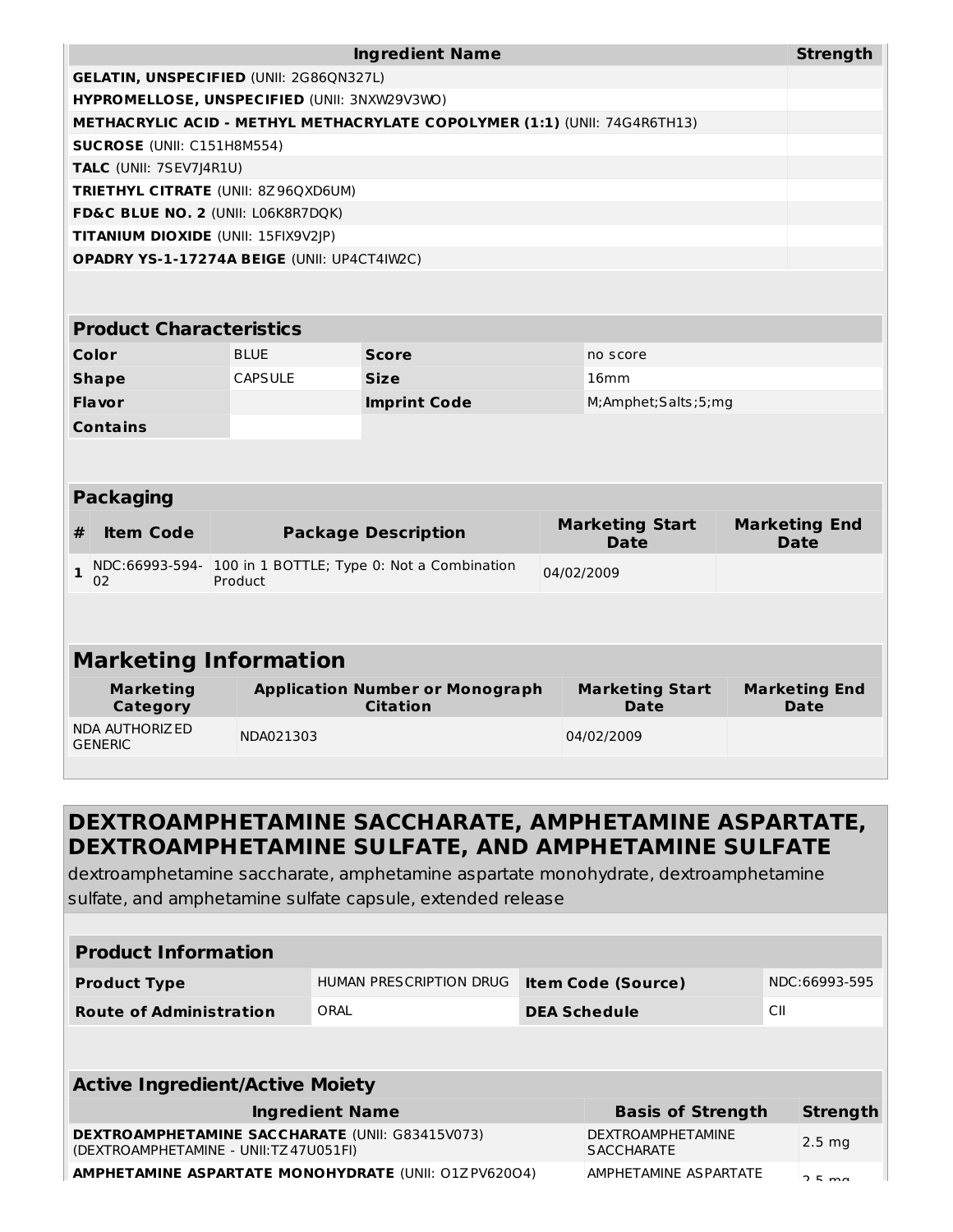| <b>Ingredient Name</b>     |                                         |                                              |                                                                           |                                 |                                       |  | <b>Strength</b>                     |  |
|----------------------------|-----------------------------------------|----------------------------------------------|---------------------------------------------------------------------------|---------------------------------|---------------------------------------|--|-------------------------------------|--|
|                            |                                         | GELATIN, UNSPECIFIED (UNII: 2G86QN327L)      |                                                                           |                                 |                                       |  |                                     |  |
|                            |                                         | HYPROMELLOSE, UNSPECIFIED (UNII: 3NXW29V3WO) |                                                                           |                                 |                                       |  |                                     |  |
|                            |                                         |                                              | METHACRYLIC ACID - METHYL METHACRYLATE COPOLYMER (1:1) (UNII: 74G4R6TH13) |                                 |                                       |  |                                     |  |
| SUCROSE (UNII: C151H8M554) |                                         |                                              |                                                                           |                                 |                                       |  |                                     |  |
| TALC (UNII: 7SEV7J4R1U)    |                                         |                                              |                                                                           |                                 |                                       |  |                                     |  |
|                            |                                         | TRIETHYL CITRATE (UNII: 8Z96QXD6UM)          |                                                                           |                                 |                                       |  |                                     |  |
|                            |                                         | FD&C BLUE NO. 2 (UNII: L06K8R7DQK)           |                                                                           |                                 |                                       |  |                                     |  |
|                            |                                         | TITANIUM DIOXIDE (UNII: 15FIX9V2JP)          |                                                                           |                                 |                                       |  |                                     |  |
|                            |                                         | OPADRY YS-1-17274A BEIGE (UNII: UP4CT4IW2C)  |                                                                           |                                 |                                       |  |                                     |  |
|                            |                                         |                                              |                                                                           |                                 |                                       |  |                                     |  |
|                            |                                         |                                              |                                                                           |                                 |                                       |  |                                     |  |
|                            | <b>Product Characteristics</b>          |                                              |                                                                           |                                 |                                       |  |                                     |  |
|                            | Color                                   | <b>BLUE</b>                                  | <b>Score</b>                                                              |                                 | no score                              |  |                                     |  |
|                            | <b>Shape</b>                            | <b>CAPSULE</b>                               |                                                                           | <b>Size</b><br>16 <sub>mm</sub> |                                       |  |                                     |  |
|                            | <b>Flavor</b>                           |                                              | <b>Imprint Code</b>                                                       |                                 | M;Amphet;Salts;5;mg                   |  |                                     |  |
|                            | <b>Contains</b>                         |                                              |                                                                           |                                 |                                       |  |                                     |  |
|                            |                                         |                                              |                                                                           |                                 |                                       |  |                                     |  |
|                            |                                         |                                              |                                                                           |                                 |                                       |  |                                     |  |
|                            | <b>Packaging</b>                        |                                              |                                                                           |                                 |                                       |  |                                     |  |
| #                          | <b>Item Code</b>                        |                                              | <b>Package Description</b>                                                |                                 | <b>Marketing Start</b><br>Date        |  | <b>Marketing End</b><br><b>Date</b> |  |
| $\mathbf{1}$               | 02                                      | Product                                      | NDC:66993-594- 100 in 1 BOTTLE; Type 0: Not a Combination                 |                                 | 04/02/2009                            |  |                                     |  |
|                            |                                         |                                              |                                                                           |                                 |                                       |  |                                     |  |
|                            | <b>Marketing Information</b>            |                                              |                                                                           |                                 |                                       |  |                                     |  |
|                            |                                         |                                              |                                                                           |                                 |                                       |  |                                     |  |
|                            | <b>Marketing</b><br><b>Category</b>     |                                              | <b>Application Number or Monograph</b><br><b>Citation</b>                 |                                 | <b>Marketing Start</b><br><b>Date</b> |  | <b>Marketing End</b><br><b>Date</b> |  |
|                            | <b>NDA AUTHORIZED</b><br><b>GENERIC</b> | NDA021303                                    |                                                                           |                                 | 04/02/2009                            |  |                                     |  |
|                            |                                         |                                              |                                                                           |                                 |                                       |  |                                     |  |
|                            |                                         |                                              |                                                                           |                                 |                                       |  |                                     |  |

## **DEXTROAMPHETAMINE SACCHARATE, AMPHETAMINE ASPARTATE, DEXTROAMPHETAMINE SULFATE, AND AMPHETAMINE SULFATE**

dextroamphetamine saccharate, amphetamine aspartate monohydrate, dextroamphetamine sulfate, and amphetamine sulfate capsule, extended release

| <b>Product Information</b>                                                                      |                         |  |                                               |     |                   |  |  |  |
|-------------------------------------------------------------------------------------------------|-------------------------|--|-----------------------------------------------|-----|-------------------|--|--|--|
| <b>Product Type</b>                                                                             | HUMAN PRESCRIPTION DRUG |  | <b>Item Code (Source)</b>                     |     | NDC:66993-595     |  |  |  |
| <b>Route of Administration</b>                                                                  | ORAI                    |  | <b>DEA Schedule</b>                           | CII |                   |  |  |  |
|                                                                                                 |                         |  |                                               |     |                   |  |  |  |
| <b>Active Ingredient/Active Moiety</b>                                                          |                         |  |                                               |     |                   |  |  |  |
|                                                                                                 | <b>Ingredient Name</b>  |  | <b>Basis of Strength</b>                      |     | <b>Strength</b>   |  |  |  |
| <b>DEXTROAMPHETAMINE SACCHARATE (UNII: G83415V073)</b><br>(DEXTROAMPHETAMINE - UNII:TZ47U051FI) |                         |  | <b>DEXTROAMPHETAMINE</b><br><b>SACCHARATE</b> |     | 2.5 <sub>mg</sub> |  |  |  |
| <b>AMPHETAMINE ASPARTATE MONOHYDRATE (UNII: 01ZPV62004)</b>                                     |                         |  | AMPHETAMINE AS PARTATE                        |     | 2.5 m             |  |  |  |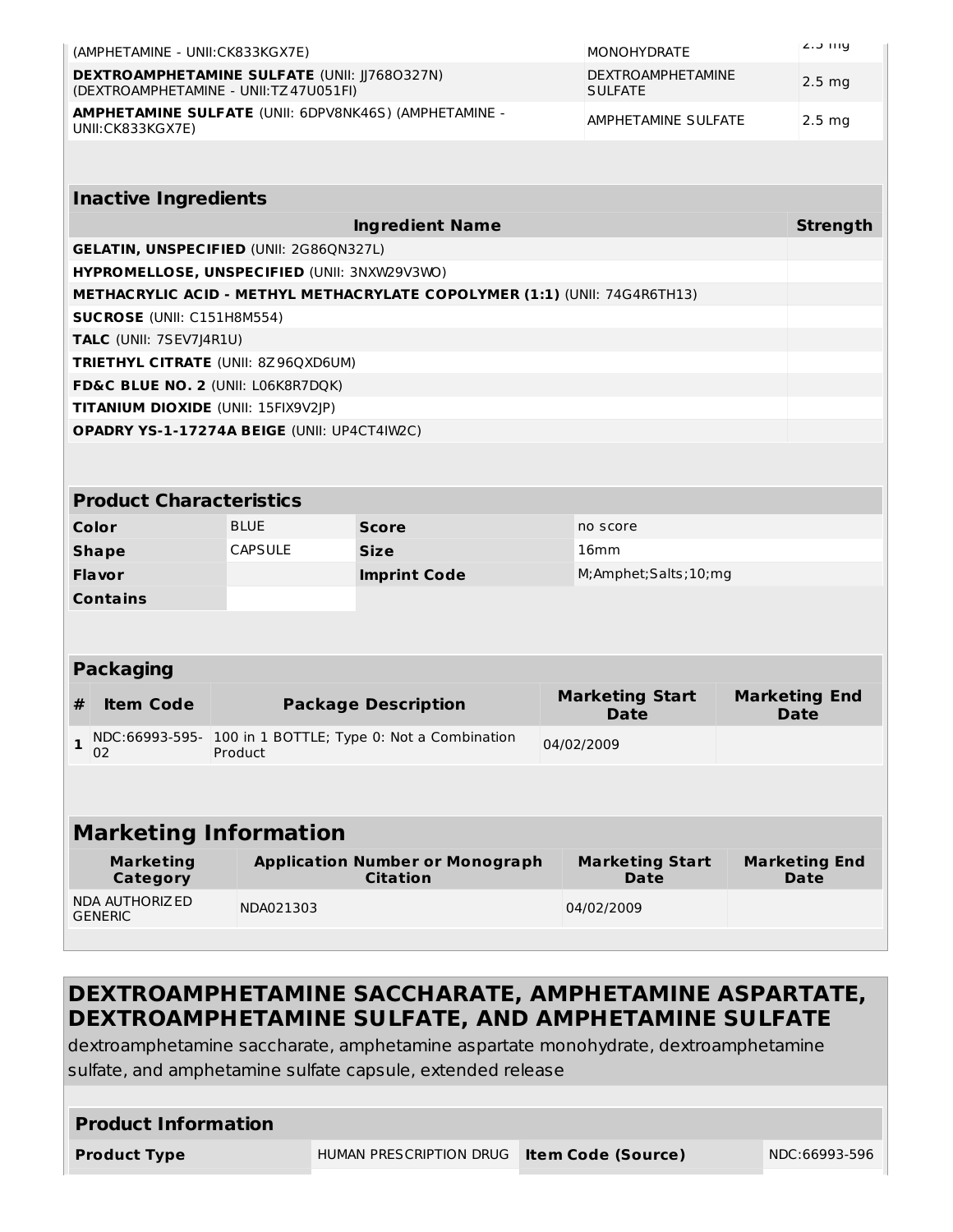| (AMPHETAMINE - UNII:CK833KGX7E)                                                               | <b>MONOHYDRATE</b>                   | $2.5$ HIY        |
|-----------------------------------------------------------------------------------------------|--------------------------------------|------------------|
| <b>DEXTROAMPHETAMINE SULFATE (UNII: II7680327N)</b><br>(DEXTROAMPHETAMINE - UNII:TZ 47U051FI) | <b>DEXTROAMPHETAMINE</b><br>SUI FATE | $2.5 \text{ ma}$ |
| <b>AMPHETAMINE SULFATE (UNII: 6DPV8NK46S) (AMPHETAMINE -</b><br>UNII:CK833KGX7E)              | AMPHETAMINE SULFATE                  | $2.5 \text{ ma}$ |

| <b>Inactive Ingredients</b>                                               |                                   |                                                                      |                        |                                       |                      |  |                                     |
|---------------------------------------------------------------------------|-----------------------------------|----------------------------------------------------------------------|------------------------|---------------------------------------|----------------------|--|-------------------------------------|
|                                                                           |                                   |                                                                      | <b>Ingredient Name</b> |                                       |                      |  | <b>Strength</b>                     |
|                                                                           |                                   | <b>GELATIN, UNSPECIFIED (UNII: 2G86QN327L)</b>                       |                        |                                       |                      |  |                                     |
| HYPROMELLOSE, UNSPECIFIED (UNII: 3NXW29V3WO)                              |                                   |                                                                      |                        |                                       |                      |  |                                     |
| METHACRYLIC ACID - METHYL METHACRYLATE COPOLYMER (1:1) (UNII: 74G4R6TH13) |                                   |                                                                      |                        |                                       |                      |  |                                     |
|                                                                           | <b>SUCROSE (UNII: C151H8M554)</b> |                                                                      |                        |                                       |                      |  |                                     |
|                                                                           | TALC (UNII: 7SEV7J4R1U)           |                                                                      |                        |                                       |                      |  |                                     |
|                                                                           |                                   | <b>TRIETHYL CITRATE (UNII: 8Z96QXD6UM)</b>                           |                        |                                       |                      |  |                                     |
|                                                                           |                                   | FD&C BLUE NO. 2 (UNII: L06K8R7DQK)                                   |                        |                                       |                      |  |                                     |
|                                                                           |                                   | <b>TITANIUM DIOXIDE (UNII: 15FIX9V2JP)</b>                           |                        |                                       |                      |  |                                     |
|                                                                           |                                   | OPADRY YS-1-17274A BEIGE (UNII: UP4CT4IW2C)                          |                        |                                       |                      |  |                                     |
|                                                                           |                                   |                                                                      |                        |                                       |                      |  |                                     |
|                                                                           | <b>Product Characteristics</b>    |                                                                      |                        |                                       |                      |  |                                     |
|                                                                           | Color                             | <b>BLUE</b>                                                          | <b>Score</b>           |                                       | no score             |  |                                     |
|                                                                           | <b>Shape</b>                      | <b>CAPSULE</b>                                                       | <b>Size</b>            |                                       | 16mm                 |  |                                     |
|                                                                           | <b>Flavor</b>                     |                                                                      | <b>Imprint Code</b>    |                                       | M;Amphet;Salts;10;mg |  |                                     |
|                                                                           | <b>Contains</b>                   |                                                                      |                        |                                       |                      |  |                                     |
|                                                                           |                                   |                                                                      |                        |                                       |                      |  |                                     |
|                                                                           |                                   |                                                                      |                        |                                       |                      |  |                                     |
|                                                                           | <b>Packaging</b>                  |                                                                      |                        |                                       |                      |  |                                     |
| #                                                                         | <b>Item Code</b>                  | <b>Package Description</b>                                           |                        | <b>Marketing Start</b><br><b>Date</b> |                      |  | <b>Marketing End</b><br><b>Date</b> |
| 1                                                                         | 02                                | NDC:66993-595- 100 in 1 BOTTLE; Type 0: Not a Combination<br>Product |                        |                                       | 04/02/2009           |  |                                     |
|                                                                           |                                   |                                                                      |                        |                                       |                      |  |                                     |
|                                                                           |                                   |                                                                      |                        |                                       |                      |  |                                     |

## **Marketing Information**

| <b>NDA AUTHORIZED</b> | <b>Marketing</b> | <b>Application Number or Monograph</b> | <b>Marketing Start</b> | <b>Marketing End</b> |
|-----------------------|------------------|----------------------------------------|------------------------|----------------------|
|                       | Category         | <b>Citation</b>                        | Date                   | Date                 |
|                       | <b>GENERIC</b>   | NDA021303                              | 04/02/2009             |                      |

## **DEXTROAMPHETAMINE SACCHARATE, AMPHETAMINE ASPARTATE, DEXTROAMPHETAMINE SULFATE, AND AMPHETAMINE SULFATE**

dextroamphetamine saccharate, amphetamine aspartate monohydrate, dextroamphetamine sulfate, and amphetamine sulfate capsule, extended release

| <b>Product Information</b> |                         |                    |               |
|----------------------------|-------------------------|--------------------|---------------|
| <b>Product Type</b>        | HUMAN PRESCRIPTION DRUG | Item Code (Source) | NDC:66993-596 |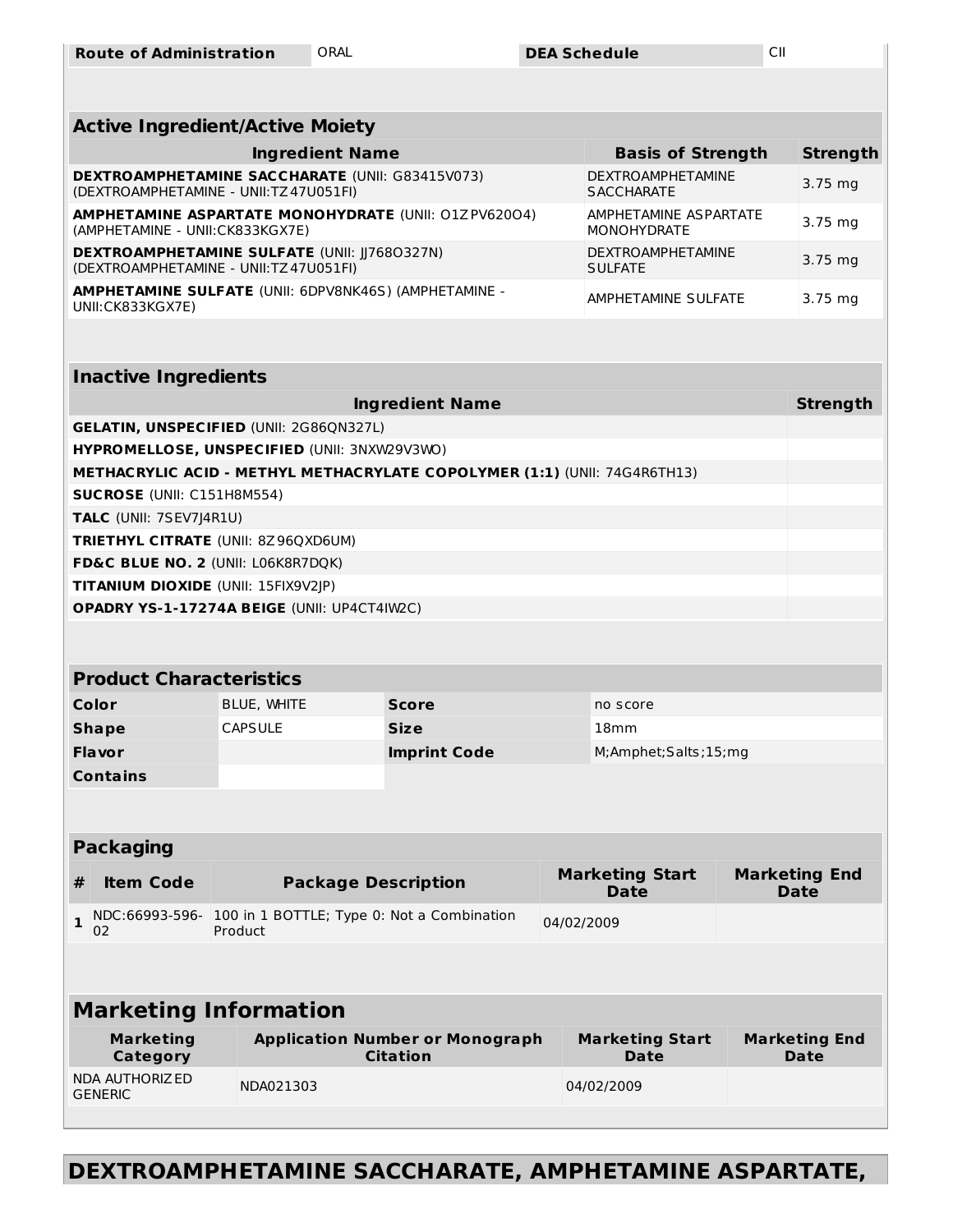| <b>Active Ingredient/Active Moiety</b>                                    |                                                                                                  |                                        |             |                                               |  |                      |  |
|---------------------------------------------------------------------------|--------------------------------------------------------------------------------------------------|----------------------------------------|-------------|-----------------------------------------------|--|----------------------|--|
|                                                                           | <b>Ingredient Name</b>                                                                           |                                        |             | <b>Basis of Strength</b>                      |  | <b>Strength</b>      |  |
|                                                                           | <b>DEXTROAMPHETAMINE SACCHARATE (UNII: G83415V073)</b><br>(DEXTROAMPHETAMINE - UNII:TZ 47U051FI) |                                        |             | <b>DEXTROAMPHETAMINE</b><br><b>SACCHARATE</b> |  | 3.75 mg              |  |
| (AMPHETAMINE - UNII:CK833KGX7E)                                           | <b>AMPHETAMINE ASPARTATE MONOHYDRATE (UNII: 01ZPV62004)</b>                                      |                                        |             | AMPHETAMINE AS PARTATE<br><b>MONOHYDRATE</b>  |  | 3.75 mg              |  |
|                                                                           | <b>DEXTROAMPHETAMINE SULFATE (UNII: JJ7680327N)</b><br>(DEXTROAMPHETAMINE - UNII:TZ 47U051FI)    |                                        |             | <b>DEXTROAMPHETAMINE</b><br><b>SULFATE</b>    |  | $3.75$ mg            |  |
| UNII:CK833KGX7E)                                                          | AMPHETAMINE SULFATE (UNII: 6DPV8NK46S) (AMPHETAMINE -                                            |                                        |             | AMPHETAMINE SULFATE                           |  | $3.75$ mg            |  |
|                                                                           |                                                                                                  |                                        |             |                                               |  |                      |  |
| <b>Inactive Ingredients</b>                                               |                                                                                                  |                                        |             |                                               |  |                      |  |
|                                                                           |                                                                                                  | <b>Ingredient Name</b>                 |             |                                               |  | <b>Strength</b>      |  |
|                                                                           | <b>GELATIN, UNSPECIFIED (UNII: 2G86QN327L)</b>                                                   |                                        |             |                                               |  |                      |  |
|                                                                           | HYPROMELLOSE, UNSPECIFIED (UNII: 3NXW29V3WO)                                                     |                                        |             |                                               |  |                      |  |
| METHACRYLIC ACID - METHYL METHACRYLATE COPOLYMER (1:1) (UNII: 74G4R6TH13) |                                                                                                  |                                        |             |                                               |  |                      |  |
| <b>SUCROSE (UNII: C151H8M554)</b>                                         |                                                                                                  |                                        |             |                                               |  |                      |  |
| <b>TALC</b> (UNII: 7SEV7J4R1U)                                            |                                                                                                  |                                        |             |                                               |  |                      |  |
| <b>TRIETHYL CITRATE (UNII: 8Z96OXD6UM)</b>                                |                                                                                                  |                                        |             |                                               |  |                      |  |
| FD&C BLUE NO. 2 (UNII: L06K8R7DQK)                                        |                                                                                                  |                                        |             |                                               |  |                      |  |
| <b>TITANIUM DIOXIDE (UNII: 15FIX9V2JP)</b>                                |                                                                                                  |                                        |             |                                               |  |                      |  |
| <b>OPADRY YS-1-17274A BEIGE (UNII: UP4CT4IW2C)</b>                        |                                                                                                  |                                        |             |                                               |  |                      |  |
|                                                                           |                                                                                                  |                                        |             |                                               |  |                      |  |
|                                                                           |                                                                                                  |                                        |             |                                               |  |                      |  |
| <b>Product Characteristics</b>                                            |                                                                                                  |                                        |             |                                               |  |                      |  |
| Color                                                                     | BLUE, WHITE                                                                                      | <b>Score</b>                           |             | no score                                      |  |                      |  |
| <b>Shape</b>                                                              | <b>CAPSULE</b>                                                                                   | <b>Size</b>                            |             | 18mm                                          |  |                      |  |
| <b>Flavor</b>                                                             |                                                                                                  | <b>Imprint Code</b>                    |             | M;Amphet;Salts;15;mg                          |  |                      |  |
| <b>Contains</b>                                                           |                                                                                                  |                                        |             |                                               |  |                      |  |
|                                                                           |                                                                                                  |                                        |             |                                               |  |                      |  |
|                                                                           |                                                                                                  |                                        |             |                                               |  |                      |  |
| <b>Packaging</b>                                                          |                                                                                                  |                                        |             |                                               |  |                      |  |
| <b>Item Code</b><br>#                                                     |                                                                                                  |                                        |             | <b>Marketing Start</b>                        |  | <b>Marketing End</b> |  |
|                                                                           | <b>Package Description</b>                                                                       |                                        | <b>Date</b> |                                               |  | <b>Date</b>          |  |
| NDC:66993-596-<br>$\mathbf{1}$<br>02                                      | 100 in 1 BOTTLE; Type 0: Not a Combination<br>Product                                            |                                        | 04/02/2009  |                                               |  |                      |  |
|                                                                           |                                                                                                  |                                        |             |                                               |  |                      |  |
| <b>Marketing Information</b>                                              |                                                                                                  |                                        |             |                                               |  |                      |  |
| <b>Marketing</b>                                                          |                                                                                                  | <b>Application Number or Monograph</b> |             | <b>Marketing Start</b>                        |  | <b>Marketing End</b> |  |
| Category                                                                  |                                                                                                  | <b>Citation</b>                        |             | Date                                          |  | Date                 |  |
| <b>NDA AUTHORIZED</b><br><b>GENERIC</b>                                   | NDA021303                                                                                        |                                        |             | 04/02/2009                                    |  |                      |  |
|                                                                           |                                                                                                  |                                        |             |                                               |  |                      |  |

# **DEXTROAMPHETAMINE SACCHARATE, AMPHETAMINE ASPARTATE,**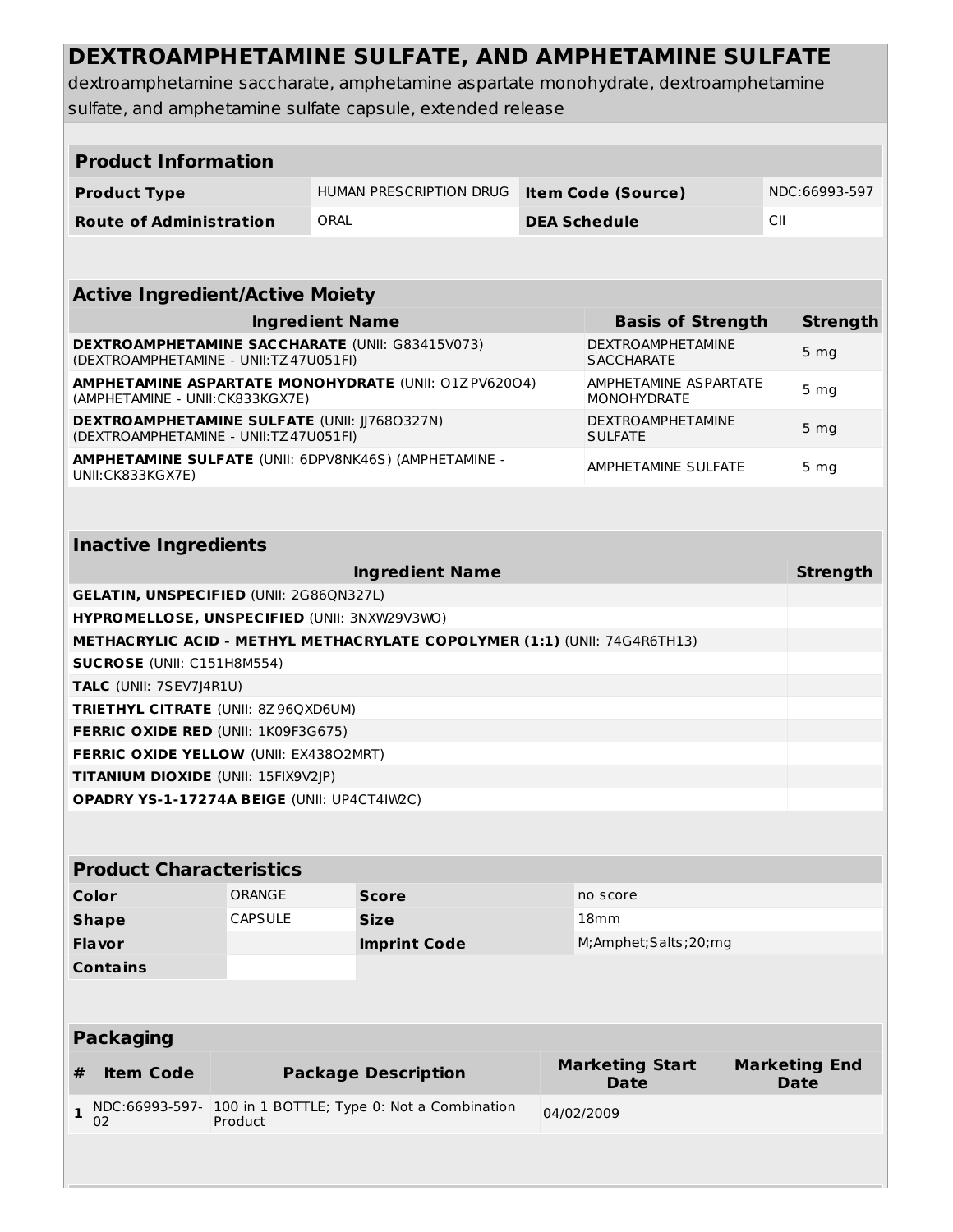# **DEXTROAMPHETAMINE SULFATE, AND AMPHETAMINE SULFATE**

dextroamphetamine saccharate, amphetamine aspartate monohydrate, dextroamphetamine sulfate, and amphetamine sulfate capsule, extended release

| <b>Product Information</b>                                                                                                                     |                                                      |                                                              |  |                                               |               |                                     |  |
|------------------------------------------------------------------------------------------------------------------------------------------------|------------------------------------------------------|--------------------------------------------------------------|--|-----------------------------------------------|---------------|-------------------------------------|--|
|                                                                                                                                                |                                                      |                                                              |  |                                               |               |                                     |  |
| <b>Product Type</b>                                                                                                                            | HUMAN PRESCRIPTION DRUG<br><b>Item Code (Source)</b> |                                                              |  |                                               | NDC:66993-597 |                                     |  |
| <b>Route of Administration</b>                                                                                                                 |                                                      | ORAL                                                         |  | <b>DEA Schedule</b>                           | CII           |                                     |  |
|                                                                                                                                                |                                                      |                                                              |  |                                               |               |                                     |  |
| <b>Active Ingredient/Active Moiety</b>                                                                                                         |                                                      |                                                              |  |                                               |               |                                     |  |
|                                                                                                                                                |                                                      | <b>Ingredient Name</b>                                       |  | <b>Basis of Strength</b>                      |               | <b>Strength</b>                     |  |
| (DEXTROAMPHETAMINE - UNII:TZ 47U051FI)                                                                                                         |                                                      | <b>DEXTROAMPHETAMINE SACCHARATE (UNII: G83415V073)</b>       |  | <b>DEXTROAMPHETAMINE</b><br><b>SACCHARATE</b> |               | 5 <sub>mg</sub>                     |  |
| <b>AMPHETAMINE ASPARTATE MONOHYDRATE (UNII: 01ZPV62004)</b><br>AMPHETAMINE AS PARTATE<br>(AMPHETAMINE - UNII:CK833KGX7E)<br><b>MONOHYDRATE</b> |                                                      |                                                              |  |                                               |               | 5 <sub>mg</sub>                     |  |
| <b>DEXTROAMPHETAMINE SULFATE (UNII: JJ7680327N)</b><br><b>DEXTROAMPHETAMINE</b><br>(DEXTROAMPHETAMINE - UNII:TZ 47U051FI)<br><b>SULFATE</b>    |                                                      |                                                              |  |                                               |               | 5 mg                                |  |
| UNII:CK833KGX7E)                                                                                                                               |                                                      | <b>AMPHETAMINE SULFATE (UNII: 6DPV8NK46S) (AMPHETAMINE -</b> |  | AMPHETAMINE SULFATE                           |               | 5 <sub>mg</sub>                     |  |
|                                                                                                                                                |                                                      |                                                              |  |                                               |               |                                     |  |
| <b>Inactive Ingredients</b>                                                                                                                    |                                                      |                                                              |  |                                               |               |                                     |  |
| <b>Ingredient Name</b><br><b>Strength</b>                                                                                                      |                                                      |                                                              |  |                                               |               |                                     |  |
| <b>GELATIN, UNSPECIFIED (UNII: 2G86QN327L)</b>                                                                                                 |                                                      |                                                              |  |                                               |               |                                     |  |
| HYPROMELLOSE, UNSPECIFIED (UNII: 3NXW29V3WO)                                                                                                   |                                                      |                                                              |  |                                               |               |                                     |  |
| METHACRYLIC ACID - METHYL METHACRYLATE COPOLYMER (1:1) (UNII: 74G4R6TH13)                                                                      |                                                      |                                                              |  |                                               |               |                                     |  |
| SUCROSE (UNII: C151H8M554)                                                                                                                     |                                                      |                                                              |  |                                               |               |                                     |  |
| TALC (UNII: 7SEV7J4R1U)                                                                                                                        |                                                      |                                                              |  |                                               |               |                                     |  |
| <b>TRIETHYL CITRATE (UNII: 8Z96QXD6UM)</b><br><b>FERRIC OXIDE RED (UNII: 1K09F3G675)</b>                                                       |                                                      |                                                              |  |                                               |               |                                     |  |
|                                                                                                                                                |                                                      |                                                              |  |                                               |               |                                     |  |
| <b>FERRIC OXIDE YELLOW (UNII: EX43802MRT)</b><br><b>TITANIUM DIOXIDE (UNII: 15FIX9V2JP)</b>                                                    |                                                      |                                                              |  |                                               |               |                                     |  |
| OPADRY YS-1-17274A BEIGE (UNII: UP4CT4IW2C)                                                                                                    |                                                      |                                                              |  |                                               |               |                                     |  |
|                                                                                                                                                |                                                      |                                                              |  |                                               |               |                                     |  |
|                                                                                                                                                |                                                      |                                                              |  |                                               |               |                                     |  |
| <b>Product Characteristics</b>                                                                                                                 |                                                      |                                                              |  |                                               |               |                                     |  |
| Color                                                                                                                                          | ORANGE                                               | <b>Score</b>                                                 |  | no score                                      |               |                                     |  |
| <b>Shape</b>                                                                                                                                   | <b>CAPSULE</b>                                       | <b>Size</b>                                                  |  | 18mm                                          |               |                                     |  |
| Flavor                                                                                                                                         | <b>Imprint Code</b><br>M;Amphet;Salts;20;mg          |                                                              |  |                                               |               |                                     |  |
| <b>Contains</b>                                                                                                                                |                                                      |                                                              |  |                                               |               |                                     |  |
|                                                                                                                                                |                                                      |                                                              |  |                                               |               |                                     |  |
| <b>Packaging</b>                                                                                                                               |                                                      |                                                              |  |                                               |               |                                     |  |
| <b>Item Code</b><br>#                                                                                                                          |                                                      | <b>Package Description</b>                                   |  | <b>Marketing Start</b><br><b>Date</b>         |               | <b>Marketing End</b><br><b>Date</b> |  |
| NDC:66993-597-<br>$\mathbf{1}$<br>02                                                                                                           | Product                                              | 100 in 1 BOTTLE; Type 0: Not a Combination                   |  | 04/02/2009                                    |               |                                     |  |
|                                                                                                                                                |                                                      |                                                              |  |                                               |               |                                     |  |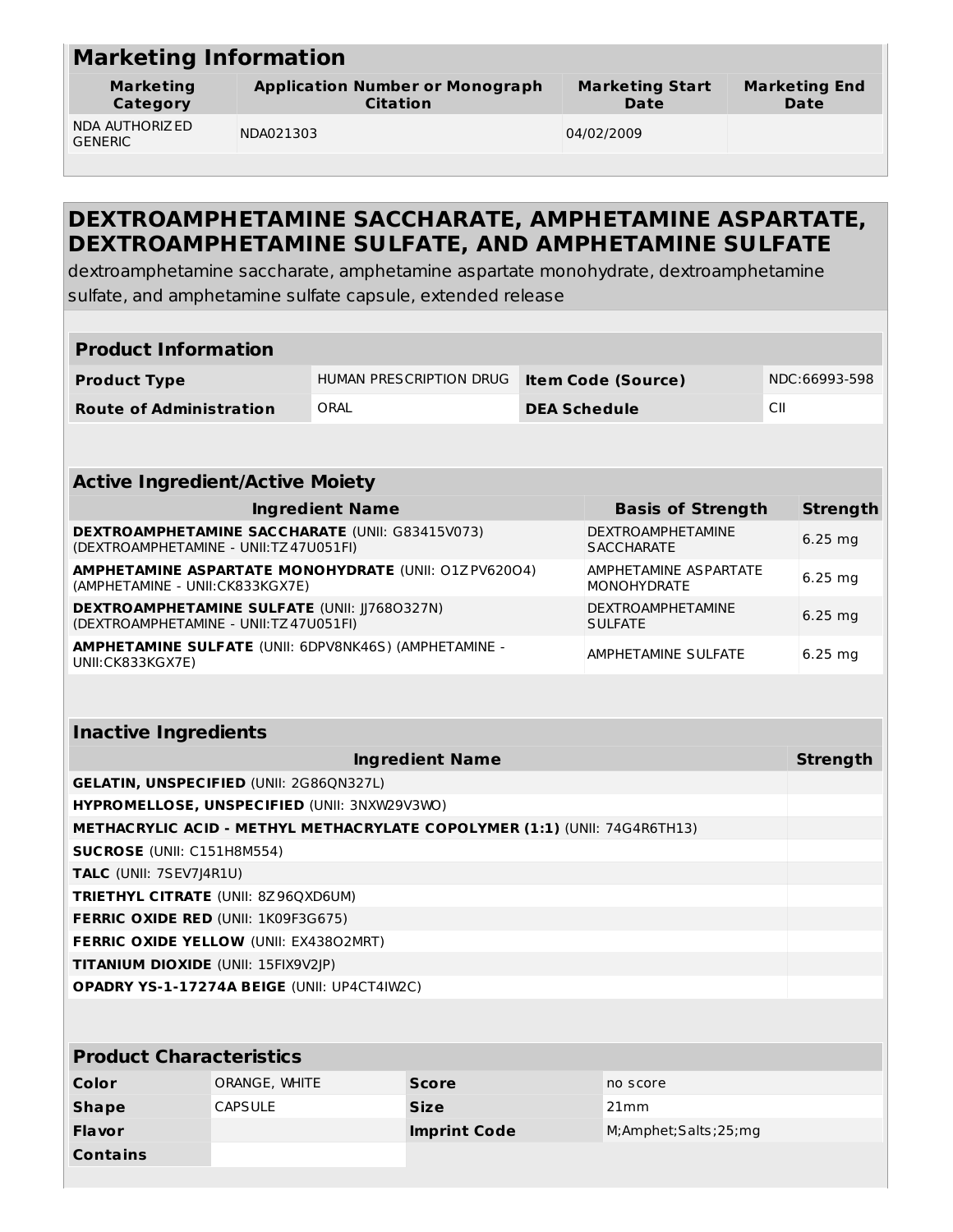| <b>Marketing Information</b>                                                                                                                   |                         |                        |                                        |  |                                                                                    |           |                              |
|------------------------------------------------------------------------------------------------------------------------------------------------|-------------------------|------------------------|----------------------------------------|--|------------------------------------------------------------------------------------|-----------|------------------------------|
| <b>Marketing</b><br><b>Category</b>                                                                                                            |                         | <b>Citation</b>        | <b>Application Number or Monograph</b> |  | <b>Marketing Start</b><br><b>Date</b>                                              |           | <b>Marketing End</b><br>Date |
| <b>NDA AUTHORIZED</b><br><b>GENERIC</b>                                                                                                        | 04/02/2009<br>NDA021303 |                        |                                        |  |                                                                                    |           |                              |
|                                                                                                                                                |                         |                        |                                        |  |                                                                                    |           |                              |
|                                                                                                                                                |                         |                        |                                        |  | DEXTROAMPHETAMINE SACCHARATE, AMPHETAMINE ASPARTATE,                               |           |                              |
|                                                                                                                                                |                         |                        |                                        |  | DEXTROAMPHETAMINE SULFATE, AND AMPHETAMINE SULFATE                                 |           |                              |
|                                                                                                                                                |                         |                        |                                        |  | dextroamphetamine saccharate, amphetamine aspartate monohydrate, dextroamphetamine |           |                              |
| sulfate, and amphetamine sulfate capsule, extended release                                                                                     |                         |                        |                                        |  |                                                                                    |           |                              |
| <b>Product Information</b>                                                                                                                     |                         |                        |                                        |  |                                                                                    |           |                              |
| <b>Product Type</b>                                                                                                                            |                         |                        | HUMAN PRESCRIPTION DRUG                |  | <b>Item Code (Source)</b>                                                          |           | NDC:66993-598                |
| <b>Route of Administration</b>                                                                                                                 |                         | ORAL                   |                                        |  | <b>DEA Schedule</b>                                                                | CII       |                              |
|                                                                                                                                                |                         |                        |                                        |  |                                                                                    |           |                              |
|                                                                                                                                                |                         |                        |                                        |  |                                                                                    |           |                              |
| <b>Active Ingredient/Active Moiety</b>                                                                                                         |                         |                        |                                        |  |                                                                                    |           |                              |
|                                                                                                                                                |                         | <b>Ingredient Name</b> |                                        |  | <b>Basis of Strength</b>                                                           |           | <b>Strength</b>              |
| DEXTROAMPHETAMINE SACCHARATE (UNII: G83415V073)<br><b>DEXTROAMPHETAMINE</b><br>(DEXTROAMPHETAMINE - UNII:TZ 47U051FI)<br><b>SACCHARATE</b>     |                         |                        |                                        |  |                                                                                    |           | $6.25$ mg                    |
| <b>AMPHETAMINE ASPARTATE MONOHYDRATE (UNII: O1ZPV62004)</b><br>AMPHETAMINE AS PARTATE<br>(AMPHETAMINE - UNII:CK833KGX7E)<br><b>MONOHYDRATE</b> |                         |                        |                                        |  |                                                                                    | $6.25$ mg |                              |
| <b>DEXTROAMPHETAMINE SULFATE (UNII: JJ7680327N)</b><br><b>DEXTROAMPHETAMINE</b><br>(DEXTROAMPHETAMINE - UNII:TZ 47U051FI)<br><b>SULFATE</b>    |                         |                        |                                        |  |                                                                                    |           | $6.25$ mg                    |
| AMPHETAMINE SULFATE (UNII: 6DPV8NK46S) (AMPHETAMINE -<br>AMPHETAMINE SULFATE<br>UNII: CK833KGX7E)                                              |                         |                        |                                        |  |                                                                                    |           | $6.25$ mg                    |
|                                                                                                                                                |                         |                        |                                        |  |                                                                                    |           |                              |
| <b>Inactive Ingredients</b>                                                                                                                    |                         |                        |                                        |  |                                                                                    |           |                              |
|                                                                                                                                                |                         |                        | <b>Ingredient Name</b>                 |  |                                                                                    |           | <b>Strength</b>              |
| <b>GELATIN, UNSPECIFIED (UNII: 2G86QN327L)</b>                                                                                                 |                         |                        |                                        |  |                                                                                    |           |                              |
| HYPROMELLOSE, UNSPECIFIED (UNII: 3NXW29V3WO)                                                                                                   |                         |                        |                                        |  |                                                                                    |           |                              |
| METHACRYLIC ACID - METHYL METHACRYLATE COPOLYMER (1:1) (UNII: 74G4R6TH13)                                                                      |                         |                        |                                        |  |                                                                                    |           |                              |
| <b>SUCROSE</b> (UNII: C151H8M554)<br><b>TALC</b> (UNII: 7SEV7J4R1U)                                                                            |                         |                        |                                        |  |                                                                                    |           |                              |
| TRIETHYL CITRATE (UNII: 8Z96QXD6UM)                                                                                                            |                         |                        |                                        |  |                                                                                    |           |                              |
| FERRIC OXIDE RED (UNII: 1K09F3G675)                                                                                                            |                         |                        |                                        |  |                                                                                    |           |                              |
| FERRIC OXIDE YELLOW (UNII: EX43802MRT)                                                                                                         |                         |                        |                                        |  |                                                                                    |           |                              |
| TITANIUM DIOXIDE (UNII: 15FIX9V2JP)                                                                                                            |                         |                        |                                        |  |                                                                                    |           |                              |
| OPADRY YS-1-17274A BEIGE (UNII: UP4CT4IW2C)                                                                                                    |                         |                        |                                        |  |                                                                                    |           |                              |
|                                                                                                                                                |                         |                        |                                        |  |                                                                                    |           |                              |
| <b>Product Characteristics</b>                                                                                                                 |                         |                        |                                        |  |                                                                                    |           |                              |
| Color                                                                                                                                          | ORANGE, WHITE           |                        | <b>Score</b>                           |  | no score                                                                           |           |                              |
| <b>Shape</b>                                                                                                                                   | <b>CAPSULE</b>          |                        | <b>Size</b>                            |  | 21mm                                                                               |           |                              |
| Flavor                                                                                                                                         |                         |                        | <b>Imprint Code</b>                    |  | M; Amphet; Salts; 25; mg                                                           |           |                              |
| <b>Contains</b>                                                                                                                                |                         |                        |                                        |  |                                                                                    |           |                              |
|                                                                                                                                                |                         |                        |                                        |  |                                                                                    |           |                              |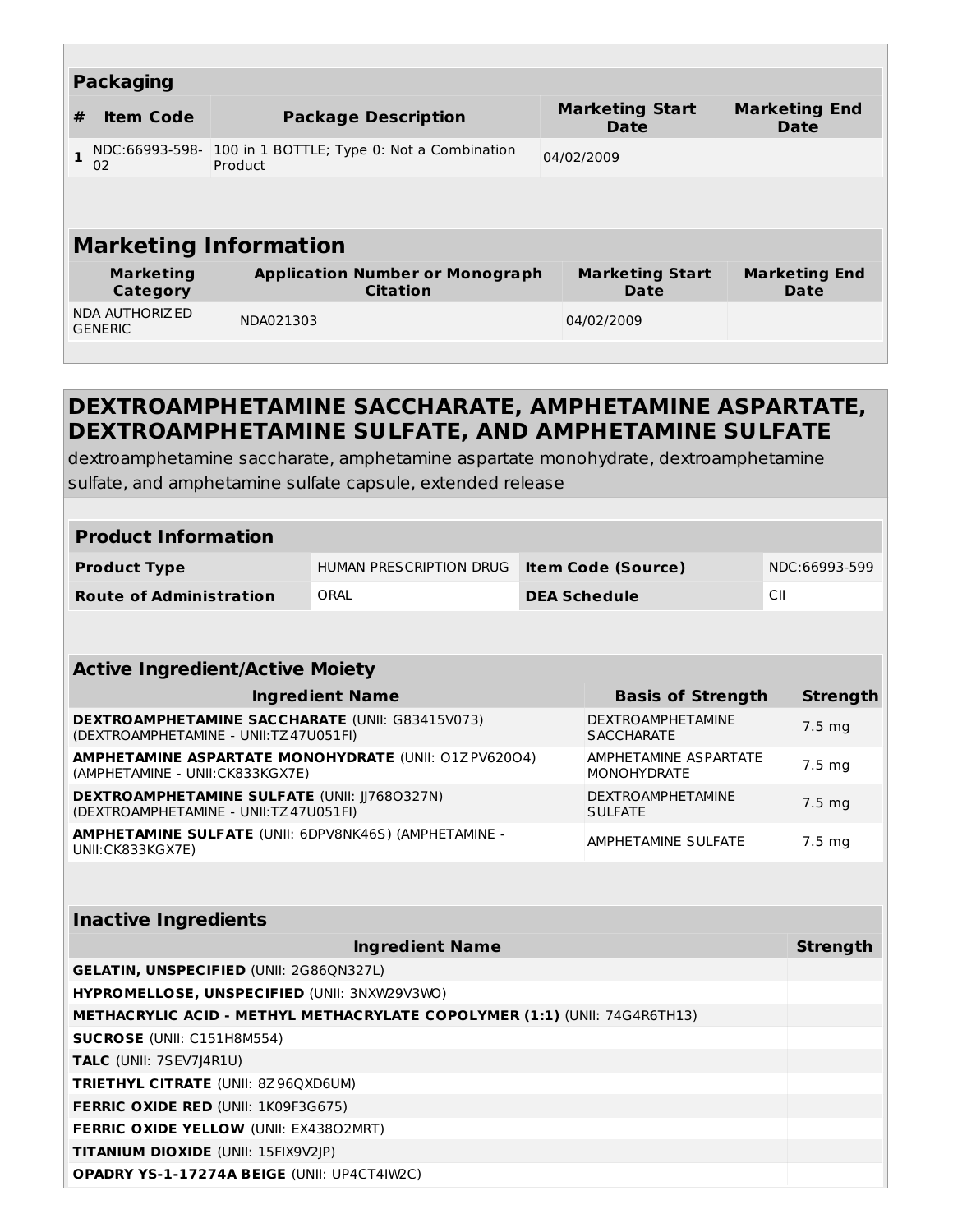|   | <b>Packaging</b>                  |                                                                      |                                       |                                     |
|---|-----------------------------------|----------------------------------------------------------------------|---------------------------------------|-------------------------------------|
| # | <b>Item Code</b>                  | <b>Package Description</b>                                           | <b>Marketing Start</b><br><b>Date</b> | <b>Marketing End</b><br><b>Date</b> |
|   | 02                                | NDC:66993-598- 100 in 1 BOTTLE; Type 0: Not a Combination<br>Product | 04/02/2009                            |                                     |
|   |                                   |                                                                      |                                       |                                     |
|   |                                   |                                                                      |                                       |                                     |
|   |                                   | <b>Marketing Information</b>                                         |                                       |                                     |
|   | <b>Marketing</b><br>Category      | <b>Application Number or Monograph</b><br><b>Citation</b>            | <b>Marketing Start</b><br><b>Date</b> | <b>Marketing End</b><br>Date        |
|   | NDA AUTHORIZ ED<br><b>GENERIC</b> | NDA021303                                                            | 04/02/2009                            |                                     |
|   |                                   |                                                                      |                                       |                                     |

I.

## **DEXTROAMPHETAMINE SACCHARATE, AMPHETAMINE ASPARTATE, DEXTROAMPHETAMINE SULFATE, AND AMPHETAMINE SULFATE**

dextroamphetamine saccharate, amphetamine aspartate monohydrate, dextroamphetamine sulfate, and amphetamine sulfate capsule, extended release

| <b>Product Information</b>                                                                                                                        |                                                      |  |                          |  |                 |
|---------------------------------------------------------------------------------------------------------------------------------------------------|------------------------------------------------------|--|--------------------------|--|-----------------|
| <b>Product Type</b>                                                                                                                               | HUMAN PRESCRIPTION DRUG<br><b>Item Code (Source)</b> |  |                          |  | NDC:66993-599   |
| ORAL<br><b>Route of Administration</b><br>СII<br><b>DEA Schedule</b>                                                                              |                                                      |  |                          |  |                 |
|                                                                                                                                                   |                                                      |  |                          |  |                 |
|                                                                                                                                                   |                                                      |  |                          |  |                 |
| <b>Active Ingredient/Active Moiety</b>                                                                                                            |                                                      |  |                          |  |                 |
|                                                                                                                                                   | <b>Ingredient Name</b>                               |  | <b>Basis of Strength</b> |  | <b>Strength</b> |
| <b>DEXTROAMPHETAMINE SACCHARATE (UNII: G83415V073)</b><br><b>DEXTROAMPHETAMINE</b><br><b>SACCHARATE</b><br>(DEXTROAMPHETAMINE - UNII:TZ 47U051FI) |                                                      |  |                          |  |                 |
| <b>AMPHETAMINE ASPARTATE MONOHYDRATE (UNII: 01ZPV62004)</b><br>AMPHETAMINE AS PARTATE<br><b>MONOHYDRATE</b><br>(AMPHETAMINE - UNII:CK833KGX7E)    |                                                      |  |                          |  |                 |
| <b>DEXTROAMPHETAMINE SULFATE (UNII: II7680327N)</b><br><b>DEXTROAMPHETAMINE</b><br>(DEXTROAMPHETAMINE - UNII:TZ 47U051FI)<br><b>SULFATE</b>       |                                                      |  |                          |  |                 |
| <b>AMPHETAMINE SULFATE (UNII: 6DPV8NK46S) (AMPHETAMINE -</b><br>AMPHETAMINE SULFATE<br>UNII:CK833KGX7E)                                           |                                                      |  |                          |  |                 |
|                                                                                                                                                   |                                                      |  |                          |  |                 |
| <b>Inactive Ingredients</b>                                                                                                                       |                                                      |  |                          |  |                 |
|                                                                                                                                                   | <b>Ingredient Name</b>                               |  |                          |  | <b>Strength</b> |
| <b>GELATIN, UNSPECIFIED (UNII: 2G86QN327L)</b>                                                                                                    |                                                      |  |                          |  |                 |
| HYPROMELLOSE, UNSPECIFIED (UNII: 3NXW29V3WO)                                                                                                      |                                                      |  |                          |  |                 |
| METHACRYLIC ACID - METHYL METHACRYLATE COPOLYMER (1:1) (UNII: 74G4R6TH13)                                                                         |                                                      |  |                          |  |                 |
| <b>SUCROSE (UNII: C151H8M554)</b>                                                                                                                 |                                                      |  |                          |  |                 |
| TALC (UNII: 7SEV7J4R1U)                                                                                                                           |                                                      |  |                          |  |                 |
| <b>TRIETHYL CITRATE (UNII: 8Z96QXD6UM)</b>                                                                                                        |                                                      |  |                          |  |                 |
| <b>FERRIC OXIDE RED (UNII: 1K09F3G675)</b>                                                                                                        |                                                      |  |                          |  |                 |
| <b>FERRIC OXIDE YELLOW (UNII: EX43802MRT)</b>                                                                                                     |                                                      |  |                          |  |                 |
| TITANIUM DIOXIDE (UNII: 15FIX9V2JP)                                                                                                               |                                                      |  |                          |  |                 |
| OPADRY YS-1-17274A BEIGE (UNII: UP4CT4IW2C)                                                                                                       |                                                      |  |                          |  |                 |
|                                                                                                                                                   |                                                      |  |                          |  |                 |